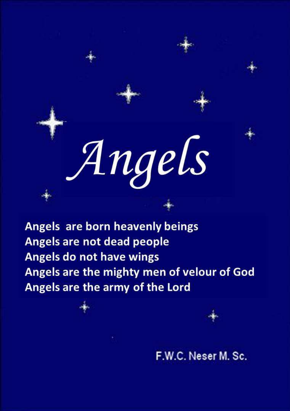# Angels

Angels are born heavenly beings Angels are not dead people Angels do not have wings Angels are the mighty men of velour of God Angels are the army of the Lord

F.W.C. Neser M. Sc.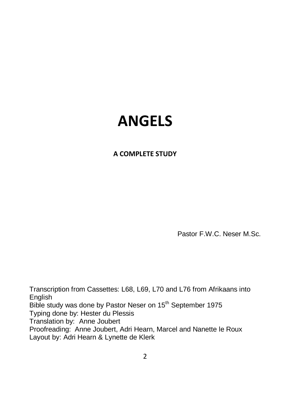# **ANGELS**

#### **A COMPLETE STUDY**

Pastor F.W.C. Neser M.Sc.

Transcription from Cassettes: L68, L69, L70 and L76 from Afrikaans into English Bible study was done by Pastor Neser on 15<sup>th</sup> September 1975 Typing done by: Hester du Plessis Translation by: Anne Joubert Proofreading: Anne Joubert, Adri Hearn, Marcel and Nanette le Roux Layout by: Adri Hearn & Lynette de Klerk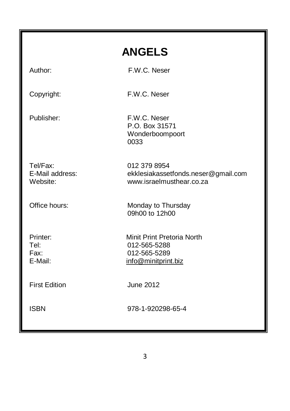| <b>ANGELS</b>                           |                                                                                   |
|-----------------------------------------|-----------------------------------------------------------------------------------|
| Author:                                 | F.W.C. Neser                                                                      |
| Copyright:                              | F.W.C. Neser                                                                      |
| Publisher:                              | F.W.C. Neser<br>P.O. Box 31571<br>Wonderboompoort<br>0033                         |
| Tel/Fax:<br>E-Mail address:<br>Website: | 012 379 8954<br>ekklesiakassetfonds.neser@gmail.com<br>www.israelmusthear.co.za   |
| Office hours:                           | Monday to Thursday<br>09h00 to 12h00                                              |
| Printer:<br>Tel:<br>Fax:<br>E-Mail:     | Minit Print Pretoria North<br>012-565-5288<br>012-565-5289<br>info@minitprint.biz |
| <b>First Edition</b>                    | <b>June 2012</b>                                                                  |
| <b>ISBN</b>                             | 978-1-920298-65-4                                                                 |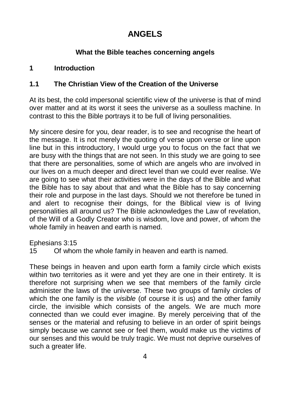# **ANGELS**

#### **What the Bible teaches concerning angels**

# **1 Introduction**

# **1.1 The Christian View of the Creation of the Universe**

At its best, the cold impersonal scientific view of the universe is that of mind over matter and at its worst it sees the universe as a soulless machine. In contrast to this the Bible portrays it to be full of living personalities.

My sincere desire for you, dear reader, is to see and recognise the heart of the message. It is not merely the quoting of verse upon verse or line upon line but in this introductory, I would urge you to focus on the fact that we are busy with the things that are not seen. In this study we are going to see that there are personalities, some of which are angels who are involved in our lives on a much deeper and direct level than we could ever realise. We are going to see what their activities were in the days of the Bible and what the Bible has to say about that and what the Bible has to say concerning their role and purpose in the last days. Should we not therefore be tuned in and alert to recognise their doings, for the Biblical view is of living personalities all around us? The Bible acknowledges the Law of revelation, of the Will of a Godly Creator who is wisdom, love and power, of whom the whole family in heaven and earth is named.

Ephesians 3:15

15 Of whom the whole family in heaven and earth is named.

These beings in heaven and upon earth form a family circle which exists within two territories as it were and yet they are one in their entirety. It is therefore not surprising when we see that members of the family circle administer the laws of the universe. These two groups of family circles of which the one family is the *visible* (of course it is us) and the other family circle, the invisible which consists of the angels. We are much more connected than we could ever imagine. By merely perceiving that of the senses or the material and refusing to believe in an order of spirit beings simply because we cannot see or feel them, would make us the victims of our senses and this would be truly tragic. We must not deprive ourselves of such a greater life.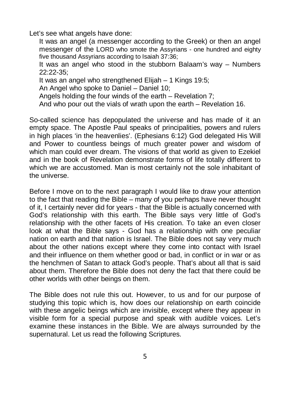Let's see what angels have done:

It was an angel (a messenger according to the Greek) or then an angel messenger of the LORD who smote the Assyrians - one hundred and eighty five thousand Assyrians according to Isaiah 37:36;

It was an angel who stood in the stubborn Balaam's way – Numbers 22:22-35;

It was an angel who strengthened Elijah – 1 Kings 19:5;

An Angel who spoke to Daniel – Daniel 10;

Angels holding the four winds of the earth – Revelation 7;

And who pour out the vials of wrath upon the earth – Revelation 16.

So-called science has depopulated the universe and has made of it an empty space. The Apostle Paul speaks of principalities, powers and rulers in high places 'in the heavenlies'. (Ephesians 6:12) God delegated His Will and Power to countless beings of much greater power and wisdom of which man could ever dream. The visions of that world as given to Ezekiel and in the book of Revelation demonstrate forms of life totally different to which we are accustomed. Man is most certainly not the sole inhabitant of the universe.

Before I move on to the next paragraph I would like to draw your attention to the fact that reading the Bible – many of you perhaps have never thought of it, I certainly never did for years - that the Bible is actually concerned with God's relationship with this earth. The Bible says very little of God's relationship with the other facets of His creation. To take an even closer look at what the Bible says - God has a relationship with one peculiar nation on earth and that nation is Israel. The Bible does not say very much about the other nations except where they come into contact with Israel and their influence on them whether good or bad, in conflict or in war or as the henchmen of Satan to attack God's people. That's about all that is said about them. Therefore the Bible does not deny the fact that there could be other worlds with other beings on them.

The Bible does not rule this out. However, to us and for our purpose of studying this topic which is, how does our relationship on earth coincide with these angelic beings which are invisible, except where they appear in visible form for a special purpose and speak with audible voices. Let's examine these instances in the Bible. We are always surrounded by the supernatural. Let us read the following Scriptures.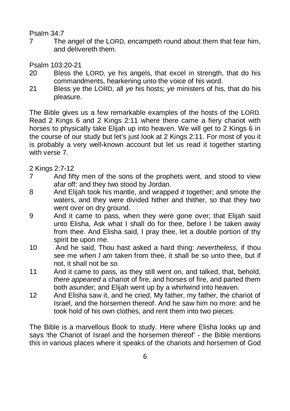#### Psalm 34:7

7 The angel of the LORD, encampeth round about them that fear him, and delivereth them.

Psalm 103:20-21

- 20 Bless the LORD, ye his angels, that excel in strength, that do his commandments, hearkening unto the voice of his word.
- 21 Bless ye the LORD, all *ye* his hosts; *ye* ministers of his, that do his pleasure.

The Bible gives us a few remarkable examples of the hosts of the LORD. Read 2 Kings 6 and 2 Kings 2:11 where there came a fiery chariot with horses to physically take Elijah up into heaven. We will get to 2 Kings 6 in the course of our study but let's just look at 2 Kings 2:11. For most of you it is probably a very well-known account but let us read it together starting with verse 7

2 Kings 2:7-12

- 7 And fifty men of the sons of the prophets went, and stood to view afar off: and they two stood by Jordan.
- 8 And Elijah took his mantle, and wrapped *it* together; and smote the waters, and they were divided hither and thither, so that they two went over on dry ground.
- 9 And it came to pass, when they were gone over; that Elijah said unto Elisha, Ask what I shall do for thee, before I be taken away from thee. And Elisha said, I pray thee, let a double portion of thy spirit be upon me.
- 10 And he said, Thou hast asked a hard thing: *nevertheless,* if thou see me *when I am* taken from thee, it shall be so unto thee, but if not, it shall not be *so.*
- 11 And it came to pass, as they still went on, and talked, that, behold, *there appeared* a chariot of fire, and horses of fire, and parted them both asunder; and Elijah went up by a whirlwind into heaven.
- 12 And Elisha saw it, and he cried, My father, my father, the chariot of Israel, and the horsemen thereof. And he saw him no more: and he took hold of his own clothes, and rent them into two pieces.

The Bible is a marvellous Book to study. Here where Elisha looks up and says 'the Chariot of Israel and the horsemen thereof' - the Bible mentions this in various places where it speaks of the chariots and horsemen of God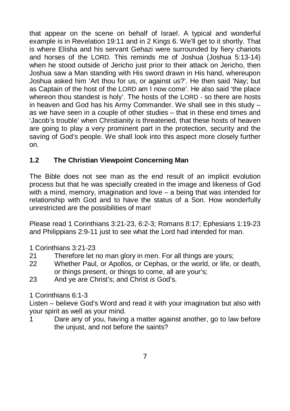that appear on the scene on behalf of Israel. A typical and wonderful example is in Revelation 19:11 and in 2 Kings 6. We'll get to it shortly. That is where Elisha and his servant Gehazi were surrounded by fiery chariots and horses of the LORD. This reminds me of Joshua (Joshua 5:13-14) when he stood outside of Jericho just prior to their attack on Jericho, then Joshua saw a Man standing with His sword drawn in His hand, whereupon Joshua asked him 'Art thou for us, or against us?'. He then said 'Nay; but as Captain of the host of the LORD am I now come'. He also said 'the place whereon thou standest is holy'. The hosts of the LORD - so there are hosts in heaven and God has his Army Commander. We shall see in this study – as we have seen in a couple of other studies – that in these end times and 'Jacob's trouble' when Christianity is threatened, that these hosts of heaven are going to play a very prominent part in the protection, security and the saving of God's people. We shall look into this aspect more closely further on.

# **1.2 The Christian Viewpoint Concerning Man**

The Bible does not see man as the end result of an implicit evolution process but that he was specially created in the image and likeness of God with a mind, memory, imagination and love – a being that was intended for relationship with God and to have the status of a Son. How wonderfully unrestricted are the possibilities of man!

Please read 1 Corinthians 3:21-23, 6:2-3; Romans 8:17; Ephesians 1:19-23 and Philippians 2:9-11 just to see what the Lord had intended for man.

1 Corinthians 3:21-23

- 21 Therefore let no man glory in men. For all things are yours;
- 22 Whether Paul, or Apollos, or Cephas, or the world, or life, or death, or things present, or things to come, all are your's;
- 23 And ye are Christ's; and Christ *is* God's.

1 Corinthians 6:1-3

Listen – believe God's Word and read it with your imagination but also with your spirit as well as your mind.

1 Dare any of you, having a matter against another, go to law before the unjust, and not before the saints?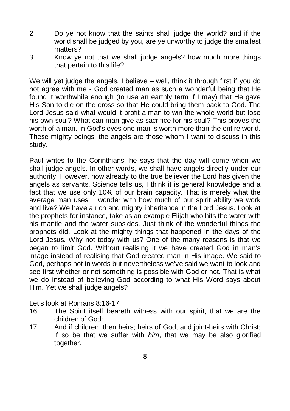- 2 Do ye not know that the saints shall judge the world? and if the world shall be judged by you, are ye unworthy to judge the smallest matters?
- 3 Know ye not that we shall judge angels? how much more things that pertain to this life?

We will yet judge the angels. I believe – well, think it through first if you do not agree with me - God created man as such a wonderful being that He found it worthwhile enough (to use an earthly term if I may) that He gave His Son to die on the cross so that He could bring them back to God. The Lord Jesus said what would it profit a man to win the whole world but lose his own soul? What can man give as sacrifice for his soul? This proves the worth of a man. In God's eyes one man is worth more than the entire world. These mighty beings, the angels are those whom I want to discuss in this study.

Paul writes to the Corinthians, he says that the day will come when we shall judge angels. In other words, we shall have angels directly under our authority. However, now already to the true believer the Lord has given the angels as servants. Science tells us, I think it is general knowledge and a fact that we use only 10% of our brain capacity. That is merely what the average man uses. I wonder with how much of our spirit ability we work and live? We have a rich and mighty inheritance in the Lord Jesus. Look at the prophets for instance, take as an example Elijah who hits the water with his mantle and the water subsides. Just think of the wonderful things the prophets did. Look at the mighty things that happened in the days of the Lord Jesus. Why not today with us? One of the many reasons is that we began to limit God. Without realising it we have created God in man's image instead of realising that God created man in His image. We said to God, perhaps not in words but nevertheless we've said we want to look and see first whether or not something is possible with God or not. That is what we do instead of believing God according to what His Word says about Him. Yet we shall judge angels?

Let's look at Romans 8:16-17

- 16 The Spirit itself beareth witness with our spirit, that we are the children of God:
- 17 And if children, then heirs; heirs of God, and joint-heirs with Christ; if so be that we suffer with *him*, that we may be also glorified together.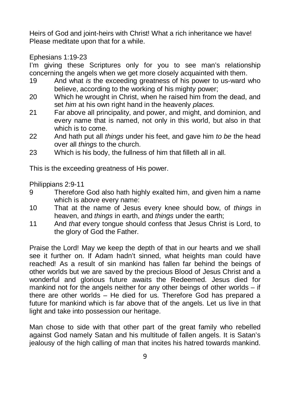Heirs of God and joint-heirs with Christ! What a rich inheritance we have! Please meditate upon that for a while.

Ephesians 1:19-23

I'm giving these Scriptures only for you to see man's relationship concerning the angels when we get more closely acquainted with them.

- 19 And what *is* the exceeding greatness of his power to us-ward who believe, according to the working of his mighty power;
- 20 Which he wrought in Christ, when he raised him from the dead, and set *him* at his own right hand in the heavenly *places.*
- 21 Far above all principality, and power, and might, and dominion, and every name that is named, not only in this world, but also in that which is to come.
- 22 And hath put all *things* under his feet, and gave him *to be* the head over all *things* to the church.
- 23 Which is his body, the fullness of him that filleth all in all.

This is the exceeding greatness of His power.

Philippians 2:9-11

- 9 Therefore God also hath highly exalted him, and given him a name which is above every name:
- 10 That at the name of Jesus every knee should bow, of *things* in heaven, and *things* in earth, and *things* under the earth;
- 11 And *that* every tongue should confess that Jesus Christ is Lord, to the glory of God the Father.

Praise the Lord! May we keep the depth of that in our hearts and we shall see it further on. If Adam hadn't sinned, what heights man could have reached! As a result of sin mankind has fallen far behind the beings of other worlds but we are saved by the precious Blood of Jesus Christ and a wonderful and glorious future awaits the Redeemed. Jesus died for mankind not for the angels neither for any other beings of other worlds – if there are other worlds – He died for us. Therefore God has prepared a future for mankind which is far above that of the angels. Let us live in that light and take into possession our heritage.

Man chose to side with that other part of the great family who rebelled against God namely Satan and his multitude of fallen angels. It is Satan's jealousy of the high calling of man that incites his hatred towards mankind.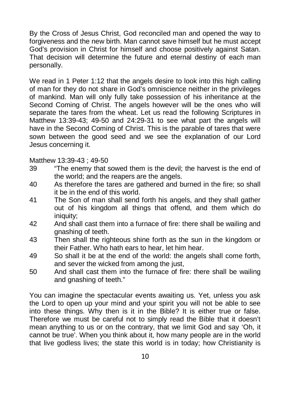By the Cross of Jesus Christ, God reconciled man and opened the way to forgiveness and the new birth. Man cannot save himself but he must accept God's provision in Christ for himself and choose positively against Satan. That decision will determine the future and eternal destiny of each man personally.

We read in 1 Peter 1:12 that the angels desire to look into this high calling of man for they do not share in God's omniscience neither in the privileges of mankind. Man will only fully take possession of his inheritance at the Second Coming of Christ. The angels however will be the ones who will separate the tares from the wheat. Let us read the following Scriptures in Matthew 13:39-43; 49-50 and 24:29-31 to see what part the angels will have in the Second Coming of Christ. This is the parable of tares that were sown between the good seed and we see the explanation of our Lord Jesus concerning it.

#### Matthew 13:39-43 ; 49-50

- 39 "The enemy that sowed them is the devil; the harvest is the end of the world; and the reapers are the angels.
- 40 As therefore the tares are gathered and burned in the fire; so shall it be in the end of this world.
- 41 The Son of man shall send forth his angels, and they shall gather out of his kingdom all things that offend, and them which do iniquity:
- 42 And shall cast them into a furnace of fire: there shall be wailing and gnashing of teeth.
- 43 Then shall the righteous shine forth as the sun in the kingdom or their Father. Who hath ears to hear, let him hear.
- 49 So shall it be at the end of the world: the angels shall come forth, and sever the wicked from among the just,
- 50 And shall cast them into the furnace of fire: there shall be wailing and gnashing of teeth."

You can imagine the spectacular events awaiting us. Yet, unless you ask the Lord to open up your mind and your spirit you will not be able to see into these things. Why then is it in the Bible? It is either true or false. Therefore we must be careful not to simply read the Bible that it doesn't mean anything to us or on the contrary, that we limit God and say 'Oh, it cannot be true'. When you think about it, how many people are in the world that live godless lives; the state this world is in today; how Christianity is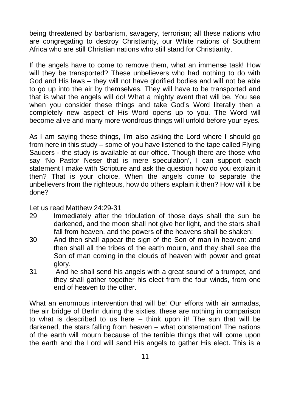being threatened by barbarism, savagery, terrorism; all these nations who are congregating to destroy Christianity, our White nations of Southern Africa who are still Christian nations who still stand for Christianity.

If the angels have to come to remove them, what an immense task! How will they be transported? These unbelievers who had nothing to do with God and His laws – they will not have glorified bodies and will not be able to go up into the air by themselves. They will have to be transported and that is what the angels will do! What a mighty event that will be. You see when you consider these things and take God's Word literally then a completely new aspect of His Word opens up to you. The Word will become alive and many more wondrous things will unfold before your eyes.

As I am saying these things, I'm also asking the Lord where I should go from here in this study – some of you have listened to the tape called Flying Saucers - the study is available at our office. Though there are those who say 'No Pastor Neser that is mere speculation', I can support each statement I make with Scripture and ask the question how do you explain it then? That is your choice. When the angels come to separate the unbelievers from the righteous, how do others explain it then? How will it be done?

#### Let us read Matthew 24:29-31

- 29 Immediately after the tribulation of those days shall the sun be darkened, and the moon shall not give her light, and the stars shall fall from heaven, and the powers of the heavens shall be shaken:
- 30 And then shall appear the sign of the Son of man in heaven: and then shall all the tribes of the earth mourn, and they shall see the Son of man coming in the clouds of heaven with power and great glory.
- 31 And he shall send his angels with a great sound of a trumpet, and they shall gather together his elect from the four winds, from one end of heaven to the other.

What an enormous intervention that will be! Our efforts with air armadas, the air bridge of Berlin during the sixties, these are nothing in comparison to what is described to us here – think upon it! The sun that will be darkened, the stars falling from heaven – what consternation! The nations of the earth will mourn because of the terrible things that will come upon the earth and the Lord will send His angels to gather His elect. This is a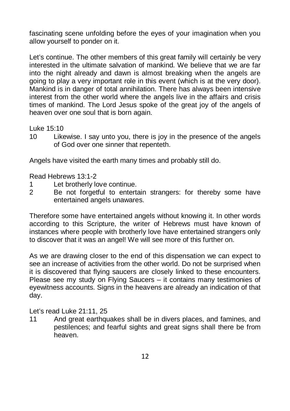fascinating scene unfolding before the eyes of your imagination when you allow yourself to ponder on it.

Let's continue. The other members of this great family will certainly be very interested in the ultimate salvation of mankind. We believe that we are far into the night already and dawn is almost breaking when the angels are going to play a very important role in this event (which is at the very door). Mankind is in danger of total annihilation. There has always been intensive interest from the other world where the angels live in the affairs and crisis times of mankind. The Lord Jesus spoke of the great joy of the angels of heaven over one soul that is born again.

Luke 15:10

10 Likewise. I say unto you, there is joy in the presence of the angels of God over one sinner that repenteth.

Angels have visited the earth many times and probably still do.

Read Hebrews 13:1-2

- 1 Let brotherly love continue.
- 2 Be not forgetful to entertain strangers: for thereby some have entertained angels unawares.

Therefore some have entertained angels without knowing it. In other words according to this Scripture, the writer of Hebrews must have known of instances where people with brotherly love have entertained strangers only to discover that it was an angel! We will see more of this further on.

As we are drawing closer to the end of this dispensation we can expect to see an increase of activities from the other world. Do not be surprised when it is discovered that flying saucers are closely linked to these encounters. Please see my study on Flying Saucers – it contains many testimonies of eyewitness accounts. Signs in the heavens are already an indication of that day.

Let's read Luke 21:11, 25

11 And great earthquakes shall be in divers places, and famines, and pestilences; and fearful sights and great signs shall there be from heaven.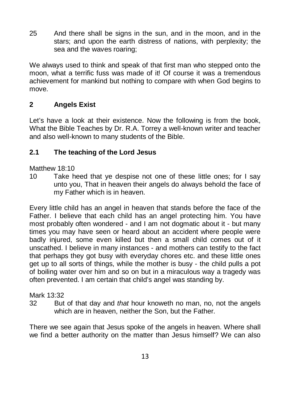25 And there shall be signs in the sun, and in the moon, and in the stars; and upon the earth distress of nations, with perplexity; the sea and the waves roaring;

We always used to think and speak of that first man who stepped onto the moon, what a terrific fuss was made of it! Of course it was a tremendous achievement for mankind but nothing to compare with when God begins to move.

# **2 Angels Exist**

Let's have a look at their existence. Now the following is from the book, What the Bible Teaches by Dr. R.A. Torrey a well-known writer and teacher and also well-known to many students of the Bible.

#### **2.1 The teaching of the Lord Jesus**

Matthew 18:10

10 Take heed that ye despise not one of these little ones; for I say unto you, That in heaven their angels do always behold the face of my Father which is in heaven.

Every little child has an angel in heaven that stands before the face of the Father. I believe that each child has an angel protecting him. You have most probably often wondered - and I am not dogmatic about it - but many times you may have seen or heard about an accident where people were badly injured, some even killed but then a small child comes out of it unscathed. I believe in many instances - and mothers can testify to the fact that perhaps they got busy with everyday chores etc. and these little ones get up to all sorts of things, while the mother is busy - the child pulls a pot of boiling water over him and so on but in a miraculous way a tragedy was often prevented. I am certain that child's angel was standing by.

#### Mark 13:32

32 But of that day and *that* hour knoweth no man, no, not the angels which are in heaven, neither the Son, but the Father.

There we see again that Jesus spoke of the angels in heaven. Where shall we find a better authority on the matter than Jesus himself? We can also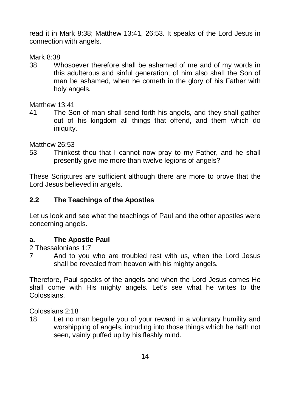read it in Mark 8:38; Matthew 13:41, 26:53. It speaks of the Lord Jesus in connection with angels.

Mark 8:38

38 Whosoever therefore shall be ashamed of me and of my words in this adulterous and sinful generation; of him also shall the Son of man be ashamed, when he cometh in the glory of his Father with holy angels.

Matthew 13:41

41 The Son of man shall send forth his angels, and they shall gather out of his kingdom all things that offend, and them which do iniquity.

Matthew 26:53

53 Thinkest thou that I cannot now pray to my Father, and he shall presently give me more than twelve legions of angels?

These Scriptures are sufficient although there are more to prove that the Lord Jesus believed in angels.

#### **2.2 The Teachings of the Apostles**

Let us look and see what the teachings of Paul and the other apostles were concerning angels.

#### **a. The Apostle Paul**

- 2 Thessalonians 1:7
- 7 And to you who are troubled rest with us, when the Lord Jesus shall be revealed from heaven with his mighty angels.

Therefore, Paul speaks of the angels and when the Lord Jesus comes He shall come with His mighty angels. Let's see what he writes to the **Colossians** 

Colossians 2:18

18 Let no man beguile you of your reward in a voluntary humility and worshipping of angels, intruding into those things which he hath not seen, vainly puffed up by his fleshly mind.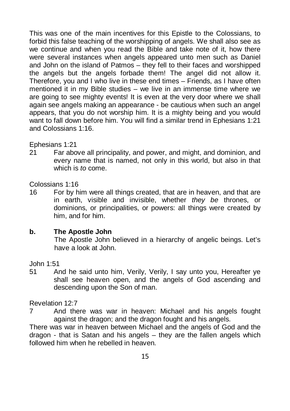This was one of the main incentives for this Epistle to the Colossians, to forbid this false teaching of the worshipping of angels. We shall also see as we continue and when you read the Bible and take note of it, how there were several instances when angels appeared unto men such as Daniel and John on the island of Patmos – they fell to their faces and worshipped the angels but the angels forbade them! The angel did not allow it. Therefore, you and I who live in these end times – Friends, as I have often mentioned it in my Bible studies – we live in an immense time where we are going to see mighty events! It is even at the very door where we shall again see angels making an appearance - be cautious when such an angel appears, that you do not worship him. It is a mighty being and you would want to fall down before him. You will find a similar trend in Ephesians 1:21 and Colossians 1:16.

#### Ephesians 1:21

21 Far above all principality, and power, and might, and dominion, and every name that is named, not only in this world, but also in that which is *to* come.

#### Colossians 1:16

16 For by him were all things created, that are in heaven, and that are in earth, visible and invisible, whether *they be* thrones, or dominions, or principalities, or powers: all things were created by him, and for him.

#### **b. The Apostle John**

The Apostle John believed in a hierarchy of angelic beings. Let's have a look at John.

#### John 1:51

51 And he said unto him, Verily, Verily, I say unto you, Hereafter ye shall see heaven open, and the angels of God ascending and descending upon the Son of man.

#### Revelation 12:7

7 And there was war in heaven: Michael and his angels fought against the dragon; and the dragon fought and his angels.

There was war in heaven between Michael and the angels of God and the dragon - that is Satan and his angels – they are the fallen angels which followed him when he rebelled in heaven.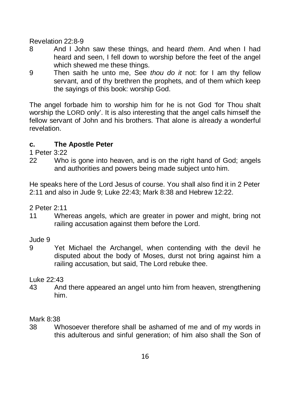Revelation 22:8-9

- 8 And I John saw these things, and heard *them*. And when I had heard and seen. I fell down to worship before the feet of the angel which shewed me these things.
- 9 Then saith he unto me, See *thou do it* not: for I am thy fellow servant, and of thy brethren the prophets, and of them which keep the sayings of this book: worship God.

The angel forbade him to worship him for he is not God 'for Thou shalt worship the LORD only'. It is also interesting that the angel calls himself the fellow servant of John and his brothers. That alone is already a wonderful revelation.

# **c. The Apostle Peter**

1 Peter 3:22

22 Who is gone into heaven, and is on the right hand of God; angels and authorities and powers being made subject unto him.

He speaks here of the Lord Jesus of course. You shall also find it in 2 Peter 2:11 and also in Jude 9; Luke 22:43; Mark 8:38 and Hebrew 12:22.

2 Peter 2:11

11 Whereas angels, which are greater in power and might, bring not railing accusation against them before the Lord.

#### Jude 9

9 Yet Michael the Archangel, when contending with the devil he disputed about the body of Moses, durst not bring against him a railing accusation, but said, The Lord rebuke thee.

#### Luke 22:43

43 And there appeared an angel unto him from heaven, strengthening him.

#### Mark 8:38

38 Whosoever therefore shall be ashamed of me and of my words in this adulterous and sinful generation; of him also shall the Son of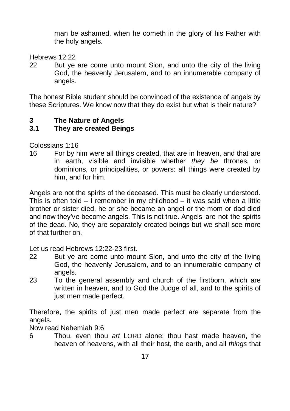man be ashamed, when he cometh in the glory of his Father with the holy angels.

Hebrews 12:22

22 But ye are come unto mount Sion, and unto the city of the living God, the heavenly Jerusalem, and to an innumerable company of angels.

The honest Bible student should be convinced of the existence of angels by these Scriptures. We know now that they do exist but what is their nature?

#### **3 The Nature of Angels**

#### **3.1 They are created Beings**

Colossians 1:16

16 For by him were all things created, that are in heaven, and that are in earth, visible and invisible whether *they be* thrones, or dominions, or principalities, or powers: all things were created by him, and for him.

Angels are not the spirits of the deceased. This must be clearly understood. This is often told  $-1$  remember in my childhood  $-$  it was said when a little brother or sister died, he or she became an angel or the mom or dad died and now they've become angels. This is not true. Angels are not the spirits of the dead. No, they are separately created beings but we shall see more of that further on.

Let us read Hebrews 12:22-23 first.

- 22 But ye are come unto mount Sion, and unto the city of the living God, the heavenly Jerusalem, and to an innumerable company of angels.
- 23 To the general assembly and church of the firstborn, which are written in heaven, and to God the Judge of all, and to the spirits of just men made perfect.

Therefore, the spirits of just men made perfect are separate from the angels.

Now read Nehemiah 9:6

6 Thou, even thou *art* LORD alone; thou hast made heaven, the heaven of heavens, with all their host, the earth, and all *things* that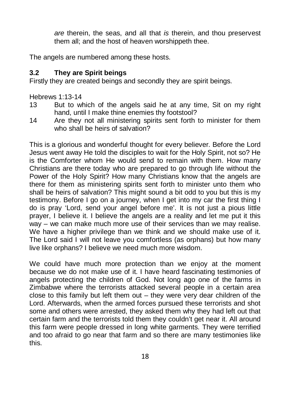*are* therein, the seas, and all that *is* therein, and thou preservest them all; and the host of heaven worshippeth thee.

The angels are numbered among these hosts.

#### **3.2 They are Spirit beings**

Firstly they are created beings and secondly they are spirit beings.

Hebrews 1:13-14

- 13 But to which of the angels said he at any time, Sit on my right hand, until I make thine enemies thy footstool?
- 14 Are they not all ministering spirits sent forth to minister for them who shall be heirs of salvation?

This is a glorious and wonderful thought for every believer. Before the Lord Jesus went away He told the disciples to wait for the Holy Spirit, not so? He is the Comforter whom He would send to remain with them. How many Christians are there today who are prepared to go through life without the Power of the Holy Spirit? How many Christians know that the angels are there for them as ministering spirits sent forth to minister unto them who shall be heirs of salvation? This might sound a bit odd to you but this is my testimony. Before I go on a journey, when I get into my car the first thing I do is pray 'Lord, send your angel before me'. It is not just a pious little prayer, I believe it. I believe the angels are a reality and let me put it this way – we can make much more use of their services than we may realise. We have a higher privilege than we think and we should make use of it. The Lord said I will not leave you comfortless (as orphans) but how many live like orphans? I believe we need much more wisdom.

We could have much more protection than we enjoy at the moment because we do not make use of it. I have heard fascinating testimonies of angels protecting the children of God. Not long ago one of the farms in Zimbabwe where the terrorists attacked several people in a certain area close to this family but left them out – they were very dear children of the Lord. Afterwards, when the armed forces pursued these terrorists and shot some and others were arrested, they asked them why they had left out that certain farm and the terrorists told them they couldn't get near it. All around this farm were people dressed in long white garments. They were terrified and too afraid to go near that farm and so there are many testimonies like this.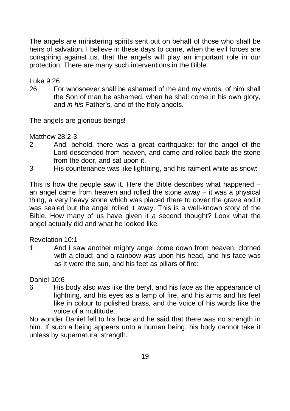The angels are ministering spirits sent out on behalf of those who shall be heirs of salvation. I believe in these days to come, when the evil forces are conspiring against us, that the angels will play an important role in our protection. There are many such interventions in the Bible.

Luke 9:26

26 For whosoever shall be ashamed of me and my words, of him shall the Son of man be ashamed, when he shall come in his own glory, and *in his* Father's, and of the holy angels.

The angels are glorious beings!

Matthew 28:2-3

- 2 And, behold, there was a great earthquake: for the angel of the Lord descended from heaven, and came and rolled back the stone from the door, and sat upon it.
- 3 His countenance was like lightning, and his raiment white as snow:

This is how the people saw it. Here the Bible describes what happened – an angel came from heaven and rolled the stone away – it was a physical thing, a very heavy stone which was placed there to cover the grave and it was sealed but the angel rolled it away. This is a well-known story of the Bible. How many of us have given it a second thought? Look what the angel actually did and what he looked like.

#### Revelation 10:1

1 And I saw another mighty angel come down from heaven, clothed with a cloud: and a rainbow *was* upon his head, and his face was as it were the sun, and his feet as pillars of fire:

Daniel 10:6

6 His body also *was* like the beryl, and his face as the appearance of lightning, and his eyes as a lamp of fire, and his arms and his feet like in colour to polished brass, and the voice of his words like the voice of a multitude.

No wonder Daniel fell to his face and he said that there was no strength in him. If such a being appears unto a human being, his body cannot take it unless by supernatural strength.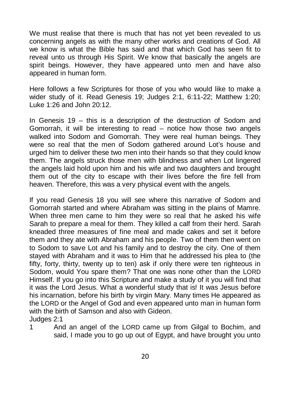We must realise that there is much that has not yet been revealed to us concerning angels as with the many other works and creations of God. All we know is what the Bible has said and that which God has seen fit to reveal unto us through His Spirit. We know that basically the angels are spirit beings. However, they have appeared unto men and have also appeared in human form.

Here follows a few Scriptures for those of you who would like to make a wider study of it. Read Genesis 19; Judges 2:1, 6:11-22; Matthew 1:20; Luke 1:26 and John 20:12.

In Genesis 19 – this is a description of the destruction of Sodom and Gomorrah, it will be interesting to read – notice how those two angels walked into Sodom and Gomorrah. They were real human beings. They were so real that the men of Sodom gathered around Lot's house and urged him to deliver these two men into their hands so that they could know them. The angels struck those men with blindness and when Lot lingered the angels laid hold upon him and his wife and two daughters and brought them out of the city to escape with their lives before the fire fell from heaven. Therefore, this was a very physical event with the angels.

If you read Genesis 18 you will see where this narrative of Sodom and Gomorrah started and where Abraham was sitting in the plains of Mamre. When three men came to him they were so real that he asked his wife Sarah to prepare a meal for them. They killed a calf from their herd. Sarah kneaded three measures of fine meal and made cakes and set it before them and they ate with Abraham and his people. Two of them then went on to Sodom to save Lot and his family and to destroy the city. One of them stayed with Abraham and it was to Him that he addressed his plea to (the fifty, forty, thirty, twenty up to ten) ask if only there were ten righteous in Sodom, would You spare them? That one was none other than the LORD Himself. If you go into this Scripture and make a study of it you will find that it was the Lord Jesus. What a wonderful study that is! It was Jesus before his incarnation, before his birth by virgin Mary. Many times He appeared as the LORD or the Angel of God and even appeared unto man in human form with the birth of Samson and also with Gideon. Judges 2:1

1 And an angel of the LORD came up from Gilgal to Bochim, and said, I made you to go up out of Egypt, and have brought you unto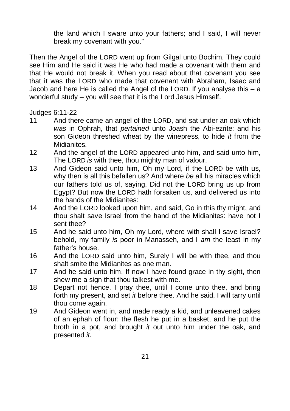the land which I sware unto your fathers; and I said, I will never break my covenant with you."

Then the Angel of the LORD went up from Gilgal unto Bochim. They could see Him and He said it was He who had made a covenant with them and that He would not break it. When you read about that covenant you see that it was the LORD who made that covenant with Abraham, Isaac and Jacob and here He is called the Angel of the LORD. If you analyse this  $-$  a wonderful study – you will see that it is the Lord Jesus Himself.

Judges 6:11-22

- 11 And there came an angel of the LORD, and sat under an oak which *was* in Ophrah, that *pertained* unto Joash the Abi-ezrite: and his son Gideon threshed wheat by the winepress, to hide *it* from the Midianites.
- 12 And the angel of the LORD appeared unto him, and said unto him, The LORD *is* with thee, thou mighty man of valour.
- 13 And Gideon said unto him, Oh my Lord, if the LORD be with us, why then is all this befallen us? And where *be* all his miracles which our fathers told us of, saying, Did not the LORD bring us up from Egypt? But now the LORD hath forsaken us, and delivered us into the hands of the Midianites:
- 14 And the LORD looked upon him, and said, Go in this thy might, and thou shalt save Israel from the hand of the Midianites: have not I sent thee?
- 15 And he said unto him, Oh my Lord, where with shall I save Israel? behold, my family *is* poor in Manasseh, and I *am* the least in my father's house.
- 16 And the LORD said unto him, Surely I will be with thee, and thou shalt smite the Midianites as one man.
- 17 And he said unto him, If now I have found grace in thy sight, then shew me a sign that thou talkest with me.
- 18 Depart not hence, I pray thee, until I come unto thee, and bring forth my present, and set *it* before thee. And he said, I will tarry until thou come again.
- 19 And Gideon went in, and made ready a kid, and unleavened cakes of an ephah of flour: the flesh he put in a basket, and he put the broth in a pot, and brought *it* out unto him under the oak, and presented *it.*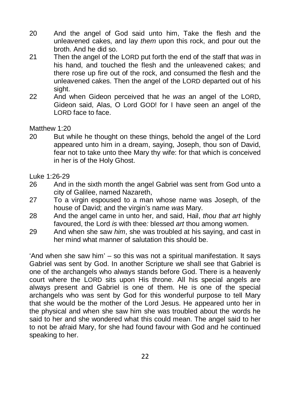- 20 And the angel of God said unto him, Take the flesh and the unleavened cakes, and lay *them* upon this rock, and pour out the broth. And he did so.
- 21 Then the angel of the LORD put forth the end of the staff that *was* in his hand, and touched the flesh and the unleavened cakes; and there rose up fire out of the rock, and consumed the flesh and the unleavened cakes. Then the angel of the LORD departed out of his sight.
- 22 And when Gideon perceived that he *was* an angel of the LORD, Gideon said, Alas, O Lord GOD! for I have seen an angel of the LORD face to face.

#### Matthew 1:20

20 But while he thought on these things, behold the angel of the Lord appeared unto him in a dream, saying, Joseph, thou son of David, fear not to take unto thee Mary thy wife: for that which is conceived in her is of the Holy Ghost.

Luke 1:26-29

- 26 And in the sixth month the angel Gabriel was sent from God unto a city of Galilee, named Nazareth,
- 27 To a virgin espoused to a man whose name was Joseph, of the house of David; and the virgin's name *was* Mary.
- 28 And the angel came in unto her, and said, Hail, *thou that art* highly favoured, the Lord *is* with thee*:* blessed *art* thou among women.
- 29 And when she saw *him*, she was troubled at his saying, and cast in her mind what manner of salutation this should be.

'And when she saw him' – so this was not a spiritual manifestation. It says Gabriel was sent by God. In another Scripture we shall see that Gabriel is one of the archangels who always stands before God. There is a heavenly court where the LORD sits upon His throne. All his special angels are always present and Gabriel is one of them. He is one of the special archangels who was sent by God for this wonderful purpose to tell Mary that she would be the mother of the Lord Jesus. He appeared unto her in the physical and when she saw him she was troubled about the words he said to her and she wondered what this could mean. The angel said to her to not be afraid Mary, for she had found favour with God and he continued speaking to her.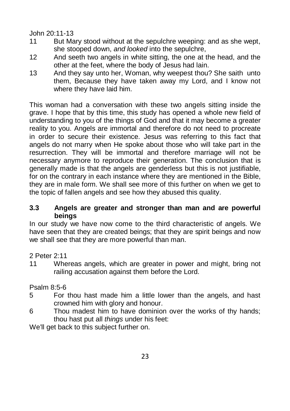#### John 20:11-13

- 11 But Mary stood without at the sepulchre weeping: and as she wept, she stooped down, *and looked* into the sepulchre,
- 12 And seeth two angels in white sitting, the one at the head, and the other at the feet, where the body of Jesus had lain.
- 13 And they say unto her, Woman, why weepest thou? She saith unto them, Because they have taken away my Lord, and I know not where they have laid him.

This woman had a conversation with these two angels sitting inside the grave. I hope that by this time, this study has opened a whole new field of understanding to you of the things of God and that it may become a greater reality to you. Angels are immortal and therefore do not need to procreate in order to secure their existence. Jesus was referring to this fact that angels do not marry when He spoke about those who will take part in the resurrection. They will be immortal and therefore marriage will not be necessary anymore to reproduce their generation. The conclusion that is generally made is that the angels are genderless but this is not justifiable, for on the contrary in each instance where they are mentioned in the Bible, they are in male form. We shall see more of this further on when we get to the topic of fallen angels and see how they abused this quality.

#### **3.3 Angels are greater and stronger than man and are powerful beings**

In our study we have now come to the third characteristic of angels. We have seen that they are created beings; that they are spirit beings and now we shall see that they are more powerful than man.

#### 2 Peter 2:11

11 Whereas angels, which are greater in power and might, bring not railing accusation against them before the Lord.

#### Psalm 8:5-6

- 5 For thou hast made him a little lower than the angels, and hast crowned him with glory and honour.
- 6 Thou madest him to have dominion over the works of thy hands; thou hast put all *things* under his feet:

We'll get back to this subject further on.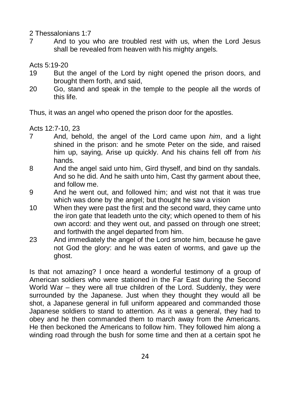2 Thessalonians 1:7

7 And to you who are troubled rest with us, when the Lord Jesus shall be revealed from heaven with his mighty angels.

Acts 5:19-20

- 19 But the angel of the Lord by night opened the prison doors, and brought them forth, and said,
- 20 Go, stand and speak in the temple to the people all the words of this life.

Thus, it was an angel who opened the prison door for the apostles.

Acts 12:7-10, 23

- 7 And, behold, the angel of the Lord came upon *him*, and a light shined in the prison: and he smote Peter on the side, and raised him up, saying, Arise up quickly. And his chains fell off from *his* hands.
- 8 And the angel said unto him, Gird thyself, and bind on thy sandals. And so he did. And he saith unto him, Cast thy garment about thee, and follow me.
- 9 And he went out, and followed him; and wist not that it was true which was done by the angel; but thought he saw a vision
- 10 When they were past the first and the second ward, they came unto the iron gate that leadeth unto the city; which opened to them of his own accord: and they went out, and passed on through one street; and forthwith the angel departed from him.
- 23 And immediately the angel of the Lord smote him, because he gave not God the glory: and he was eaten of worms, and gave up the ghost.

Is that not amazing? I once heard a wonderful testimony of a group of American soldiers who were stationed in the Far East during the Second World War – they were all true children of the Lord. Suddenly, they were surrounded by the Japanese. Just when they thought they would all be shot, a Japanese general in full uniform appeared and commanded those Japanese soldiers to stand to attention. As it was a general, they had to obey and he then commanded them to march away from the Americans. He then beckoned the Americans to follow him. They followed him along a winding road through the bush for some time and then at a certain spot he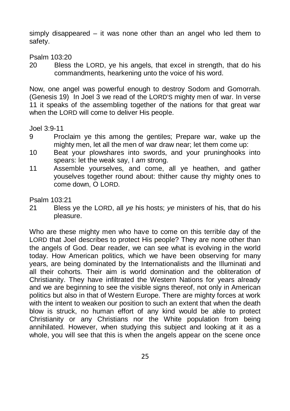simply disappeared – it was none other than an angel who led them to safety.

Psalm 103:20

20 Bless the LORD, ye his angels, that excel in strength, that do his commandments, hearkening unto the voice of his word.

Now, one angel was powerful enough to destroy Sodom and Gomorrah. (Genesis 19) In Joel 3 we read of the LORD'S mighty men of war. In verse 11 it speaks of the assembling together of the nations for that great war when the LORD will come to deliver His people.

Joel 3:9-11

- 9 Proclaim ye this among the gentiles; Prepare war, wake up the mighty men, let all the men of war draw near; let them come up:
- 10 Beat your plowshares into swords, and your pruninghooks into spears: let the weak say, I *am* strong.
- 11 Assemble yourselves, and come, all ye heathen, and gather youselves together round about: thither cause thy mighty ones to come down, O LORD.

Psalm 103:21

21 Bless ye the LORD, all *ye* his hosts; *ye* ministers of his, that do his pleasure.

Who are these mighty men who have to come on this terrible day of the LORD that Joel describes to protect His people? They are none other than the angels of God. Dear reader, we can see what is evolving in the world today. How American politics, which we have been observing for many years, are being dominated by the Internationalists and the Illuminati and all their cohorts. Their aim is world domination and the obliteration of Christianity. They have infiltrated the Western Nations for years already and we are beginning to see the visible signs thereof, not only in American politics but also in that of Western Europe. There are mighty forces at work with the intent to weaken our position to such an extent that when the death blow is struck, no human effort of any kind would be able to protect Christianity or any Christians nor the White population from being annihilated. However, when studying this subject and looking at it as a whole, you will see that this is when the angels appear on the scene once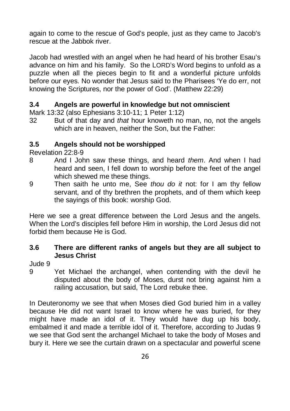again to come to the rescue of God's people, just as they came to Jacob's rescue at the Jabbok river.

Jacob had wrestled with an angel when he had heard of his brother Esau's advance on him and his family. So the LORD's Word begins to unfold as a puzzle when all the pieces begin to fit and a wonderful picture unfolds before our eyes. No wonder that Jesus said to the Pharisees 'Ye do err, not knowing the Scriptures, nor the power of God'. (Matthew 22:29)

#### **3.4 Angels are powerful in knowledge but not omniscient**

Mark 13:32 (also Ephesians 3:10-11; 1 Peter 1:12)

32 But of that day and *that* hour knoweth no man, no, not the angels which are in heaven, neither the Son, but the Father:

#### **3.5 Angels should not be worshipped**

Revelation 22:8-9

- 8 And I John saw these things, and heard *them*. And when I had heard and seen, I fell down to worship before the feet of the angel which shewed me these things.
- 9 Then saith he unto me, See *thou do it* not: for I am thy fellow servant, and of thy brethren the prophets, and of them which keep the sayings of this book: worship God.

Here we see a great difference between the Lord Jesus and the angels. When the Lord's disciples fell before Him in worship, the Lord Jesus did not forbid them because He is God.

#### **3.6 There are different ranks of angels but they are all subject to Jesus Christ**

Jude 9

9 Yet Michael the archangel, when contending with the devil he disputed about the body of Moses, durst not bring against him a railing accusation, but said, The Lord rebuke thee.

In Deuteronomy we see that when Moses died God buried him in a valley because He did not want Israel to know where he was buried, for they might have made an idol of it. They would have dug up his body, embalmed it and made a terrible idol of it. Therefore, according to Judas 9 we see that God sent the archangel Michael to take the body of Moses and bury it. Here we see the curtain drawn on a spectacular and powerful scene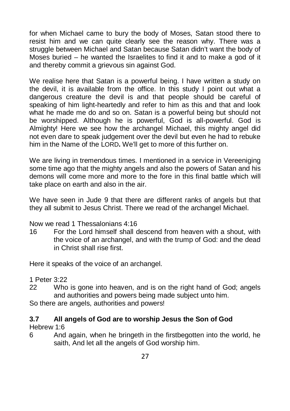for when Michael came to bury the body of Moses, Satan stood there to resist him and we can quite clearly see the reason why. There was a struggle between Michael and Satan because Satan didn't want the body of Moses buried – he wanted the Israelites to find it and to make a god of it and thereby commit a grievous sin against God.

We realise here that Satan is a powerful being. I have written a study on the devil, it is available from the office. In this study I point out what a dangerous creature the devil is and that people should be careful of speaking of him light-heartedly and refer to him as this and that and look what he made me do and so on. Satan is a powerful being but should not be worshipped. Although he is powerful, God is all-powerful. God is Almighty! Here we see how the archangel Michael, this mighty angel did not even dare to speak judgement over the devil but even he had to rebuke him in the Name of the LORD**.** We'll get to more of this further on.

We are living in tremendous times. I mentioned in a service in Vereeniging some time ago that the mighty angels and also the powers of Satan and his demons will come more and more to the fore in this final battle which will take place on earth and also in the air.

We have seen in Jude 9 that there are different ranks of angels but that they all submit to Jesus Christ. There we read of the archangel Michael.

Now we read 1 Thessalonians 4:16

16 For the Lord himself shall descend from heaven with a shout, with the voice of an archangel, and with the trump of God: and the dead in Christ shall rise first.

Here it speaks of the voice of an archangel.

1 Peter 3:22

22 Who is gone into heaven, and is on the right hand of God; angels and authorities and powers being made subject unto him.

So there are angels, authorities and powers!

#### **3.7 All angels of God are to worship Jesus the Son of God**

Hebrew 1:6

6 And again, when he bringeth in the firstbegotten into the world, he saith, And let all the angels of God worship him.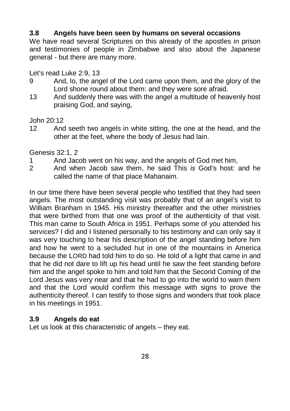#### **3.8 Angels have been seen by humans on several occasions**

We have read several Scriptures on this already of the apostles in prison and testimonies of people in Zimbabwe and also about the Japanese general - but there are many more.

Let's read Luke 2:9, 13

- 9 And, lo, the angel of the Lord came upon them, and the glory of the Lord shone round about them: and they were sore afraid.
- 13 And suddenly there was with the angel a multitude of heavenly host praising God, and saying,

John 20:12

12 And seeth two angels in white sitting, the one at the head, and the other at the feet, where the body of Jesus had lain.

Genesis 32:1, 2

- 1 And Jacob went on his way, and the angels of God met him,
- 2 And when Jacob saw them, he said This *is* God's host: and he called the name of that place Mahanaim.

In our time there have been several people who testified that they had seen angels. The most outstanding visit was probably that of an angel's visit to William Branham in 1945. His ministry thereafter and the other ministries that were birthed from that one was proof of the authenticity of that visit. This man came to South Africa in 1951. Perhaps some of you attended his services? I did and I listened personally to his testimony and can only say it was very touching to hear his description of the angel standing before him and how he went to a secluded hut in one of the mountains in America because the LORD had told him to do so. He told of a light that came in and that he did not dare to lift up his head until he saw the feet standing before him and the angel spoke to him and told him that the Second Coming of the Lord Jesus was very near and that he had to go into the world to warn them and that the Lord would confirm this message with signs to prove the authenticity thereof. I can testify to those signs and wonders that took place in his meetings in 1951.

#### **3.9 Angels do eat**

Let us look at this characteristic of angels – they eat.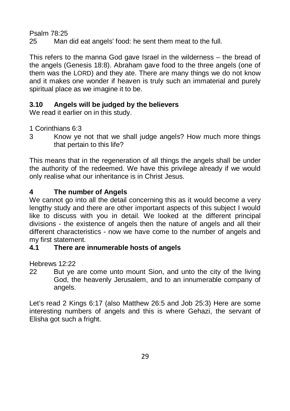Psalm 78:25

25 Man did eat angels' food: he sent them meat to the full.

This refers to the manna God gave Israel in the wilderness – the bread of the angels (Genesis 18:8). Abraham gave food to the three angels (one of them was the LORD) and they ate. There are many things we do not know and it makes one wonder if heaven is truly such an immaterial and purely spiritual place as we imagine it to be.

# **3.10 Angels will be judged by the believers**

We read it earlier on in this study.

1 Corinthians 6:3

3 Know ye not that we shall judge angels? How much more things that pertain to this life?

This means that in the regeneration of all things the angels shall be under the authority of the redeemed. We have this privilege already if we would only realise what our inheritance is in Christ Jesus.

# **4 The number of Angels**

We cannot go into all the detail concerning this as it would become a very lengthy study and there are other important aspects of this subject I would like to discuss with you in detail. We looked at the different principal divisions - the existence of angels then the nature of angels and all their different characteristics - now we have come to the number of angels and my first statement.

# **4.1 There are innumerable hosts of angels**

Hebrews 12:22

22 But ye are come unto mount Sion, and unto the city of the living God, the heavenly Jerusalem, and to an innumerable company of angels.

Let's read 2 Kings 6:17 (also Matthew 26:5 and Job 25:3) Here are some interesting numbers of angels and this is where Gehazi, the servant of Elisha got such a fright.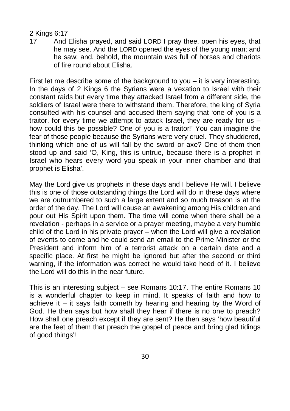#### 2 Kings 6:17

17 And Elisha prayed, and said LORD I pray thee, open his eyes, that he may see. And the LORD opened the eyes of the young man; and he saw: and, behold, the mountain *was* full of horses and chariots of fire round about Elisha.

First let me describe some of the background to you – it is very interesting. In the days of 2 Kings 6 the Syrians were a vexation to Israel with their constant raids but every time they attacked Israel from a different side, the soldiers of Israel were there to withstand them. Therefore, the king of Syria consulted with his counsel and accused them saying that 'one of you is a traitor, for every time we attempt to attack Israel, they are ready for us – how could this be possible? One of you is a traitor!' You can imagine the fear of those people because the Syrians were very cruel. They shuddered, thinking which one of us will fall by the sword or axe? One of them then stood up and said 'O, King, this is untrue, because there is a prophet in Israel who hears every word you speak in your inner chamber and that prophet is Elisha'.

May the Lord give us prophets in these days and I believe He will. I believe this is one of those outstanding things the Lord will do in these days where we are outnumbered to such a large extent and so much treason is at the order of the day. The Lord will cause an awakening among His children and pour out His Spirit upon them. The time will come when there shall be a revelation - perhaps in a service or a prayer meeting, maybe a very humble child of the Lord in his private prayer – when the Lord will give a revelation of events to come and he could send an email to the Prime Minister or the President and inform him of a terrorist attack on a certain date and a specific place. At first he might be ignored but after the second or third warning, if the information was correct he would take heed of it. I believe the Lord will do this in the near future.

This is an interesting subject – see Romans 10:17. The entire Romans 10 is a wonderful chapter to keep in mind. It speaks of faith and how to achieve it  $-$  it says faith cometh by hearing and hearing by the Word of God. He then says but how shall they hear if there is no one to preach? How shall one preach except if they are sent? He then says 'how beautiful are the feet of them that preach the gospel of peace and bring glad tidings of good things'!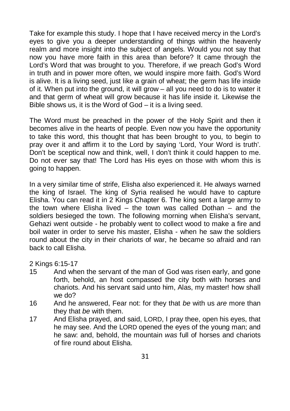Take for example this study. I hope that I have received mercy in the Lord's eyes to give you a deeper understanding of things within the heavenly realm and more insight into the subject of angels. Would you not say that now you have more faith in this area than before? It came through the Lord's Word that was brought to you. Therefore, if we preach God's Word in truth and in power more often, we would inspire more faith. God's Word is alive. It is a living seed, just like a grain of wheat; the germ has life inside of it. When put into the ground, it will grow – all you need to do is to water it and that germ of wheat will grow because it has life inside it. Likewise the Bible shows us, it is the Word of God – it is a living seed.

The Word must be preached in the power of the Holy Spirit and then it becomes alive in the hearts of people. Even now you have the opportunity to take this word, this thought that has been brought to you, to begin to pray over it and affirm it to the Lord by saying 'Lord, Your Word is truth'. Don't be sceptical now and think, well, I don't think it could happen to me. Do not ever say that! The Lord has His eyes on those with whom this is going to happen.

In a very similar time of strife, Elisha also experienced it. He always warned the king of Israel. The king of Syria realised he would have to capture Elisha. You can read it in 2 Kings Chapter 6. The king sent a large army to the town where Elisha lived – the town was called Dothan – and the soldiers besieged the town. The following morning when Elisha's servant, Gehazi went outside - he probably went to collect wood to make a fire and boil water in order to serve his master, Elisha - when he saw the soldiers round about the city in their chariots of war, he became so afraid and ran back to call Elisha.

2 Kings 6:15-17

- 15 And when the servant of the man of God was risen early, and gone forth, behold, an host compassed the city both with horses and chariots. And his servant said unto him, Alas, my master! how shall we do?
- 16 And he answered, Fear not: for they that *be* with us *are* more than they that *be* with them.
- 17 And Elisha prayed, and said, LORD, I pray thee, open his eyes, that he may see. And the LORD opened the eyes of the young man; and he saw: and, behold, the mountain *was* full of horses and chariots of fire round about Elisha.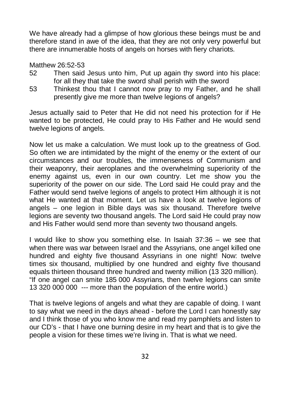We have already had a glimpse of how glorious these beings must be and therefore stand in awe of the idea, that they are not only very powerful but there are innumerable hosts of angels on horses with fiery chariots.

#### Matthew 26:52-53

- 52 Then said Jesus unto him, Put up again thy sword into his place: for all they that take the sword shall perish with the sword
- 53 Thinkest thou that I cannot now pray to my Father, and he shall presently give me more than twelve legions of angels?

Jesus actually said to Peter that He did not need his protection for if He wanted to be protected, He could pray to His Father and He would send twelve legions of angels.

Now let us make a calculation. We must look up to the greatness of God. So often we are intimidated by the might of the enemy or the extent of our circumstances and our troubles, the immenseness of Communism and their weaponry, their aeroplanes and the overwhelming superiority of the enemy against us, even in our own country. Let me show you the superiority of the power on our side. The Lord said He could pray and the Father would send twelve legions of angels to protect Him although it is not what He wanted at that moment. Let us have a look at twelve legions of angels – one legion in Bible days was six thousand. Therefore twelve legions are seventy two thousand angels. The Lord said He could pray now and His Father would send more than seventy two thousand angels.

I would like to show you something else. In Isaiah 37:36 – we see that when there was war between Israel and the Assyrians, one angel killed one hundred and eighty five thousand Assyrians in one night! Now: twelve times six thousand, multiplied by one hundred and eighty five thousand equals thirteen thousand three hundred and twenty million (13 320 million). "If one angel can smite 185 000 Assyrians, then twelve legions can smite 13 320 000 000 --- more than the population of the entire world.)

That is twelve legions of angels and what they are capable of doing. I want to say what we need in the days ahead - before the Lord I can honestly say and I think those of you who know me and read my pamphlets and listen to our CD's - that I have one burning desire in my heart and that is to give the people a vision for these times we're living in. That is what we need.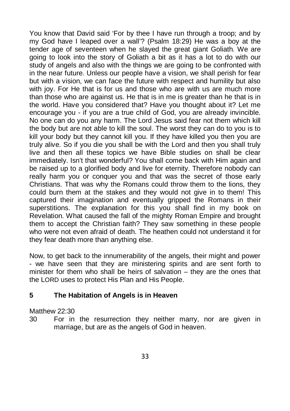You know that David said 'For by thee I have run through a troop; and by my God have I leaped over a wall'? (Psalm 18:29) He was a boy at the tender age of seventeen when he slayed the great giant Goliath. We are going to look into the story of Goliath a bit as it has a lot to do with our study of angels and also with the things we are going to be confronted with in the near future. Unless our people have a vision, we shall perish for fear but with a vision, we can face the future with respect and humility but also with joy. For He that is for us and those who are with us are much more than those who are against us. He that is in me is greater than he that is in the world. Have you considered that? Have you thought about it? Let me encourage you - if you are a true child of God, you are already invincible. No one can do you any harm. The Lord Jesus said fear not them which kill the body but are not able to kill the soul. The worst they can do to you is to kill your body but they cannot kill you. If they have killed you then you are truly alive. So if you die you shall be with the Lord and then you shall truly live and then all these topics we have Bible studies on shall be clear immediately. Isn't that wonderful? You shall come back with Him again and be raised up to a glorified body and live for eternity. Therefore nobody can really harm you or conquer you and that was the secret of those early Christians. That was why the Romans could throw them to the lions, they could burn them at the stakes and they would not give in to them! This captured their imagination and eventually gripped the Romans in their superstitions. The explanation for this you shall find in my book on Revelation. What caused the fall of the mighty Roman Empire and brought them to accept the Christian faith? They saw something in these people who were not even afraid of death. The heathen could not understand it for they fear death more than anything else.

Now, to get back to the innumerability of the angels, their might and power - we have seen that they are ministering spirits and are sent forth to minister for them who shall be heirs of salvation – they are the ones that the LORD uses to protect His Plan and His People.

#### **5 The Habitation of Angels is in Heaven**

Matthew 22:30

30 For in the resurrection they neither marry, nor are given in marriage, but are as the angels of God in heaven.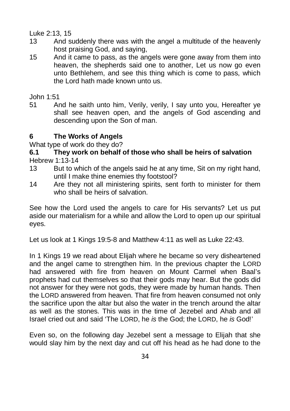Luke 2:13, 15

- 13 And suddenly there was with the angel a multitude of the heavenly host praising God, and saying,
- 15 And it came to pass, as the angels were gone away from them into heaven, the shepherds said one to another. Let us now go even unto Bethlehem, and see this thing which is come to pass, which the Lord hath made known unto us.

John 1:51

51 And he saith unto him, Verily, verily, I say unto you, Hereafter ye shall see heaven open, and the angels of God ascending and descending upon the Son of man.

# **6 The Works of Angels**

#### What type of work do they do?

# **6.1 They work on behalf of those who shall be heirs of salvation**

Hebrew 1:13-14

- 13 But to which of the angels said he at any time, Sit on my right hand, until I make thine enemies thy footstool?
- 14 Are they not all ministering spirits, sent forth to minister for them who shall be heirs of salvation

See how the Lord used the angels to care for His servants? Let us put aside our materialism for a while and allow the Lord to open up our spiritual eyes.

Let us look at 1 Kings 19:5-8 and Matthew 4:11 as well as Luke 22:43.

In 1 Kings 19 we read about Elijah where he became so very disheartened and the angel came to strengthen him. In the previous chapter the LORD had answered with fire from heaven on Mount Carmel when Baal's prophets had cut themselves so that their gods may hear. But the gods did not answer for they were not gods, they were made by human hands. Then the LORD answered from heaven. That fire from heaven consumed not only the sacrifice upon the altar but also the water in the trench around the altar as well as the stones. This was in the time of Jezebel and Ahab and all Israel cried out and said 'The LORD, he *is* the God; the LORD, he *is* God!'

Even so, on the following day Jezebel sent a message to Elijah that she would slay him by the next day and cut off his head as he had done to the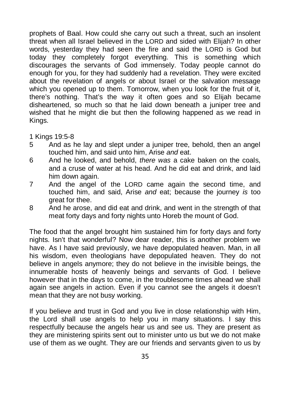prophets of Baal. How could she carry out such a threat, such an insolent threat when all Israel believed in the LORD and sided with Elijah? In other words, yesterday they had seen the fire and said the LORD is God but today they completely forgot everything. This is something which discourages the servants of God immensely. Today people cannot do enough for you, for they had suddenly had a revelation. They were excited about the revelation of angels or about Israel or the salvation message which you opened up to them. Tomorrow, when you look for the fruit of it. there's nothing. That's the way it often goes and so Elijah became disheartened, so much so that he laid down beneath a juniper tree and wished that he might die but then the following happened as we read in Kings.

1 Kings 19:5-8

- 5 And as he lay and slept under a juniper tree, behold, then an angel touched him, and said unto him, Arise *and* eat.
- 6 And he looked, and behold, *there was* a cake baken on the coals, and a cruse of water at his head. And he did eat and drink, and laid him down again.
- 7 And the angel of the LORD came again the second time, and touched him, and said, Arise *and* eat; because the journey *is* too great for thee.
- 8 And he arose, and did eat and drink, and went in the strength of that meat forty days and forty nights unto Horeb the mount of God.

The food that the angel brought him sustained him for forty days and forty nights. Isn't that wonderful? Now dear reader, this is another problem we have. As I have said previously, we have depopulated heaven. Man, in all his wisdom, even theologians have depopulated heaven. They do not believe in angels anymore; they do not believe in the invisible beings, the innumerable hosts of heavenly beings and servants of God. I believe however that in the days to come, in the troublesome times ahead we shall again see angels in action. Even if you cannot see the angels it doesn't mean that they are not busy working.

If you believe and trust in God and you live in close relationship with Him, the Lord shall use angels to help you in many situations. I say this respectfully because the angels hear us and see us. They are present as they are ministering spirits sent out to minister unto us but we do not make use of them as we ought. They are our friends and servants given to us by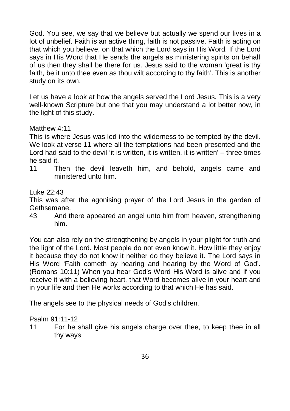God. You see, we say that we believe but actually we spend our lives in a lot of unbelief. Faith is an active thing, faith is not passive. Faith is acting on that which you believe, on that which the Lord says in His Word. If the Lord says in His Word that He sends the angels as ministering spirits on behalf of us then they shall be there for us. Jesus said to the woman 'great is thy faith, be it unto thee even as thou wilt according to thy faith'. This is another study on its own.

Let us have a look at how the angels served the Lord Jesus. This is a very well-known Scripture but one that you may understand a lot better now, in the light of this study.

#### Matthew 4:11

This is where Jesus was led into the wilderness to be tempted by the devil. We look at verse 11 where all the temptations had been presented and the Lord had said to the devil 'it is written, it is written, it is written' – three times he said it.

11 Then the devil leaveth him, and behold, angels came and ministered unto him.

#### Luke 22:43

This was after the agonising prayer of the Lord Jesus in the garden of Gethsemane.

43 And there appeared an angel unto him from heaven, strengthening him.

You can also rely on the strengthening by angels in your plight for truth and the light of the Lord. Most people do not even know it. How little they enjoy it because they do not know it neither do they believe it. The Lord says in His Word 'Faith cometh by hearing and hearing by the Word of God'. (Romans 10:11) When you hear God's Word His Word is alive and if you receive it with a believing heart, that Word becomes alive in your heart and in your life and then He works according to that which He has said.

The angels see to the physical needs of God's children.

#### Psalm 91:11-12

11 For he shall give his angels charge over thee, to keep thee in all thy ways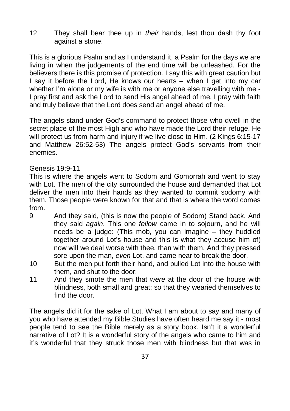12 They shall bear thee up in *their* hands, lest thou dash thy foot against a stone.

This is a glorious Psalm and as I understand it, a Psalm for the days we are living in when the judgements of the end time will be unleashed. For the believers there is this promise of protection. I say this with great caution but I say it before the Lord, He knows our hearts – when I get into my car whether I'm alone or my wife is with me or anyone else travelling with me - I pray first and ask the Lord to send His angel ahead of me. I pray with faith and truly believe that the Lord does send an angel ahead of me.

The angels stand under God's command to protect those who dwell in the secret place of the most High and who have made the Lord their refuge. He will protect us from harm and injury if we live close to Him. (2 Kings 6:15-17 and Matthew 26:52-53) The angels protect God's servants from their enemies.

#### Genesis 19:9-11

This is where the angels went to Sodom and Gomorrah and went to stay with Lot. The men of the city surrounded the house and demanded that Lot deliver the men into their hands as they wanted to commit sodomy with them. Those people were known for that and that is where the word comes from.

- 9 And they said, (this is now the people of Sodom) Stand back, And they said *again*, This one *fellow* came in to sojourn, and he will needs be a judge: (This mob, you can imagine – they huddled together around Lot's house and this is what they accuse him of) now will we deal worse with thee, than with them. And they pressed sore upon the man, *even* Lot, and came near to break the door.
- 10 But the men put forth their hand, and pulled Lot into the house with them, and shut to the door:
- 11 And they smote the men that *were* at the door of the house with blindness, both small and great: so that they wearied themselves to find the door.

The angels did it for the sake of Lot. What I am about to say and many of you who have attended my Bible Studies have often heard me say it - most people tend to see the Bible merely as a story book. Isn't it a wonderful narrative of Lot? It is a wonderful story of the angels who came to him and it's wonderful that they struck those men with blindness but that was in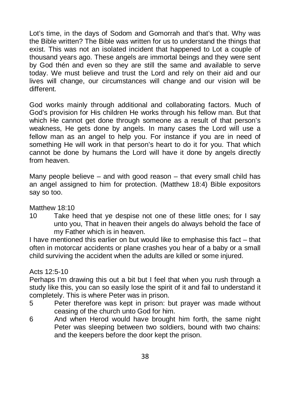Lot's time, in the days of Sodom and Gomorrah and that's that. Why was the Bible written? The Bible was written for us to understand the things that exist. This was not an isolated incident that happened to Lot a couple of thousand years ago. These angels are immortal beings and they were sent by God thén and even so they are still the same and available to serve today. We must believe and trust the Lord and rely on their aid and our lives will change, our circumstances will change and our vision will be different.

God works mainly through additional and collaborating factors. Much of God's provision for His children He works through his fellow man. But that which He cannot get done through someone as a result of that person's weakness, He gets done by angels. In many cases the Lord will use a fellow man as an angel to help you. For instance if you are in need of something He will work in that person's heart to do it for you. That which cannot be done by humans the Lord will have it done by angels directly from heaven.

Many people believe  $-$  and with good reason  $-$  that every small child has an angel assigned to him for protection. (Matthew 18:4) Bible expositors say so too.

Matthew 18:10

10 Take heed that ye despise not one of these little ones; for I say unto you, That in heaven their angels do always behold the face of my Father which is in heaven.

I have mentioned this earlier on but would like to emphasise this fact – that often in motorcar accidents or plane crashes you hear of a baby or a small child surviving the accident when the adults are killed or some injured.

#### Acts 12:5-10

Perhaps I'm drawing this out a bit but I feel that when you rush through a study like this, you can so easily lose the spirit of it and fail to understand it completely. This is where Peter was in prison.

- 5 Peter therefore was kept in prison: but prayer was made without ceasing of the church unto God for him.
- 6 And when Herod would have brought him forth, the same night Peter was sleeping between two soldiers, bound with two chains: and the keepers before the door kept the prison.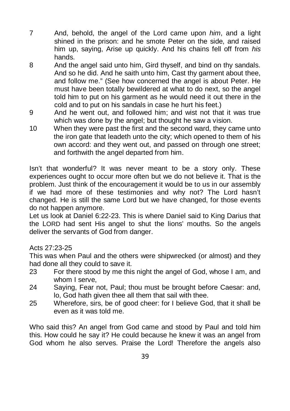- 7 And, behold, the angel of the Lord came upon *him*, and a light shined in the prison: and he smote Peter on the side, and raised him up, saying, Arise up quickly. And his chains fell off from *his* hands.
- 8 And the angel said unto him, Gird thyself, and bind on thy sandals. And so he did. And he saith unto him, Cast thy garment about thee, and follow me." (See how concerned the angel is about Peter. He must have been totally bewildered at what to do next, so the angel told him to put on his garment as he would need it out there in the cold and to put on his sandals in case he hurt his feet.)
- 9 And he went out, and followed him; and wist not that it was true which was done by the angel; but thought he saw a vision.
- 10 When they were past the first and the second ward, they came unto the iron gate that leadeth unto the city; which opened to them of his own accord: and they went out, and passed on through one street; and forthwith the angel departed from him.

Isn't that wonderful? It was never meant to be a story only. These experiences ought to occur more often but we do not believe it. That is the problem. Just think of the encouragement it would be to us in our assembly if we had more of these testimonies and why not? The Lord hasn't changed. He is still the same Lord but we have changed, for those events do not happen anymore.

Let us look at Daniel 6:22-23. This is where Daniel said to King Darius that the LORD had sent His angel to shut the lions' mouths. So the angels deliver the servants of God from danger.

## Acts 27:23-25

This was when Paul and the others were shipwrecked (or almost) and they had done all they could to save it.

- 23 For there stood by me this night the angel of God, whose I am, and whom I serve,
- 24 Saying, Fear not, Paul; thou must be brought before Caesar: and, lo, God hath given thee all them that sail with thee.
- 25 Wherefore, sirs, be of good cheer: for I believe God, that it shall be even as it was told me.

Who said this? An angel from God came and stood by Paul and told him this. How could he say it? He could because he knew it was an angel from God whom he also serves. Praise the Lord! Therefore the angels also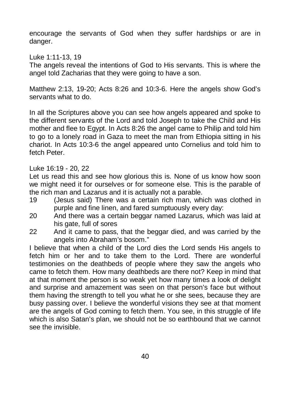encourage the servants of God when they suffer hardships or are in danger.

Luke 1:11-13, 19

The angels reveal the intentions of God to His servants. This is where the angel told Zacharias that they were going to have a son.

Matthew 2:13, 19-20; Acts 8:26 and 10:3-6. Here the angels show God's servants what to do.

In all the Scriptures above you can see how angels appeared and spoke to the different servants of the Lord and told Joseph to take the Child and His mother and flee to Egypt. In Acts 8:26 the angel came to Philip and told him to go to a lonely road in Gaza to meet the man from Ethiopia sitting in his chariot. In Acts 10:3-6 the angel appeared unto Cornelius and told him to fetch Peter.

#### Luke 16:19 - 20, 22

Let us read this and see how glorious this is. None of us know how soon we might need it for ourselves or for someone else. This is the parable of the rich man and Lazarus and it is actually not a parable.

- 19 (Jesus said) There was a certain rich man, which was clothed in purple and fine linen, and fared sumptuously every day:
- 20 And there was a certain beggar named Lazarus, which was laid at his gate, full of sores
- 22 And it came to pass, that the beggar died, and was carried by the angels into Abraham's bosom."

I believe that when a child of the Lord dies the Lord sends His angels to fetch him or her and to take them to the Lord. There are wonderful testimonies on the deathbeds of people where they saw the angels who came to fetch them. How many deathbeds are there not? Keep in mind that at that moment the person is so weak yet how many times a look of delight and surprise and amazement was seen on that person's face but without them having the strength to tell you what he or she sees, because they are busy passing over. I believe the wonderful visions they see at that moment are the angels of God coming to fetch them. You see, in this struggle of life which is also Satan's plan, we should not be so earthbound that we cannot see the invisible.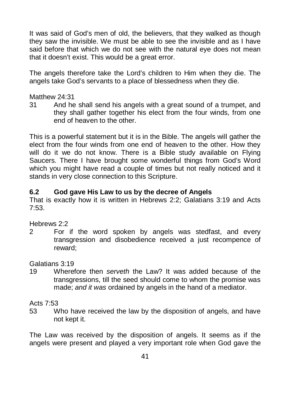It was said of God's men of old, the believers, that they walked as though they saw the invisible. We must be able to see the invisible and as I have said before that which we do not see with the natural eye does not mean that it doesn't exist. This would be a great error.

The angels therefore take the Lord's children to Him when they die. The angels take God's servants to a place of blessedness when they die.

#### Matthew 24:31

31 And he shall send his angels with a great sound of a trumpet, and they shall gather together his elect from the four winds, from one end of heaven to the other.

This is a powerful statement but it is in the Bible. The angels will gather the elect from the four winds from one end of heaven to the other. How they will do it we do not know. There is a Bible study available on Flying Saucers. There I have brought some wonderful things from God's Word which you might have read a couple of times but not really noticed and it stands in very close connection to this Scripture.

#### **6.2 God gave His Law to us by the decree of Angels**

That is exactly how it is written in Hebrews 2:2; Galatians 3:19 and Acts 7:53.

#### Hebrews 2:2

2 For if the word spoken by angels was stedfast, and every transgression and disobedience received a just recompence of reward;

#### Galatians 3:19

19 Wherefore then *serveth* the Law? It was added because of the transgressions, till the seed should come to whom the promise was made; *and it was* ordained by angels in the hand of a mediator.

Acts 7:53

53 Who have received the law by the disposition of angels, and have not kept it.

The Law was received by the disposition of angels. It seems as if the angels were present and played a very important role when God gave the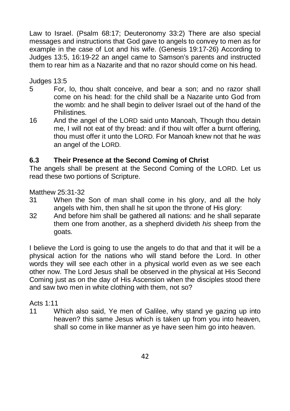Law to Israel. (Psalm 68:17; Deuteronomy 33:2) There are also special messages and instructions that God gave to angels to convey to men as for example in the case of Lot and his wife. (Genesis 19:17-26) According to Judges 13:5, 16:19-22 an angel came to Samson's parents and instructed them to rear him as a Nazarite and that no razor should come on his head.

Judges 13:5

- 5 For, lo, thou shalt conceive, and bear a son; and no razor shall come on his head: for the child shall be a Nazarite unto God from the womb: and he shall begin to deliver Israel out of the hand of the **Philistines**
- 16 And the angel of the LORD said unto Manoah, Though thou detain me, I will not eat of thy bread: and if thou wilt offer a burnt offering, thou must offer it unto the LORD. For Manoah knew not that he *was* an angel of the LORD.

## **6.3 Their Presence at the Second Coming of Christ**

The angels shall be present at the Second Coming of the LORD. Let us read these two portions of Scripture.

Matthew 25:31-32

- 31 When the Son of man shall come in his glory, and all the holy angels with him, then shall he sit upon the throne of His glory:
- 32 And before him shall be gathered all nations: and he shall separate them one from another, as a shepherd divideth *his* sheep from the goats.

I believe the Lord is going to use the angels to do that and that it will be a physical action for the nations who will stand before the Lord. In other words they will see each other in a physical world even as we see each other now. The Lord Jesus shall be observed in the physical at His Second Coming just as on the day of His Ascension when the disciples stood there and saw two men in white clothing with them, not so?

Acts 1:11

11 Which also said, Ye men of Galilee, why stand ye gazing up into heaven? this same Jesus which is taken up from you into heaven, shall so come in like manner as ye have seen him go into heaven.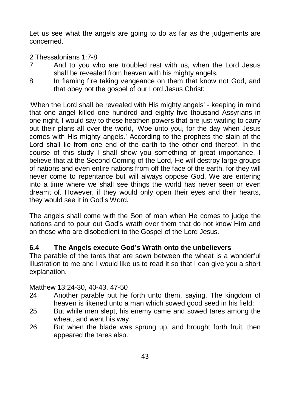Let us see what the angels are going to do as far as the judgements are concerned.

- 2 Thessalonians 1:7-8
- 7 And to you who are troubled rest with us, when the Lord Jesus shall be revealed from heaven with his mighty angels,
- 8 In flaming fire taking vengeance on them that know not God, and that obey not the gospel of our Lord Jesus Christ:

'When the Lord shall be revealed with His mighty angels' - keeping in mind that one angel killed one hundred and eighty five thousand Assyrians in one night, I would say to these heathen powers that are just waiting to carry out their plans all over the world, 'Woe unto you, for the day when Jesus comes with His mighty angels.' According to the prophets the slain of the Lord shall lie from one end of the earth to the other end thereof. In the course of this study I shall show you something of great importance. I believe that at the Second Coming of the Lord, He will destroy large groups of nations and even entire nations from off the face of the earth, for they will never come to repentance but will always oppose God. We are entering into a time where we shall see things the world has never seen or even dreamt of. However, if they would only open their eyes and their hearts, they would see it in God's Word.

The angels shall come with the Son of man when He comes to judge the nations and to pour out God's wrath over them that do not know Him and on those who are disobedient to the Gospel of the Lord Jesus.

## **6.4 The Angels execute God's Wrath onto the unbelievers**

The parable of the tares that are sown between the wheat is a wonderful illustration to me and I would like us to read it so that I can give you a short explanation.

Matthew 13:24-30, 40-43, 47-50

- 24 Another parable put he forth unto them, saying, The kingdom of heaven is likened unto a man which sowed good seed in his field:
- 25 But while men slept, his enemy came and sowed tares among the wheat, and went his way.
- 26 But when the blade was sprung up, and brought forth fruit, then appeared the tares also.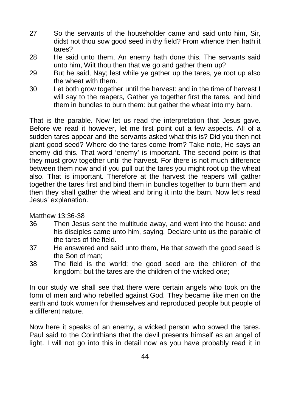- 27 So the servants of the householder came and said unto him, Sir, didst not thou sow good seed in thy field? From whence then hath it tares?
- 28 He said unto them, An enemy hath done this. The servants said unto him, Wilt thou then that we go and gather them up?
- 29 But he said, Nay; lest while ye gather up the tares, ye root up also the wheat with them.
- 30 Let both grow together until the harvest: and in the time of harvest I will say to the reapers, Gather ye together first the tares, and bind them in bundles to burn them: but gather the wheat into my barn.

That is the parable. Now let us read the interpretation that Jesus gave. Before we read it however, let me first point out a few aspects. All of a sudden tares appear and the servants asked what this is? Did you then not plant good seed? Where do the tares come from? Take note, He says an enemy did this. That word 'enemy' is important. The second point is that they must grow together until the harvest. For there is not much difference between them now and if you pull out the tares you might root up the wheat also. That is important. Therefore at the harvest the reapers will gather together the tares first and bind them in bundles together to burn them and then they shall gather the wheat and bring it into the barn. Now let's read Jesus' explanation.

Matthew 13:36-38

- 36 Then Jesus sent the multitude away, and went into the house: and his disciples came unto him, saying, Declare unto us the parable of the tares of the field.
- 37 He answered and said unto them, He that soweth the good seed is the Son of man;
- 38 The field is the world; the good seed are the children of the kingdom; but the tares are the children of the wicked *one*;

In our study we shall see that there were certain angels who took on the form of men and who rebelled against God. They became like men on the earth and took women for themselves and reproduced people but people of a different nature.

Now here it speaks of an enemy, a wicked person who sowed the tares. Paul said to the Corinthians that the devil presents himself as an angel of light. I will not go into this in detail now as you have probably read it in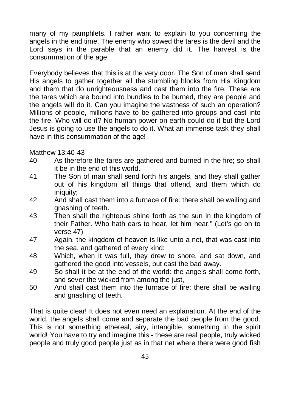many of my pamphlets. I rather want to explain to you concerning the angels in the end time. The enemy who sowed the tares is the devil and the Lord says in the parable that an enemy did it. The harvest is the consummation of the age.

Everybody believes that this is at the very door. The Son of man shall send His angels to gather together all the stumbling blocks from His Kingdom and them that do unrighteousness and cast them into the fire. These are the tares which are bound into bundles to be burned, they are people and the angels will do it. Can you imagine the vastness of such an operation? Millions of people, millions have to be gathered into groups and cast into the fire. Who will do it? No human power on earth could do it but the Lord Jesus is going to use the angels to do it. What an immense task they shall have in this consummation of the age!

Matthew 13:40-43

- 40 As therefore the tares are gathered and burned in the fire; so shall it be in the end of this world.
- 41 The Son of man shall send forth his angels, and they shall gather out of his kingdom all things that offend, and them which do iniquity:
- 42 And shall cast them into a furnace of fire: there shall be wailing and gnashing of teeth.
- 43 Then shall the righteous shine forth as the sun in the kingdom of their Father. Who hath ears to hear, let him hear." (Let's go on to verse 47)
- 47 Again, the kingdom of heaven is like unto a net, that was cast into the sea, and gathered of every kind:
- 48 Which, when it was full, they drew to shore, and sat down, and gathered the good into vessels, but cast the bad away.
- 49 So shall it be at the end of the world: the angels shall come forth, and sever the wicked from among the just,
- 50 And shall cast them into the furnace of fire: there shall be wailing and gnashing of teeth.

That is quite clear! It does not even need an explanation. At the end of the world, the angels shall come and separate the bad people from the good. This is not something ethereal, airy, intangible, something in the spirit world! You have to try and imagine this - these are real people, truly wicked people and truly good people just as in that net where there were good fish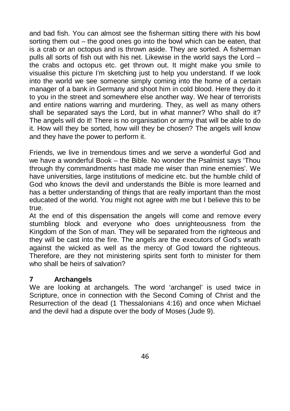and bad fish. You can almost see the fisherman sitting there with his bowl sorting them out – the good ones go into the bowl which can be eaten, that is a crab or an octopus and is thrown aside. They are sorted. A fisherman pulls all sorts of fish out with his net. Likewise in the world says the Lord – the crabs and octopus etc. get thrown out. It might make you smile to visualise this picture I'm sketching just to help you understand. If we look into the world we see someone simply coming into the home of a certain manager of a bank in Germany and shoot him in cold blood. Here they do it to you in the street and somewhere else another way. We hear of terrorists and entire nations warring and murdering. They, as well as many others shall be separated says the Lord, but in what manner? Who shall do it? The angels will do it! There is no organisation or army that will be able to do it. How will they be sorted, how will they be chosen? The angels will know and they have the power to perform it.

Friends, we live in tremendous times and we serve a wonderful God and we have a wonderful Book – the Bible. No wonder the Psalmist says 'Thou through thy commandments hast made me wiser than mine enemies'. We have universities, large institutions of medicine etc. but the humble child of God who knows the devil and understands the Bible is more learned and has a better understanding of things that are really important than the most educated of the world. You might not agree with me but I believe this to be true.

At the end of this dispensation the angels will come and remove every stumbling block and everyone who does unrighteousness from the Kingdom of the Son of man. They will be separated from the righteous and they will be cast into the fire. The angels are the executors of God's wrath against the wicked as well as the mercy of God toward the righteous. Therefore, are they not ministering spirits sent forth to minister for them who shall be heirs of salvation?

#### **7 Archangels**

We are looking at archangels. The word 'archangel' is used twice in Scripture, once in connection with the Second Coming of Christ and the Resurrection of the dead (1 Thessalonians 4:16) and once when Michael and the devil had a dispute over the body of Moses (Jude 9).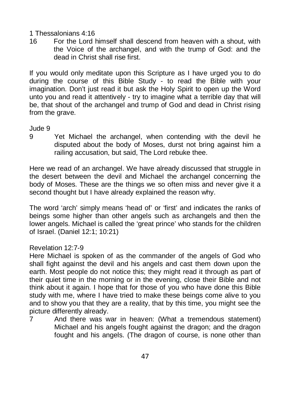1 Thessalonians 4:16

16 For the Lord himself shall descend from heaven with a shout, with the Voice of the archangel, and with the trump of God: and the dead in Christ shall rise first.

If you would only meditate upon this Scripture as I have urged you to do during the course of this Bible Study - to read the Bible with your imagination. Don't just read it but ask the Holy Spirit to open up the Word unto you and read it attentively - try to imagine what a terrible day that will be, that shout of the archangel and trump of God and dead in Christ rising from the grave.

#### Jude 9

9 Yet Michael the archangel, when contending with the devil he disputed about the body of Moses, durst not bring against him a railing accusation, but said, The Lord rebuke thee.

Here we read of an archangel. We have already discussed that struggle in the desert between the devil and Michael the archangel concerning the body of Moses. These are the things we so often miss and never give it a second thought but I have already explained the reason why.

The word 'arch' simply means 'head of' or 'first' and indicates the ranks of beings some higher than other angels such as archangels and then the lower angels. Michael is called the 'great prince' who stands for the children of Israel. (Daniel 12:1; 10:21)

#### Revelation 12:7-9

Here Michael is spoken of as the commander of the angels of God who shall fight against the devil and his angels and cast them down upon the earth. Most people do not notice this; they might read it through as part of their quiet time in the morning or in the evening, close their Bible and not think about it again. I hope that for those of you who have done this Bible study with me, where I have tried to make these beings come alive to you and to show you that they are a reality, that by this time, you might see the picture differently already.

7 And there was war in heaven: (What a tremendous statement) Michael and his angels fought against the dragon; and the dragon fought and his angels. (The dragon of course, is none other than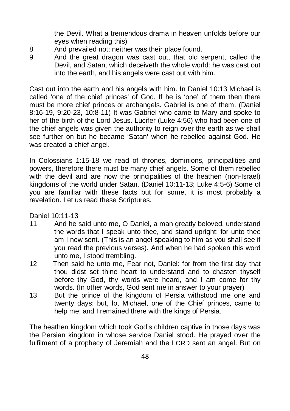the Devil. What a tremendous drama in heaven unfolds before our eyes when reading this)

- 8 And prevailed not; neither was their place found.
- 9 And the great dragon was cast out, that old serpent, called the Devil, and Satan, which deceiveth the whole world: he was cast out into the earth, and his angels were cast out with him.

Cast out into the earth and his angels with him. In Daniel 10:13 Michael is called 'one of the chief princes' of God. If he is 'one' of them then there must be more chief princes or archangels. Gabriel is one of them. (Daniel 8:16-19, 9:20-23, 10:8-11) It was Gabriel who came to Mary and spoke to her of the birth of the Lord Jesus. Lucifer (Luke 4:56) who had been one of the chief angels was given the authority to reign over the earth as we shall see further on but he became 'Satan' when he rebelled against God. He was created a chief angel.

In Colossians 1:15-18 we read of thrones, dominions, principalities and powers, therefore there must be many chief angels. Some of them rebelled with the devil and are now the principalities of the heathen (non-Israel) kingdoms of the world under Satan. (Daniel 10:11-13; Luke 4:5-6) Some of you are familiar with these facts but for some, it is most probably a revelation. Let us read these Scriptures.

Daniel 10:11-13

- 11 And he said unto me, O Daniel, a man greatly beloved, understand the words that I speak unto thee, and stand upright: for unto thee am I now sent. (This is an angel speaking to him as you shall see if you read the previous verses). And when he had spoken this word unto me, I stood trembling.
- 12 Then said he unto me, Fear not, Daniel: for from the first day that thou didst set thine heart to understand and to chasten thyself before thy God, thy words were heard, and I am come for thy words. (In other words, God sent me in answer to your prayer)
- 13 But the prince of the kingdom of Persia withstood me one and twenty days: but, lo, Michael, one of the Chief princes, came to help me; and I remained there with the kings of Persia.

The heathen kingdom which took God's children captive in those days was the Persian kingdom in whose service Daniel stood. He prayed over the fulfilment of a prophecy of Jeremiah and the LORD sent an angel. But on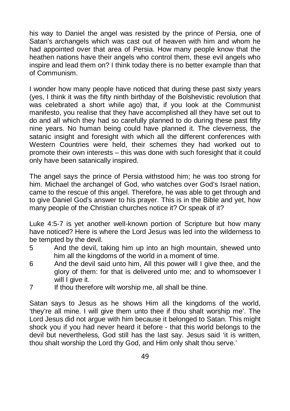his way to Daniel the angel was resisted by the prince of Persia, one of Satan's archangels which was cast out of heaven with him and whom he had appointed over that area of Persia. How many people know that the heathen nations have their angels who control them, these evil angels who inspire and lead them on? I think today there is no better example than that of Communism.

I wonder how many people have noticed that during these past sixty years (yes, I think it was the fifty ninth birthday of the Bolshevistic revolution that was celebrated a short while ago) that, if you look at the Communist manifesto, you realise that they have accomplished all they have set out to do and all which they had so carefully planned to do during these past fifty nine years. No human being could have planned it. The cleverness, the satanic insight and foresight with which all the different conferences with Western Countries were held, their schemes they had worked out to promote their own interests – this was done with such foresight that it could only have been satanically inspired.

The angel says the prince of Persia withstood him; he was too strong for him. Michael the archangel of God, who watches over God's Israel nation, came to the rescue of this angel. Therefore, he was able to get through and to give Daniel God's answer to his prayer. This is in the Bible and yet, how many people of the Christian churches notice it? Or speak of it?

Luke 4:5-7 is yet another well-known portion of Scripture but how many have noticed? Here is where the Lord Jesus was led into the wilderness to be tempted by the devil.

- 5 And the devil, taking him up into an high mountain, shewed unto him all the kingdoms of the world in a moment of time.
- 6 And the devil said unto him, All this power will I give thee, and the glory of them: for that is delivered unto me; and to whomsoever I will I give it.
- 7 If thou therefore wilt worship me, all shall be thine.

Satan says to Jesus as he shows Him all the kingdoms of the world, 'they're all mine. I will give them unto thee if thou shalt worship me'. The Lord Jesus did not argue with him because it belonged to Satan. This might shock you if you had never heard it before - that this world belongs to the devil but nevertheless, God still has the last say. Jesus said 'it is written, thou shalt worship the Lord thy God, and Him only shalt thou serve.'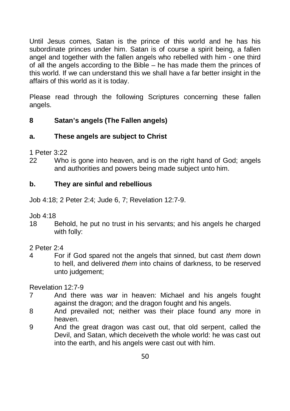Until Jesus comes, Satan is the prince of this world and he has his subordinate princes under him. Satan is of course a spirit being, a fallen angel and together with the fallen angels who rebelled with him - one third of all the angels according to the Bible – he has made them the princes of this world. If we can understand this we shall have a far better insight in the affairs of this world as it is today.

Please read through the following Scriptures concerning these fallen angels.

## **8 Satan's angels (The Fallen angels)**

## **a. These angels are subject to Christ**

1 Peter 3:22

22 Who is gone into heaven, and is on the right hand of God; angels and authorities and powers being made subject unto him.

## **b. They are sinful and rebellious**

Job 4:18; 2 Peter 2:4; Jude 6, 7; Revelation 12:7-9.

Job 4:18

- 18 Behold, he put no trust in his servants; and his angels he charged with folly:
- 2 Peter 2:4
- 4 For if God spared not the angels that sinned, but cast *them* down to hell, and delivered *them* into chains of darkness, to be reserved unto judgement;

Revelation 12:7-9

- 7 And there was war in heaven: Michael and his angels fought against the dragon; and the dragon fought and his angels.
- 8 And prevailed not; neither was their place found any more in heaven.
- 9 And the great dragon was cast out, that old serpent, called the Devil, and Satan, which deceiveth the whole world: he was cast out into the earth, and his angels were cast out with him.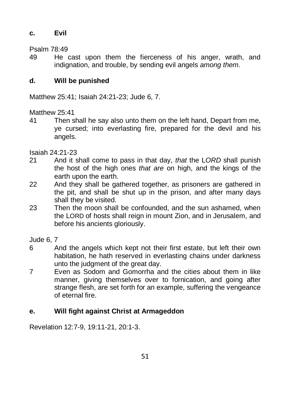## **c. Evil**

Psalm 78:49

49 He cast upon them the fierceness of his anger, wrath, and indignation, and trouble, by sending evil angels *among them*.

## **d. Will be punished**

Matthew 25:41; Isaiah 24:21-23; Jude 6, 7.

Matthew 25:41

41 Then shall he say also unto them on the left hand, Depart from me, ye cursed; into everlasting fire, prepared for the devil and his angels.

Isaiah 24:21-23

- 21 And it shall come to pass in that day, *that* the L*ORD* shall punish the host of the high ones *that are* on high, and the kings of the earth upon the earth.
- 22 And they shall be gathered together, as prisoners are gathered in the pit, and shall be shut up in the prison, and after many days shall they be visited.
- 23 Then the moon shall be confounded, and the sun ashamed, when the LORD of hosts shall reign in mount Zion, and in Jerusalem, and before his ancients gloriously.

Jude 6, 7

- 6 And the angels which kept not their first estate, but left their own habitation, he hath reserved in everlasting chains under darkness unto the judgment of the great day.
- 7 Even as Sodom and Gomorrha and the cities about them in like manner, giving themselves over to fornication, and going after strange flesh, are set forth for an example, suffering the vengeance of eternal fire.

# **e. Will fight against Christ at Armageddon**

Revelation 12:7-9, 19:11-21, 20:1-3.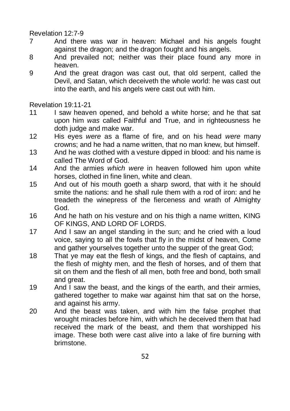#### Revelation 12:7-9

- 7 And there was war in heaven: Michael and his angels fought against the dragon; and the dragon fought and his angels.
- 8 And prevailed not; neither was their place found any more in heaven.
- 9 And the great dragon was cast out, that old serpent, called the Devil, and Satan, which deceiveth the whole world: he was cast out into the earth, and his angels were cast out with him.

Revelation 19:11-21

- 11 I saw heaven opened, and behold a white horse; and he that sat upon him *was* called Faithful and True, and in righteousness he doth judge and make war.
- 12 His eyes *were* as a flame of fire, and on his head *were* many crowns; and he had a name written, that no man knew, but himself.
- 13 And he *was* clothed with a vesture dipped in blood: and his name is called The Word of God.
- 14 And the armies *which were* in heaven followed him upon white horses, clothed in fine linen, white and clean.
- 15 And out of his mouth goeth a sharp sword, that with it he should smite the nations: and he shall rule them with a rod of iron: and he treadeth the winepress of the fierceness and wrath of Almighty God.
- 16 And he hath on his vesture and on his thigh a name written, KING OF KINGS, AND LORD OF LORDS.
- 17 And I saw an angel standing in the sun; and he cried with a loud voice, saying to all the fowls that fly in the midst of heaven, Come and gather yourselves together unto the supper of the great God;
- 18 That ye may eat the flesh of kings, and the flesh of captains, and the flesh of mighty men, and the flesh of horses, and of them that sit on them and the flesh of all men, both free and bond, both small and great.
- 19 And I saw the beast, and the kings of the earth, and their armies, gathered together to make war against him that sat on the horse, and against his army.
- 20 And the beast was taken, and with him the false prophet that wrought miracles before him, with which he deceived them that had received the mark of the beast, and them that worshipped his image. These both were cast alive into a lake of fire burning with brimstone.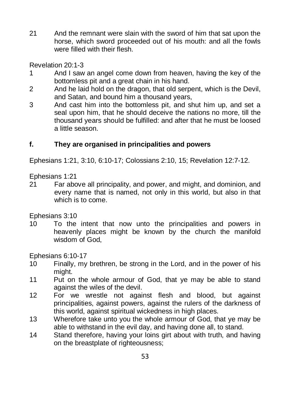21 And the remnant were slain with the sword of him that sat upon the horse, which sword proceeded out of his mouth: and all the fowls were filled with their flesh.

Revelation 20:1-3

- 1 And I saw an angel come down from heaven, having the key of the bottomless pit and a great chain in his hand.
- 2 And he laid hold on the dragon, that old serpent, which is the Devil, and Satan, and bound him a thousand years,
- 3 And cast him into the bottomless pit, and shut him up, and set a seal upon him, that he should deceive the nations no more, till the thousand years should be fulfilled: and after that he must be loosed a little season.

## **f. They are organised in principalities and powers**

Ephesians 1:21, 3:10, 6:10-17; Colossians 2:10, 15; Revelation 12:7-12.

Ephesians 1:21

21 Far above all principality, and power, and might, and dominion, and every name that is named, not only in this world, but also in that which is to come.

Ephesians 3:10

10 To the intent that now unto the principalities and powers in heavenly places might be known by the church the manifold wisdom of God,

Ephesians 6:10-17

- 10 Finally, my brethren, be strong in the Lord, and in the power of his might.
- 11 Put on the whole armour of God, that ye may be able to stand against the wiles of the devil.
- 12 For we wrestle not against flesh and blood, but against principalities, against powers, against the rulers of the darkness of this world, against spiritual wickedness in high places.
- 13 Wherefore take unto you the whole armour of God, that ye may be able to withstand in the evil day, and having done all, to stand.
- 14 Stand therefore, having your loins girt about with truth, and having on the breastplate of righteousness;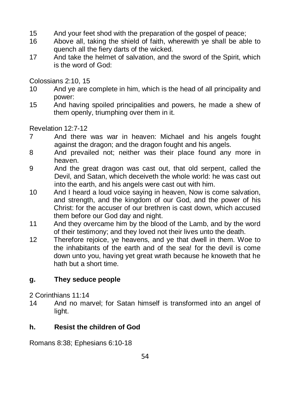- 15 And your feet shod with the preparation of the gospel of peace;
- 16 Above all, taking the shield of faith, wherewith ye shall be able to quench all the fiery darts of the wicked.
- 17 And take the helmet of salvation, and the sword of the Spirit, which is the word of God:

Colossians 2:10, 15

- 10 And ye are complete in him, which is the head of all principality and power:
- 15 And having spoiled principalities and powers, he made a shew of them openly, triumphing over them in it.

Revelation 12:7-12

- 7 And there was war in heaven: Michael and his angels fought against the dragon; and the dragon fought and his angels.
- 8 And prevailed not; neither was their place found any more in heaven.
- 9 And the great dragon was cast out, that old serpent, called the Devil, and Satan, which deceiveth the whole world: he was cast out into the earth, and his angels were cast out with him.
- 10 And I heard a loud voice saying in heaven, Now is come salvation, and strength, and the kingdom of our God, and the power of his Christ: for the accuser of our brethren is cast down, which accused them before our God day and night.
- 11 And they overcame him by the blood of the Lamb, and by the word of their testimony; and they loved not their lives unto the death.
- 12 Therefore rejoice, ye heavens, and ye that dwell in them. Woe to the inhabitants of the earth and of the sea! for the devil is come down unto you, having yet great wrath because he knoweth that he hath but a short time.

# **g. They seduce people**

2 Corinthians 11:14

14 And no marvel; for Satan himself is transformed into an angel of light.

# **h. Resist the children of God**

Romans 8:38; Ephesians 6:10-18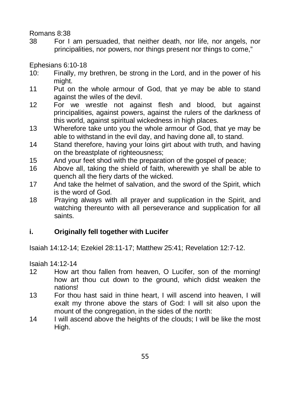#### Romans 8:38

38 For I am persuaded, that neither death, nor life, nor angels, nor principalities, nor powers, nor things present nor things to come,"

Ephesians 6:10-18

- 10: Finally, my brethren, be strong in the Lord, and in the power of his might.
- 11 Put on the whole armour of God, that ye may be able to stand against the wiles of the devil.
- 12 For we wrestle not against flesh and blood, but against principalities, against powers, against the rulers of the darkness of this world, against spiritual wickedness in high places.
- 13 Wherefore take unto you the whole armour of God, that ye may be able to withstand in the evil day, and having done all, to stand.
- 14 Stand therefore, having your loins girt about with truth, and having on the breastplate of righteousness;
- 15 And your feet shod with the preparation of the gospel of peace;
- 16 Above all, taking the shield of faith, wherewith ye shall be able to quench all the fiery darts of the wicked.
- 17 And take the helmet of salvation, and the sword of the Spirit, which is the word of God.
- 18 Praying always with all prayer and supplication in the Spirit, and watching thereunto with all perseverance and supplication for all saints.

## **i. Originally fell together with Lucifer**

Isaiah 14:12-14; Ezekiel 28:11-17; Matthew 25:41; Revelation 12:7-12.

Isaiah 14:12-14

- 12 How art thou fallen from heaven, O Lucifer, son of the morning! how art thou cut down to the ground, which didst weaken the nations!
- 13 For thou hast said in thine heart, I will ascend into heaven, I will exalt my throne above the stars of God: I will sit also upon the mount of the congregation, in the sides of the north:
- 14 I will ascend above the heights of the clouds; I will be like the most High.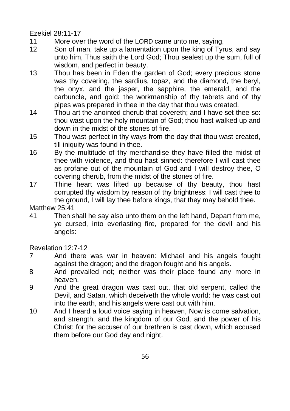Ezekiel 28:11-17

- 11 More over the word of the LORD came unto me, saying,
- 12 Son of man, take up a lamentation upon the king of Tyrus, and say unto him, Thus saith the Lord God; Thou sealest up the sum, full of wisdom, and perfect in beauty.
- 13 Thou has been in Eden the garden of God; every precious stone was thy covering, the sardius, topaz, and the diamond, the beryl, the onyx, and the jasper, the sapphire, the emerald, and the carbuncle, and gold: the workmanship of thy tabrets and of thy pipes was prepared in thee in the day that thou was created.
- 14 Thou art the anointed cherub that covereth; and I have set thee so: thou wast upon the holy mountain of God; thou hast walked up and down in the midst of the stones of fire.
- 15 Thou wast perfect in thy ways from the day that thou wast created, till iniquity was found in thee.
- 16 By the multitude of thy merchandise they have filled the midst of thee with violence, and thou hast sinned: therefore I will cast thee as profane out of the mountain of God and I will destroy thee, O covering cherub, from the midst of the stones of fire.
- 17 Thine heart was lifted up because of thy beauty, thou hast corrupted thy wisdom by reason of thy brightness: I will cast thee to the ground, I will lay thee before kings, that they may behold thee.

Matthew 25:41

41 Then shall he say also unto them on the left hand, Depart from me, ye cursed, into everlasting fire, prepared for the devil and his angels:

Revelation 12:7-12

- 7 And there was war in heaven: Michael and his angels fought against the dragon; and the dragon fought and his angels.
- 8 And prevailed not; neither was their place found any more in heaven.
- 9 And the great dragon was cast out, that old serpent, called the Devil, and Satan, which deceiveth the whole world: he was cast out into the earth, and his angels were cast out with him.
- 10 And I heard a loud voice saying in heaven, Now is come salvation, and strength, and the kingdom of our God, and the power of his Christ: for the accuser of our brethren is cast down, which accused them before our God day and night.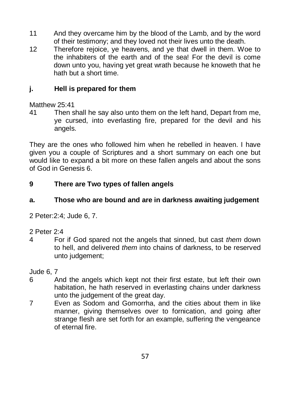- 11 And they overcame him by the blood of the Lamb, and by the word of their testimony; and they loved not their lives unto the death.
- 12 Therefore rejoice, ye heavens, and ye that dwell in them. Woe to the inhabiters of the earth and of the sea! For the devil is come down unto you, having yet great wrath because he knoweth that he hath but a short time.

## **j. Hell is prepared for them**

### Matthew 25:41

41 Then shall he say also unto them on the left hand, Depart from me, ye cursed, into everlasting fire, prepared for the devil and his angels.

They are the ones who followed him when he rebelled in heaven. I have given you a couple of Scriptures and a short summary on each one but would like to expand a bit more on these fallen angels and about the sons of God in Genesis 6.

## **9 There are Two types of fallen angels**

## **a. Those who are bound and are in darkness awaiting judgement**

2 Peter:2:4; Jude 6, 7.

## 2 Peter 2:4

4 For if God spared not the angels that sinned, but cast *them* down to hell, and delivered *them* into chains of darkness, to be reserved unto judgement;

## Jude 6, 7

- 6 And the angels which kept not their first estate, but left their own habitation, he hath reserved in everlasting chains under darkness unto the judgement of the great day.
- 7 Even as Sodom and Gomorrha, and the cities about them in like manner, giving themselves over to fornication, and going after strange flesh are set forth for an example, suffering the vengeance of eternal fire.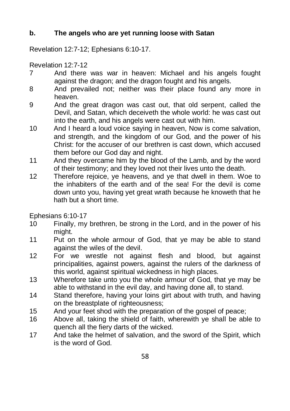# **b. The angels who are yet running loose with Satan**

Revelation 12:7-12; Ephesians 6:10-17.

Revelation 12:7-12

- 7 And there was war in heaven: Michael and his angels fought against the dragon; and the dragon fought and his angels.
- 8 And prevailed not; neither was their place found any more in heaven.
- 9 And the great dragon was cast out, that old serpent, called the Devil, and Satan, which deceiveth the whole world: he was cast out into the earth, and his angels were cast out with him.
- 10 And I heard a loud voice saying in heaven, Now is come salvation, and strength, and the kingdom of our God, and the power of his Christ: for the accuser of our brethren is cast down, which accused them before our God day and night.
- 11 And they overcame him by the blood of the Lamb, and by the word of their testimony; and they loved not their lives unto the death.
- 12 Therefore rejoice, ye heavens, and ye that dwell in them. Woe to the inhabiters of the earth and of the sea! For the devil is come down unto you, having yet great wrath because he knoweth that he hath but a short time.

Ephesians 6:10-17

- 10 Finally, my brethren, be strong in the Lord, and in the power of his might.
- 11 Put on the whole armour of God, that ye may be able to stand against the wiles of the devil.
- 12 For we wrestle not against flesh and blood, but against principalities, against powers, against the rulers of the darkness of this world, against spiritual wickedness in high places.
- 13 Wherefore take unto you the whole armour of God, that ye may be able to withstand in the evil day, and having done all, to stand.
- 14 Stand therefore, having your loins girt about with truth, and having on the breastplate of righteousness;
- 15 And your feet shod with the preparation of the gospel of peace;
- 16 Above all, taking the shield of faith, wherewith ye shall be able to quench all the fiery darts of the wicked.
- 17 And take the helmet of salvation, and the sword of the Spirit, which is the word of God.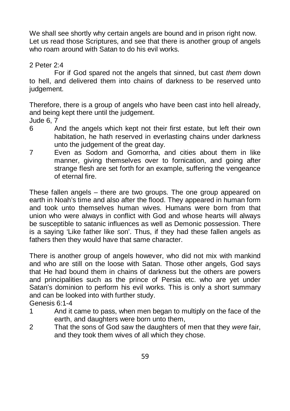We shall see shortly why certain angels are bound and in prison right now. Let us read those Scriptures, and see that there is another group of angels who roam around with Satan to do his evil works.

2 Peter 2:4

For if God spared not the angels that sinned, but cast *them* down to hell, and delivered them into chains of darkness to be reserved unto judgement.

Therefore, there is a group of angels who have been cast into hell already, and being kept there until the judgement.

Jude 6, 7

- 6 And the angels which kept not their first estate, but left their own habitation, he hath reserved in everlasting chains under darkness unto the judgement of the great day.
- 7 Even as Sodom and Gomorrha, and cities about them in like manner, giving themselves over to fornication, and going after strange flesh are set forth for an example, suffering the vengeance of eternal fire.

These fallen angels – there are two groups. The one group appeared on earth in Noah's time and also after the flood. They appeared in human form and took unto themselves human wives. Humans were born from that union who were always in conflict with God and whose hearts will always be susceptible to satanic influences as well as Demonic possession. There is a saying 'Like father like son'. Thus, if they had these fallen angels as fathers then they would have that same character.

There is another group of angels however, who did not mix with mankind and who are still on the loose with Satan. Those other angels, God says that He had bound them in chains of darkness but the others are powers and principalities such as the prince of Persia etc. who are yet under Satan's dominion to perform his evil works. This is only a short summary and can be looked into with further study.

Genesis 6:1-4

- 1 And it came to pass, when men began to multiply on the face of the earth, and daughters were born unto them,
- 2 That the sons of God saw the daughters of men that they *were* fair, and they took them wives of all which they chose.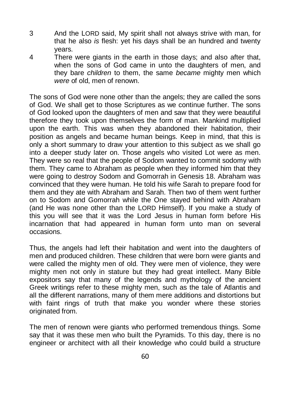- 3 And the LORD said, My spirit shall not always strive with man, for that he also *is* flesh: yet his days shall be an hundred and twenty years.
- 4 There were giants in the earth in those days; and also after that, when the sons of God came in unto the daughters of men, and they bare *children* to them, the same *became* mighty men which *were* of old, men of renown.

The sons of God were none other than the angels; they are called the sons of God. We shall get to those Scriptures as we continue further. The sons of God looked upon the daughters of men and saw that they were beautiful therefore they took upon themselves the form of man. Mankind multiplied upon the earth. This was when they abandoned their habitation, their position as angels and became human beings. Keep in mind, that this is only a short summary to draw your attention to this subject as we shall go into a deeper study later on. Those angels who visited Lot were as men. They were so real that the people of Sodom wanted to commit sodomy with them. They came to Abraham as people when they informed him that they were going to destroy Sodom and Gomorrah in Genesis 18. Abraham was convinced that they were human. He told his wife Sarah to prepare food for them and they ate with Abraham and Sarah. Then two of them went further on to Sodom and Gomorrah while the One stayed behind with Abraham (and He was none other than the LORD Himself). If you make a study of this you will see that it was the Lord Jesus in human form before His incarnation that had appeared in human form unto man on several occasions.

Thus, the angels had left their habitation and went into the daughters of men and produced children. These children that were born were giants and were called the mighty men of old. They were men of violence, they were mighty men not only in stature but they had great intellect. Many Bible expositors say that many of the legends and mythology of the ancient Greek writings refer to these mighty men, such as the tale of Atlantis and all the different narrations, many of them mere additions and distortions but with faint rings of truth that make you wonder where these stories originated from.

The men of renown were giants who performed tremendous things. Some say that it was these men who built the Pyramids. To this day, there is no engineer or architect with all their knowledge who could build a structure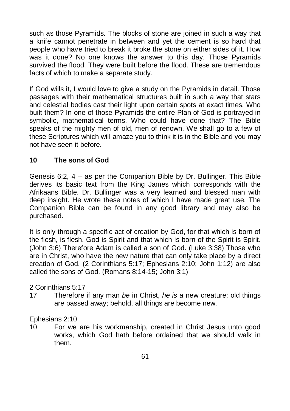such as those Pyramids. The blocks of stone are joined in such a way that a knife cannot penetrate in between and yet the cement is so hard that people who have tried to break it broke the stone on either sides of it. How was it done? No one knows the answer to this day. Those Pyramids survived the flood. They were built before the flood. These are tremendous facts of which to make a separate study.

If God wills it, I would love to give a study on the Pyramids in detail. Those passages with their mathematical structures built in such a way that stars and celestial bodies cast their light upon certain spots at exact times. Who built them? In one of those Pyramids the entire Plan of God is portrayed in symbolic, mathematical terms. Who could have done that? The Bible speaks of the mighty men of old, men of renown. We shall go to a few of these Scriptures which will amaze you to think it is in the Bible and you may not have seen it before.

## **10 The sons of God**

Genesis 6:2, 4 – as per the Companion Bible by Dr. Bullinger. This Bible derives its basic text from the King James which corresponds with the Afrikaans Bible. Dr. Bullinger was a very learned and blessed man with deep insight. He wrote these notes of which I have made great use. The Companion Bible can be found in any good library and may also be purchased.

It is only through a specific act of creation by God, for that which is born of the flesh, is flesh. God is Spirit and that which is born of the Spirit is Spirit. (John 3:6) Therefore Adam is called a son of God. (Luke 3:38) Those who are in Christ, who have the new nature that can only take place by a direct creation of God, (2 Corinthians 5:17; Ephesians 2:10; John 1:12) are also called the sons of God. (Romans 8:14-15; John 3:1)

#### 2 Corinthians 5:17

17 Therefore if any man *be* in Christ, *he is* a new creature: old things are passed away; behold, all things are become new.

#### Ephesians 2:10

10 For we are his workmanship, created in Christ Jesus unto good works, which God hath before ordained that we should walk in them.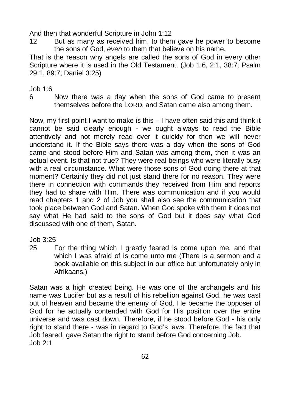And then that wonderful Scripture in John 1:12

12 But as many as received him, to them gave he power to become the sons of God, *even* to them that believe on his name.

That is the reason why angels are called the sons of God in every other Scripture where it is used in the Old Testament. (Job 1:6, 2:1, 38:7; Psalm 29:1, 89:7; Daniel 3:25)

 $Joh$  1:6

6 Now there was a day when the sons of God came to present themselves before the LORD, and Satan came also among them.

Now, my first point I want to make is this – I have often said this and think it cannot be said clearly enough - we ought always to read the Bible attentively and not merely read over it quickly for then we will never understand it. If the Bible says there was a day when the sons of God came and stood before Him and Satan was among them, then it was an actual event. Is that not true? They were real beings who were literally busy with a real circumstance. What were those sons of God doing there at that moment? Certainly they did not just stand there for no reason. They were there in connection with commands they received from Him and reports they had to share with Him. There was communication and if you would read chapters 1 and 2 of Job you shall also see the communication that took place between God and Satan. When God spoke with them it does not say what He had said to the sons of God but it does say what God discussed with one of them, Satan.

## Job 3:25

25 For the thing which I greatly feared is come upon me, and that which I was afraid of is come unto me (There is a sermon and a book available on this subject in our office but unfortunately only in Afrikaans.)

Satan was a high created being. He was one of the archangels and his name was Lucifer but as a result of his rebellion against God, he was cast out of heaven and became the enemy of God. He became the opposer of God for he actually contended with God for His position over the entire universe and was cast down. Therefore, if he stood before God - his only right to stand there - was in regard to God's laws. Therefore, the fact that Job feared, gave Satan the right to stand before God concerning Job.  $Joh$  2:1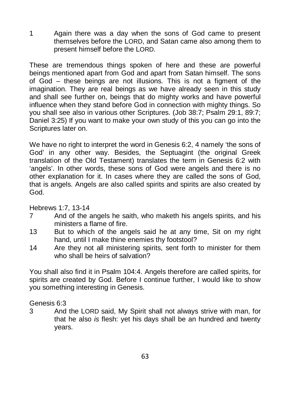1 Again there was a day when the sons of God came to present themselves before the LORD, and Satan came also among them to present himself before the LORD.

These are tremendous things spoken of here and these are powerful beings mentioned apart from God and apart from Satan himself. The sons of God – these beings are not illusions. This is not a figment of the imagination. They are real beings as we have already seen in this study and shall see further on, beings that do mighty works and have powerful influence when they stand before God in connection with mighty things. So you shall see also in various other Scriptures. (Job 38:7; Psalm 29:1, 89:7; Daniel 3:25) If you want to make your own study of this you can go into the Scriptures later on.

We have no right to interpret the word in Genesis 6:2, 4 namely 'the sons of God' in any other way. Besides, the Septuagint (the original Greek translation of the Old Testament) translates the term in Genesis 6:2 with 'angels'. In other words, these sons of God were angels and there is no other explanation for it. In cases where they are called the sons of God, that is angels. Angels are also called spirits and spirits are also created by God.

Hebrews 1:7, 13-14

- 7 And of the angels he saith, who maketh his angels spirits, and his ministers a flame of fire.
- 13 But to which of the angels said he at any time, Sit on my right hand, until I make thine enemies thy footstool?
- 14 Are they not all ministering spirits, sent forth to minister for them who shall be heirs of salvation?

You shall also find it in Psalm 104:4. Angels therefore are called spirits, for spirits are created by God. Before I continue further, I would like to show you something interesting in Genesis.

#### Genesis 6:3

3 And the LORD said, My Spirit shall not always strive with man, for that he also *is* flesh: yet his days shall be an hundred and twenty years.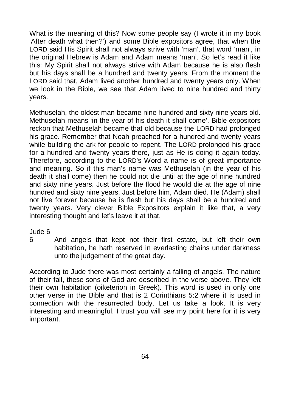What is the meaning of this? Now some people say (I wrote it in my book 'After death what then?') and some Bible expositors agree, that when the LORD said His Spirit shall not always strive with 'man', that word 'man', in the original Hebrew is Adam and Adam means 'man'. So let's read it like this: My Spirit shall not always strive with Adam because he is also flesh but his days shall be a hundred and twenty years. From the moment the LORD said that, Adam lived another hundred and twenty years only. When we look in the Bible, we see that Adam lived to nine hundred and thirty years.

Methuselah, the oldest man became nine hundred and sixty nine years old. Methuselah means 'in the year of his death it shall come'. Bible expositors reckon that Methuselah became that old because the LORD had prolonged his grace. Remember that Noah preached for a hundred and twenty years while building the ark for people to repent. The LORD prolonged his grace for a hundred and twenty years there, just as He is doing it again today. Therefore, according to the LORD's Word a name is of great importance and meaning. So if this man's name was Methuselah (in the year of his death it shall come) then he could not die until at the age of nine hundred and sixty nine years. Just before the flood he would die at the age of nine hundred and sixty nine years. Just before him, Adam died. He (Adam) shall not live forever because he is flesh but his days shall be a hundred and twenty years. Very clever Bible Expositors explain it like that, a very interesting thought and let's leave it at that.

#### Jude 6

6 And angels that kept not their first estate, but left their own habitation, he hath reserved in everlasting chains under darkness unto the judgement of the great day.

According to Jude there was most certainly a falling of angels. The nature of their fall, these sons of God are described in the verse above. They left their own habitation (oiketerion in Greek). This word is used in only one other verse in the Bible and that is 2 Corinthians 5:2 where it is used in connection with the resurrected body. Let us take a look. It is very interesting and meaningful. I trust you will see my point here for it is very important.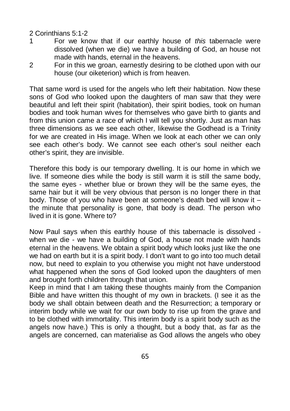#### 2 Corinthians 5:1-2

- 1 For we know that if our earthly house of *this* tabernacle were dissolved (when we die) we have a building of God, an house not made with hands, eternal in the heavens.
- 2 For in this we groan, earnestly desiring to be clothed upon with our house (our oiketerion) which is from heaven.

That same word is used for the angels who left their habitation. Now these sons of God who looked upon the daughters of man saw that they were beautiful and left their spirit (habitation), their spirit bodies, took on human bodies and took human wives for themselves who gave birth to giants and from this union came a race of which I will tell you shortly. Just as man has three dimensions as we see each other, likewise the Godhead is a Trinity for we are created in His image. When we look at each other we can only see each other's body. We cannot see each other's soul neither each other's spirit, they are invisible.

Therefore this body is our temporary dwelling. It is our home in which we live. If someone dies while the body is still warm it is still the same body, the same eyes - whether blue or brown they will be the same eyes, the same hair but it will be very obvious that person is no longer there in that body. Those of you who have been at someone's death bed will know it – the minute that personality is gone, that body is dead. The person who lived in it is gone. Where to?

Now Paul says when this earthly house of this tabernacle is dissolved when we die - we have a building of God, a house not made with hands eternal in the heavens. We obtain a spirit body which looks just like the one we had on earth but it is a spirit body. I don't want to go into too much detail now, but need to explain to you otherwise you might not have understood what happened when the sons of God looked upon the daughters of men and brought forth children through that union.

Keep in mind that I am taking these thoughts mainly from the Companion Bible and have written this thought of my own in brackets. (I see it as the body we shall obtain between death and the Resurrection; a temporary or interim body while we wait for our own body to rise up from the grave and to be clothed with immortality. This interim body is a spirit body such as the angels now have.) This is only a thought, but a body that, as far as the angels are concerned, can materialise as God allows the angels who obey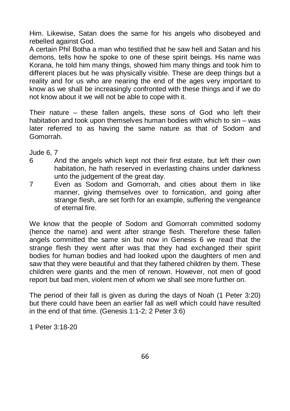Him. Likewise, Satan does the same for his angels who disobeyed and rebelled against God.

A certain Phil Botha a man who testified that he saw hell and Satan and his demons, tells how he spoke to one of these spirit beings. His name was Korana, he told him many things, showed him many things and took him to different places but he was physically visible. These are deep things but a reality and for us who are nearing the end of the ages very important to know as we shall be increasingly confronted with these things and if we do not know about it we will not be able to cope with it.

Their nature – these fallen angels, these sons of God who left their habitation and took upon themselves human bodies with which to sin – was later referred to as having the same nature as that of Sodom and Gomorrah.

Jude 6, 7

- 6 And the angels which kept not their first estate, but left their own habitation, he hath reserved in everlasting chains under darkness unto the judgement of the great day.
- 7 Even as Sodom and Gomorrah, and cities about them in like manner, giving themselves over to fornication, and going after strange flesh, are set forth for an example, suffering the vengeance of eternal fire.

We know that the people of Sodom and Gomorrah committed sodomy (hence the name) and went after strange flesh. Therefore these fallen angels committed the same sin but now in Genesis 6 we read that the strange flesh they went after was that they had exchanged their spirit bodies for human bodies and had looked upon the daughters of men and saw that they were beautiful and that they fathered children by them. These children were giants and the men of renown. However, not men of good report but bad men, violent men of whom we shall see more further on.

The period of their fall is given as during the days of Noah (1 Peter 3:20) but there could have been an earlier fall as well which could have resulted in the end of that time. (Genesis 1:1-2; 2 Peter 3:6)

1 Peter 3:18-20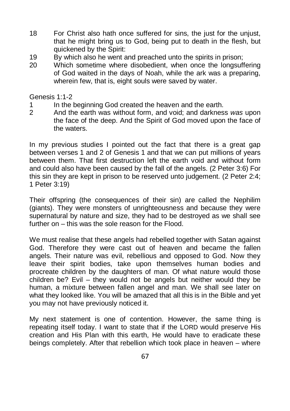- 18 For Christ also hath once suffered for sins, the just for the unjust, that he might bring us to God, being put to death in the flesh, but quickened by the Spirit:
- 19 By which also he went and preached unto the spirits in prison:
- 20 Which sometime where disobedient, when once the longsuffering of God waited in the days of Noah, while the ark was a preparing, wherein few, that is, eight souls were saved by water.

Genesis 1:1-2

- 1 In the beginning God created the heaven and the earth.
- 2 And the earth was without form, and void; and darkness *was* upon the face of the deep. And the Spirit of God moved upon the face of the waters.

In my previous studies I pointed out the fact that there is a great gap between verses 1 and 2 of Genesis 1 and that we can put millions of years between them. That first destruction left the earth void and without form and could also have been caused by the fall of the angels. (2 Peter 3:6) For this sin they are kept in prison to be reserved unto judgement. (2 Peter 2:4; 1 Peter 3:19)

Their offspring (the consequences of their sin) are called the Nephilim (giants). They were monsters of unrighteousness and because they were supernatural by nature and size, they had to be destroyed as we shall see further on – this was the sole reason for the Flood.

We must realise that these angels had rebelled together with Satan against God. Therefore they were cast out of heaven and became the fallen angels. Their nature was evil, rebellious and opposed to God. Now they leave their spirit bodies, take upon themselves human bodies and procreate children by the daughters of man. Of what nature would those children be? Evil – they would not be angels but neither would they be human, a mixture between fallen angel and man. We shall see later on what they looked like. You will be amazed that all this is in the Bible and yet you may not have previously noticed it.

My next statement is one of contention. However, the same thing is repeating itself today. I want to state that if the LORD would preserve His creation and His Plan with this earth, He would have to eradicate these beings completely. After that rebellion which took place in heaven – where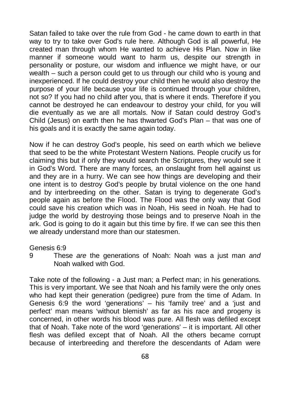Satan failed to take over the rule from God - he came down to earth in that way to try to take over God's rule here. Although God is all powerful, He created man through whom He wanted to achieve His Plan. Now in like manner if someone would want to harm us, despite our strength in personality or posture, our wisdom and influence we might have, or our wealth – such a person could get to us through our child who is young and inexperienced. If he could destroy your child then he would also destroy the purpose of your life because your life is continued through your children, not so? If you had no child after you, that is where it ends. Therefore if you cannot be destroyed he can endeavour to destroy your child, for you will die eventually as we are all mortals. Now if Satan could destroy God's Child (Jesus) on earth then he has thwarted God's Plan – that was one of his goals and it is exactly the same again today.

Now if he can destroy God's people, his seed on earth which we believe that seed to be the white Protestant Western Nations. People crucify us for claiming this but if only they would search the Scriptures, they would see it in God's Word. There are many forces, an onslaught from hell against us and they are in a hurry. We can see how things are developing and their one intent is to destroy God's people by brutal violence on the one hand and by interbreeding on the other. Satan is trying to degenerate God's people again as before the Flood. The Flood was the only way that God could save his creation which was in Noah, His seed in Noah. He had to judge the world by destroying those beings and to preserve Noah in the ark. God is going to do it again but this time by fire. If we can see this then we already understand more than our statesmen.

#### Genesis 6:9

9 These *are* the generations of Noah: Noah was a just man *and* Noah walked with God.

Take note of the following - a Just man; a Perfect man; in his generations. This is very important. We see that Noah and his family were the only ones who had kept their generation (pedigree) pure from the time of Adam. In Genesis 6:9 the word 'generations' – his 'family tree' and a 'just and perfect' man means 'without blemish' as far as his race and progeny is concerned, in other words his blood was pure. All flesh was defiled except that of Noah. Take note of the word 'generations' – it is important. All other flesh was defiled except that of Noah. All the others became corrupt because of interbreeding and therefore the descendants of Adam were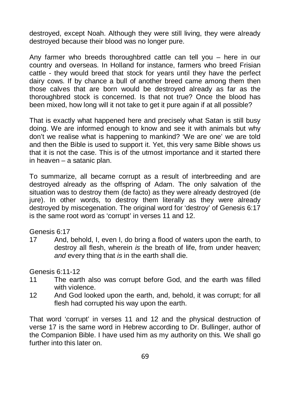destroyed, except Noah. Although they were still living, they were already destroyed because their blood was no longer pure.

Any farmer who breeds thoroughbred cattle can tell you – here in our country and overseas. In Holland for instance, farmers who breed Frisian cattle - they would breed that stock for years until they have the perfect dairy cows. If by chance a bull of another breed came among them then those calves that are born would be destroyed already as far as the thoroughbred stock is concerned. Is that not true? Once the blood has been mixed, how long will it not take to get it pure again if at all possible?

That is exactly what happened here and precisely what Satan is still busy doing. We are informed enough to know and see it with animals but why don't we realise what is happening to mankind? 'We are one' we are told and then the Bible is used to support it. Yet, this very same Bible shows us that it is not the case. This is of the utmost importance and it started there in heaven – a satanic plan.

To summarize, all became corrupt as a result of interbreeding and are destroyed already as the offspring of Adam. The only salvation of the situation was to destroy them (de facto) as they were already destroyed (de jure). In other words, to destroy them literally as they were already destroyed by miscegenation. The original word for 'destroy' of Genesis 6:17 is the same root word as 'corrupt' in verses 11 and 12.

Genesis 6:17

17 And, behold, I, even I, do bring a flood of waters upon the earth, to destroy all flesh, wherein *is* the breath of life, from under heaven; *and* every thing that *is* in the earth shall die.

Genesis 6:11-12

- 11 The earth also was corrupt before God, and the earth was filled with violence.
- 12 And God looked upon the earth, and, behold, it was corrupt; for all flesh had corrupted his way upon the earth.

That word 'corrupt' in verses 11 and 12 and the physical destruction of verse 17 is the same word in Hebrew according to Dr. Bullinger, author of the Companion Bible. I have used him as my authority on this. We shall go further into this later on.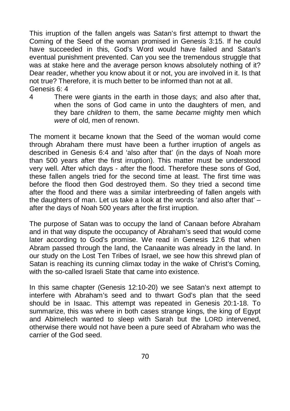This irruption of the fallen angels was Satan's first attempt to thwart the Coming of the Seed of the woman promised in Genesis 3:15. If he could have succeeded in this, God's Word would have failed and Satan's eventual punishment prevented. Can you see the tremendous struggle that was at stake here and the average person knows absolutely nothing of it? Dear reader, whether you know about it or not, you are involved in it. Is that not true? Therefore, it is much better to be informed than not at all. Genesis 6: 4

4 There were giants in the earth in those days; and also after that, when the sons of God came in unto the daughters of men, and they bare *children* to them, the same *became* mighty men which *were* of old, men of renown.

The moment it became known that the Seed of the woman would come through Abraham there must have been a further irruption of angels as described in Genesis 6:4 and 'also after that' (in the days of Noah more than 500 years after the first irruption). This matter must be understood very well. After which days - after the flood. Therefore these sons of God, these fallen angels tried for the second time at least. The first time was before the flood then God destroyed them. So they tried a second time after the flood and there was a similar interbreeding of fallen angels with the daughters of man. Let us take a look at the words 'and also after that' – after the days of Noah 500 years after the first irruption.

The purpose of Satan was to occupy the land of Canaan before Abraham and in that way dispute the occupancy of Abraham's seed that would come later according to God's promise. We read in Genesis 12:6 that when Abram passed through the land, the Canaanite was already in the land. In our study on the Lost Ten Tribes of Israel, we see how this shrewd plan of Satan is reaching its cunning climax today in the wake of Christ's Coming, with the so-called Israeli State that came into existence

In this same chapter (Genesis 12:10-20) we see Satan's next attempt to interfere with Abraham's seed and to thwart God's plan that the seed should be in Isaac. This attempt was repeated in Genesis 20:1-18. To summarize, this was where in both cases strange kings, the king of Egypt and Abimelech wanted to sleep with Sarah but the LORD intervened, otherwise there would not have been a pure seed of Abraham who was the carrier of the God seed.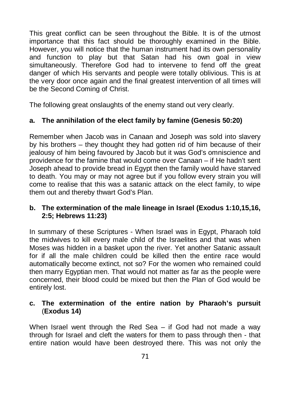This great conflict can be seen throughout the Bible. It is of the utmost importance that this fact should be thoroughly examined in the Bible. However, you will notice that the human instrument had its own personality and function to play but that Satan had his own goal in view simultaneously. Therefore God had to intervene to fend off the great danger of which His servants and people were totally oblivious. This is at the very door once again and the final greatest intervention of all times will be the Second Coming of Christ.

The following great onslaughts of the enemy stand out very clearly.

### **a. The annihilation of the elect family by famine (Genesis 50:20)**

Remember when Jacob was in Canaan and Joseph was sold into slavery by his brothers – they thought they had gotten rid of him because of their jealousy of him being favoured by Jacob but it was God's omniscience and providence for the famine that would come over Canaan – if He hadn't sent Joseph ahead to provide bread in Egypt then the family would have starved to death. You may or may not agree but if you follow every strain you will come to realise that this was a satanic attack on the elect family, to wipe them out and thereby thwart God's Plan.

#### **b. The extermination of the male lineage in Israel (Exodus 1:10,15,16, 2:5; Hebrews 11:23)**

In summary of these Scriptures - When Israel was in Egypt, Pharaoh told the midwives to kill every male child of the Israelites and that was when Moses was hidden in a basket upon the river. Yet another Satanic assault for if all the male children could be killed then the entire race would automatically become extinct, not so? For the women who remained could then marry Egyptian men. That would not matter as far as the people were concerned, their blood could be mixed but then the Plan of God would be entirely lost.

#### **c. The extermination of the entire nation by Pharaoh's pursuit** (**Exodus 14)**

When Israel went through the Red Sea – if God had not made a way through for Israel and cleft the waters for them to pass through then - that entire nation would have been destroyed there. This was not only the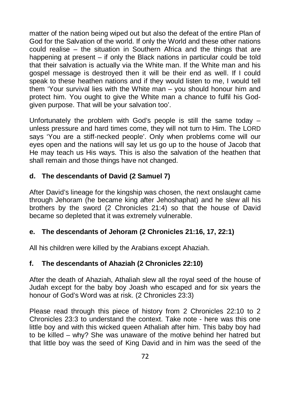matter of the nation being wiped out but also the defeat of the entire Plan of God for the Salvation of the world. If only the World and these other nations could realise – the situation in Southern Africa and the things that are happening at present – if only the Black nations in particular could be told that their salvation is actually via the White man. If the White man and his gospel message is destroyed then it will be their end as well. If I could speak to these heathen nations and if they would listen to me, I would tell them 'Your survival lies with the White man – you should honour him and protect him. You ought to give the White man a chance to fulfil his Godgiven purpose. That will be your salvation too'.

Unfortunately the problem with God's people is still the same today  $$ unless pressure and hard times come, they will not turn to Him. The LORD says 'You are a stiff-necked people'. Only when problems come will our eyes open and the nations will say let us go up to the house of Jacob that He may teach us His ways. This is also the salvation of the heathen that shall remain and those things have not changed.

## **d. The descendants of David (2 Samuel 7)**

After David's lineage for the kingship was chosen, the next onslaught came through Jehoram (he became king after Jehoshaphat) and he slew all his brothers by the sword (2 Chronicles 21:4) so that the house of David became so depleted that it was extremely vulnerable.

## **e. The descendants of Jehoram (2 Chronicles 21:16, 17, 22:1)**

All his children were killed by the Arabians except Ahaziah.

## **f. The descendants of Ahaziah (2 Chronicles 22:10)**

After the death of Ahaziah, Athaliah slew all the royal seed of the house of Judah except for the baby boy Joash who escaped and for six years the honour of God's Word was at risk. (2 Chronicles 23:3)

Please read through this piece of history from 2 Chronicles 22:10 to 2 Chronicles 23:3 to understand the context. Take note - here was this one little boy and with this wicked queen Athaliah after him. This baby boy had to be killed – why? She was unaware of the motive behind her hatred but that little boy was the seed of King David and in him was the seed of the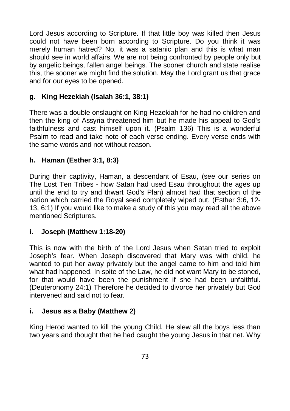Lord Jesus according to Scripture. If that little boy was killed then Jesus could not have been born according to Scripture. Do you think it was merely human hatred? No, it was a satanic plan and this is what man should see in world affairs. We are not being confronted by people only but by angelic beings, fallen angel beings. The sooner church and state realise this, the sooner we might find the solution. May the Lord grant us that grace and for our eyes to be opened.

## **g. King Hezekiah (Isaiah 36:1, 38:1)**

There was a double onslaught on King Hezekiah for he had no children and then the king of Assyria threatened him but he made his appeal to God's faithfulness and cast himself upon it. (Psalm 136) This is a wonderful Psalm to read and take note of each verse ending. Every verse ends with the same words and not without reason.

## **h. Haman (Esther 3:1, 8:3)**

During their captivity, Haman, a descendant of Esau, (see our series on The Lost Ten Tribes - how Satan had used Esau throughout the ages up until the end to try and thwart God's Plan) almost had that section of the nation which carried the Royal seed completely wiped out. (Esther 3:6, 12- 13, 6:1) If you would like to make a study of this you may read all the above mentioned Scriptures.

## **i. Joseph (Matthew 1:18-20)**

This is now with the birth of the Lord Jesus when Satan tried to exploit Joseph's fear. When Joseph discovered that Mary was with child, he wanted to put her away privately but the angel came to him and told him what had happened. In spite of the Law, he did not want Mary to be stoned, for that would have been the punishment if she had been unfaithful. (Deuteronomy 24:1) Therefore he decided to divorce her privately but God intervened and said not to fear.

## **i. Jesus as a Baby (Matthew 2)**

King Herod wanted to kill the young Child. He slew all the boys less than two years and thought that he had caught the young Jesus in that net. Why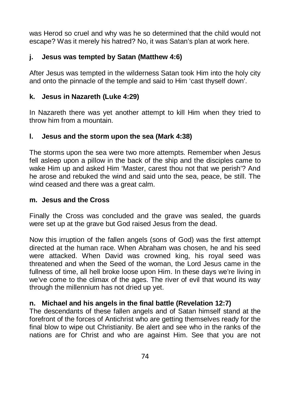was Herod so cruel and why was he so determined that the child would not escape? Was it merely his hatred? No, it was Satan's plan at work here.

## **j. Jesus was tempted by Satan (Matthew 4:6)**

After Jesus was tempted in the wilderness Satan took Him into the holy city and onto the pinnacle of the temple and said to Him 'cast thyself down'.

## **k. Jesus in Nazareth (Luke 4:29)**

In Nazareth there was yet another attempt to kill Him when they tried to throw him from a mountain.

## **l. Jesus and the storm upon the sea (Mark 4:38)**

The storms upon the sea were two more attempts. Remember when Jesus fell asleep upon a pillow in the back of the ship and the disciples came to wake Him up and asked Him 'Master, carest thou not that we perish'? And he arose and rebuked the wind and said unto the sea, peace, be still. The wind ceased and there was a great calm.

## **m. Jesus and the Cross**

Finally the Cross was concluded and the grave was sealed, the guards were set up at the grave but God raised Jesus from the dead.

Now this irruption of the fallen angels (sons of God) was the first attempt directed at the human race. When Abraham was chosen, he and his seed were attacked. When David was crowned king, his royal seed was threatened and when the Seed of the woman, the Lord Jesus came in the fullness of time, all hell broke loose upon Him. In these days we're living in we've come to the climax of the ages. The river of evil that wound its way through the millennium has not dried up yet.

## **n. Michael and his angels in the final battle (Revelation 12:7)**

The descendants of these fallen angels and of Satan himself stand at the forefront of the forces of Antichrist who are getting themselves ready for the final blow to wipe out Christianity. Be alert and see who in the ranks of the nations are for Christ and who are against Him. See that you are not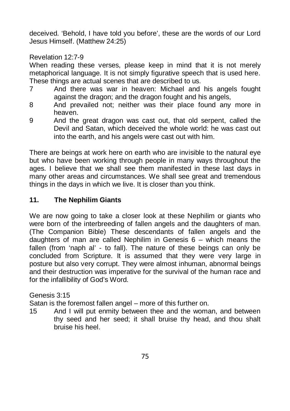deceived. 'Behold, I have told you before', these are the words of our Lord Jesus Himself. (Matthew 24:25)

Revelation 12:7-9

When reading these verses, please keep in mind that it is not merely metaphorical language. It is not simply figurative speech that is used here. These things are actual scenes that are described to us.

- 7 And there was war in heaven: Michael and his angels fought against the dragon; and the dragon fought and his angels,
- 8 And prevailed not; neither was their place found any more in heaven.
- 9 And the great dragon was cast out, that old serpent, called the Devil and Satan, which deceived the whole world: he was cast out into the earth, and his angels were cast out with him.

There are beings at work here on earth who are invisible to the natural eye but who have been working through people in many ways throughout the ages. I believe that we shall see them manifested in these last days in many other areas and circumstances. We shall see great and tremendous things in the days in which we live. It is closer than you think.

## **11. The Nephilim Giants**

We are now going to take a closer look at these Nephilim or giants who were born of the interbreeding of fallen angels and the daughters of man. (The Companion Bible) These descendants of fallen angels and the daughters of man are called Nephilim in Genesis 6 – which means the fallen (from 'naph al' - to fall). The nature of these beings can only be concluded from Scripture. It is assumed that they were very large in posture but also very corrupt. They were almost inhuman, abnormal beings and their destruction was imperative for the survival of the human race and for the infallibility of God's Word.

Genesis 3:15

Satan is the foremost fallen angel – more of this further on.

15 And I will put enmity between thee and the woman, and between thy seed and her seed; it shall bruise thy head, and thou shalt bruise his heel.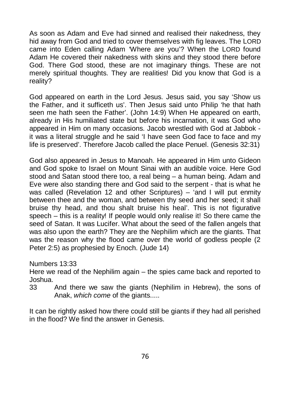As soon as Adam and Eve had sinned and realised their nakedness, they hid away from God and tried to cover themselves with fig leaves. The LORD came into Eden calling Adam 'Where are you'? When the LORD found Adam He covered their nakedness with skins and they stood there before God. There God stood, these are not imaginary things. These are not merely spiritual thoughts. They are realities! Did you know that God is a reality?

God appeared on earth in the Lord Jesus. Jesus said, you say 'Show us the Father, and it sufficeth us'. Then Jesus said unto Philip 'he that hath seen me hath seen the Father'. (John 14:9) When He appeared on earth, already in His humiliated state but before his incarnation, it was God who appeared in Him on many occasions. Jacob wrestled with God at Jabbok it was a literal struggle and he said 'I have seen God face to face and my life is preserved'. Therefore Jacob called the place Penuel. (Genesis 32:31)

God also appeared in Jesus to Manoah. He appeared in Him unto Gideon and God spoke to Israel on Mount Sinai with an audible voice. Here God stood and Satan stood there too, a real being – a human being. Adam and Eve were also standing there and God said to the serpent - that is what he was called (Revelation 12 and other Scriptures) – 'and I will put enmity between thee and the woman, and between thy seed and her seed; it shall bruise thy head, and thou shalt bruise his heal'. This is not figurative speech – this is a reality! If people would only realise it! So there came the seed of Satan. It was Lucifer. What about the seed of the fallen angels that was also upon the earth? They are the Nephilim which are the giants. That was the reason why the flood came over the world of godless people (2 Peter 2:5) as prophesied by Enoch. (Jude 14)

Numbers 13:33

Here we read of the Nephilim again – the spies came back and reported to Joshua.

33 And there we saw the giants (Nephilim in Hebrew), the sons of Anak, *which come* of the giants.....

It can be rightly asked how there could still be giants if they had all perished in the flood? We find the answer in Genesis.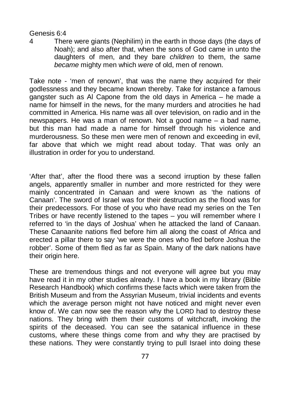#### Genesis 6:4

4 There were giants (Nephilim) in the earth in those days (the days of Noah); and also after that, when the sons of God came in unto the daughters of men, and they bare *children* to them, the same *became* mighty men which *were* of old, men of renown.

Take note - 'men of renown', that was the name they acquired for their godlessness and they became known thereby. Take for instance a famous gangster such as Al Capone from the old days in America – he made a name for himself in the news, for the many murders and atrocities he had committed in America. His name was all over television, on radio and in the newspapers. He was a man of renown. Not a good name – a bad name, but this man had made a name for himself through his violence and murderousness. So these men were men of renown and exceeding in evil, far above that which we might read about today. That was only an illustration in order for you to understand.

'After that', after the flood there was a second irruption by these fallen angels, apparently smaller in number and more restricted for they were mainly concentrated in Canaan and were known as 'the nations of Canaan'. The sword of Israel was for their destruction as the flood was for their predecessors. For those of you who have read my series on the Ten Tribes or have recently listened to the tapes – you will remember where I referred to 'in the days of Joshua' when he attacked the land of Canaan. These Canaanite nations fled before him all along the coast of Africa and erected a pillar there to say 'we were the ones who fled before Joshua the robber'. Some of them fled as far as Spain. Many of the dark nations have their origin here.

These are tremendous things and not everyone will agree but you may have read it in my other studies already. I have a book in my library (Bible Research Handbook) which confirms these facts which were taken from the British Museum and from the Assyrian Museum, trivial incidents and events which the average person might not have noticed and might never even know of. We can now see the reason why the LORD had to destroy these nations. They bring with them their customs of witchcraft, invoking the spirits of the deceased. You can see the satanical influence in these customs, where these things come from and why they are practised by these nations. They were constantly trying to pull Israel into doing these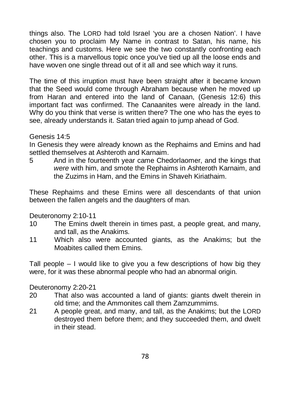things also. The LORD had told Israel 'you are a chosen Nation'. I have chosen you to proclaim My Name in contrast to Satan, his name, his teachings and customs. Here we see the two constantly confronting each other. This is a marvellous topic once you've tied up all the loose ends and have woven one single thread out of it all and see which way it runs.

The time of this irruption must have been straight after it became known that the Seed would come through Abraham because when he moved up from Haran and entered into the land of Canaan, (Genesis 12:6) this important fact was confirmed. The Canaanites were already in the land. Why do you think that verse is written there? The one who has the eyes to see, already understands it. Satan tried again to jump ahead of God.

#### Genesis 14:5

In Genesis they were already known as the Rephaims and Emins and had settled themselves at Ashteroth and Karnaim.

5 And in the fourteenth year came Chedorlaomer, and the kings that *were* with him, and smote the Rephaims in Ashteroth Karnaim, and the Zuzims in Ham, and the Emins in Shaveh Kiriathaim.

These Rephaims and these Emins were all descendants of that union between the fallen angels and the daughters of man.

Deuteronomy 2:10-11

- 10 The Emins dwelt therein in times past, a people great, and many, and tall, as the Anakims.
- 11 Which also were accounted giants, as the Anakims; but the Moabites called them Emins.

Tall people  $-1$  would like to give you a few descriptions of how big they were, for it was these abnormal people who had an abnormal origin.

Deuteronomy 2:20-21

- 20 That also was accounted a land of giants: giants dwelt therein in old time; and the Ammonites call them Zamzummims.
- 21 A people great, and many, and tall, as the Anakims; but the LORD destroyed them before them; and they succeeded them, and dwelt in their stead.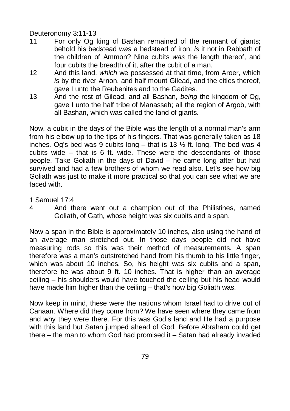Deuteronomy 3:11-13

- 11 For only Og king of Bashan remained of the remnant of giants; behold his bedstead *was* a bedstead of iron; *is* it not in Rabbath of the children of Ammon? Nine cubits *was* the length thereof, and four cubits the breadth of it, after the cubit of a man.
- 12 And this land, *which* we possessed at that time, from Aroer, which *is* by the river Arnon, and half mount Gilead, and the cities thereof, gave I unto the Reubenites and to the Gadites.
- 13 And the rest of Gilead, and all Bashan, *being* the kingdom of Og, gave I unto the half tribe of Manasseh; all the region of Argob, with all Bashan, which was called the land of giants.

Now, a cubit in the days of the Bible was the length of a normal man's arm from his elbow up to the tips of his fingers. That was generally taken as 18 inches. Og's bed was 9 cubits long – that is 13  $\frac{1}{2}$  ft. long. The bed was 4 cubits wide – that is 6 ft. wide. These were the descendants of those people. Take Goliath in the days of David – he came long after but had survived and had a few brothers of whom we read also. Let's see how big Goliath was just to make it more practical so that you can see what we are faced with.

1 Samuel 17:4

4 And there went out a champion out of the Philistines, named Goliath, of Gath, whose height *was* six cubits and a span.

Now a span in the Bible is approximately 10 inches, also using the hand of an average man stretched out. In those days people did not have measuring rods so this was their method of measurements. A span therefore was a man's outstretched hand from his thumb to his little finger, which was about 10 inches. So, his height was six cubits and a span, therefore he was about 9 ft. 10 inches. That is higher than an average ceiling – his shoulders would have touched the ceiling but his head would have made him higher than the ceiling – that's how big Goliath was.

Now keep in mind, these were the nations whom Israel had to drive out of Canaan. Where did they come from? We have seen where they came from and why they were there. For this was God's land and He had a purpose with this land but Satan jumped ahead of God. Before Abraham could get there – the man to whom God had promised it – Satan had already invaded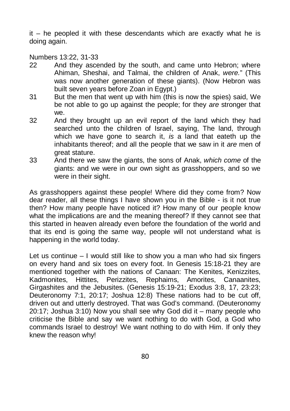it – he peopled it with these descendants which are exactly what he is doing again.

Numbers 13:22, 31-33

- 22 And they ascended by the south, and came unto Hebron; where Ahiman, Sheshai, and Talmai, the children of Anak, *were.*" (This was now another generation of these giants). (Now Hebron was built seven years before Zoan in Egypt.)
- 31 But the men that went up with him (this is now the spies) said, We be not able to go up against the people; for they *are* stronger that we.
- 32 And they brought up an evil report of the land which they had searched unto the children of Israel, saying, The land, through which we have gone to search it, *is* a land that eateth up the inhabitants thereof; and all the people that we saw in it *are* men of great stature.
- 33 And there we saw the giants, the sons of Anak, *which come* of the giants: and we were in our own sight as grasshoppers, and so we were in their sight.

As grasshoppers against these people! Where did they come from? Now dear reader, all these things I have shown you in the Bible - is it not true then? How many people have noticed it? How many of our people know what the implications are and the meaning thereof? If they cannot see that this started in heaven already even before the foundation of the world and that its end is going the same way, people will not understand what is happening in the world today.

Let us continue  $-1$  would still like to show you a man who had six fingers on every hand and six toes on every foot. In Genesis 15:18-21 they are mentioned together with the nations of Canaan: The Kenites, Kenizzites, Kadmonites, Hittites, Perizzites, Rephaims, Amorites, Canaanites, Girgashites and the Jebusites. (Genesis 15:19-21; Exodus 3:8, 17, 23:23; Deuteronomy 7:1, 20:17; Joshua 12:8) These nations had to be cut off, driven out and utterly destroyed. That was God's command. (Deuteronomy 20:17; Joshua 3:10) Now you shall see why God did it – many people who criticise the Bible and say we want nothing to do with God, a God who commands Israel to destroy! We want nothing to do with Him. If only they knew the reason why!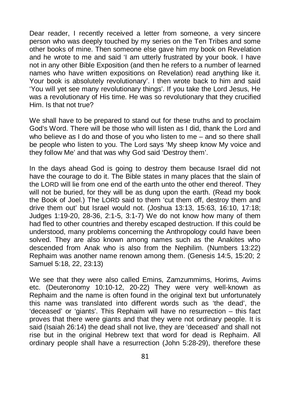Dear reader, I recently received a letter from someone, a very sincere person who was deeply touched by my series on the Ten Tribes and some other books of mine. Then someone else gave him my book on Revelation and he wrote to me and said 'I am utterly frustrated by your book. I have not in any other Bible Exposition (and then he refers to a number of learned names who have written expositions on Revelation) read anything like it. Your book is absolutely revolutionary'. I then wrote back to him and said 'You will yet see many revolutionary things'. If you take the Lord Jesus, He was a revolutionary of His time. He was so revolutionary that they crucified Him. Is that not true?

We shall have to be prepared to stand out for these truths and to proclaim God's Word. There will be those who will listen as I did, thank the Lord and who believe as I do and those of you who listen to me – and so there shall be people who listen to you. The Lord says 'My sheep know My voice and they follow Me' and that was why God said 'Destroy them'.

In the days ahead God is going to destroy them because Israel did not have the courage to do it. The Bible states in many places that the slain of the LORD will lie from one end of the earth unto the other end thereof. They will not be buried, for they will be as dung upon the earth. (Read my book the Book of Joel.) The LORD said to them 'cut them off, destroy them and drive them out' but Israel would not. (Joshua 13:13, 15:63, 16:10, 17:18; Judges 1:19-20, 28-36, 2:1-5, 3:1-7) We do not know how many of them had fled to other countries and thereby escaped destruction. If this could be understood, many problems concerning the Anthropology could have been solved. They are also known among names such as the Anakites who descended from Anak who is also from the Nephilim. (Numbers 13:22) Rephaim was another name renown among them. (Genesis 14:5, 15:20; 2 Samuel 5:18, 22, 23:13)

We see that they were also called Emins, Zamzummims, Horims, Avims etc. (Deuteronomy 10:10-12, 20-22) They were very well-known as Rephaim and the name is often found in the original text but unfortunately this name was translated into different words such as 'the dead', the 'deceased' or 'giants'. This Rephaim will have no resurrection – this fact proves that there were giants and that they were not ordinary people. It is said (Isaiah 26:14) the dead shall not live, they are 'deceased' and shall not rise but in the original Hebrew text that word for dead is Rephaim. All ordinary people shall have a resurrection (John 5:28-29), therefore these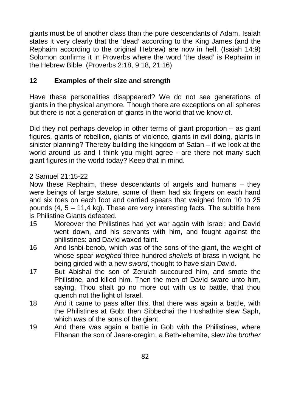giants must be of another class than the pure descendants of Adam. Isaiah states it very clearly that the 'dead' according to the King James (and the Rephaim according to the original Hebrew) are now in hell. (Isaiah 14:9) Solomon confirms it in Proverbs where the word 'the dead' is Rephaim in the Hebrew Bible. (Proverbs 2:18, 9:18, 21:16)

## **12 Examples of their size and strength**

Have these personalities disappeared? We do not see generations of giants in the physical anymore. Though there are exceptions on all spheres but there is not a generation of giants in the world that we know of.

Did they not perhaps develop in other terms of giant proportion  $-$  as giant figures, giants of rebellion, giants of violence, giants in evil doing, giants in sinister planning? Thereby building the kingdom of Satan – if we look at the world around us and I think you might agree - are there not many such giant figures in the world today? Keep that in mind.

## 2 Samuel 21:15-22

Now these Rephaim, these descendants of angels and humans – they were beings of large stature, some of them had six fingers on each hand and six toes on each foot and carried spears that weighed from 10 to 25 pounds  $(4, 5 - 11.4 \text{ kg})$ . These are very interesting facts. The subtitle here is Philistine Giants defeated.

- 15 Moreover the Philistines had yet war again with Israel; and David went down, and his servants with him, and fought against the philistines: and David waxed faint.
- 16 And Ishbi-benob, which *was* of the sons of the giant, the weight of whose spear *weighed* three hundred *shekels* of brass in weight, he being girded with a new *sword*, thought to have slain David.
- 17 But Abishai the son of Zeruiah succoured him, and smote the Philistine, and killed him. Then the men of David sware unto him, saying, Thou shalt go no more out with us to battle, that thou quench not the light of Israel.
- 18 And it came to pass after this, that there was again a battle, with the Philistines at Gob: then Sibbechai the Hushathite slew Saph, which *was* of the sons of the giant.
- 19 And there was again a battle in Gob with the Philistines, where Elhanan the son of Jaare-oregim, a Beth-lehemite, slew *the brother*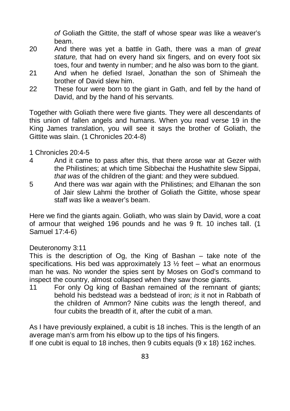*of* Goliath the Gittite, the staff of whose spear *was* like a weaver's beam.

- 20 And there was yet a battle in Gath, there was a man of *great stature,* that had on every hand six fingers, and on every foot six toes, four and twenty in number; and he also was born to the giant.
- 21 And when he defied Israel, Jonathan the son of Shimeah the brother of David slew him.
- 22 These four were born to the giant in Gath, and fell by the hand of David, and by the hand of his servants.

Together with Goliath there were five giants. They were all descendants of this union of fallen angels and humans. When you read verse 19 in the King James translation, you will see it says the brother of Goliath, the Gittite was slain. (1 Chronicles 20:4-8)

- 1 Chronicles 20:4-5
- 4 And it came to pass after this, that there arose war at Gezer with the Philistines; at which time Sibbechai the Hushathite slew Sippai, *that was* of the children of the giant: and they were subdued.
- 5 And there was war again with the Philistines; and Elhanan the son of Jair slew Lahmi the brother of Goliath the Gittite, whose spear staff *was* like a weaver's beam.

Here we find the giants again. Goliath, who was slain by David, wore a coat of armour that weighed 196 pounds and he was 9 ft. 10 inches tall. (1 Samuel 17:4-6)

## Deuteronomy 3:11

This is the description of Og, the King of Bashan – take note of the specifications. His bed was approximately 13  $\frac{1}{2}$  feet – what an enormous man he was. No wonder the spies sent by Moses on God's command to inspect the country, almost collapsed when they saw those giants.

11 For only Og king of Bashan remained of the remnant of giants; behold his bedstead *was* a bedstead of iron; *is* it not in Rabbath of the children of Ammon? Nine cubits *was* the length thereof, and four cubits the breadth of it, after the cubit of a man.

As I have previously explained, a cubit is 18 inches. This is the length of an average man's arm from his elbow up to the tips of his fingers. If one cubit is equal to 18 inches, then 9 cubits equals (9 x 18) 162 inches.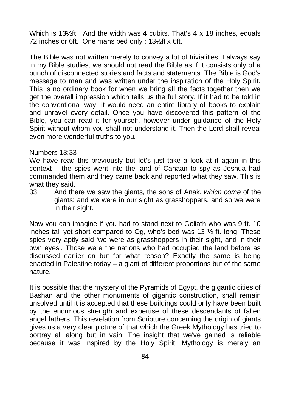Which is 13<sup>1</sup>/<sub>2</sub>ft. And the width was 4 cubits. That's 4 x 18 inches, equals 72 inches or 6ft. One mans bed only : 13½ft x 6ft.

The Bible was not written merely to convey a lot of trivialities. I always say in my Bible studies, we should not read the Bible as if it consists only of a bunch of disconnected stories and facts and statements. The Bible is God's message to man and was written under the inspiration of the Holy Spirit. This is no ordinary book for when we bring all the facts together then we get the overall impression which tells us the full story. If it had to be told in the conventional way, it would need an entire library of books to explain and unravel every detail. Once you have discovered this pattern of the Bible, you can read it for yourself, however under guidance of the Holy Spirit without whom you shall not understand it. Then the Lord shall reveal even more wonderful truths to you.

#### Numbers 13:33

We have read this previously but let's just take a look at it again in this context – the spies went into the land of Canaan to spy as Joshua had commanded them and they came back and reported what they saw. This is what they said.

33 And there we saw the giants, the sons of Anak, *which come* of the giants: and we were in our sight as grasshoppers, and so we were in their sight.

Now you can imagine if you had to stand next to Goliath who was 9 ft. 10 inches tall yet short compared to Og, who's bed was 13  $\frac{1}{2}$  ft. long. These spies very aptly said 'we were as grasshoppers in their sight, and in their own eyes'. Those were the nations who had occupied the land before as discussed earlier on but for what reason? Exactly the same is being enacted in Palestine today – a giant of different proportions but of the same nature.

It is possible that the mystery of the Pyramids of Egypt, the gigantic cities of Bashan and the other monuments of gigantic construction, shall remain unsolved until it is accepted that these buildings could only have been built by the enormous strength and expertise of these descendants of fallen angel fathers. This revelation from Scripture concerning the origin of giants gives us a very clear picture of that which the Greek Mythology has tried to portray all along but in vain. The insight that we've gained is reliable because it was inspired by the Holy Spirit. Mythology is merely an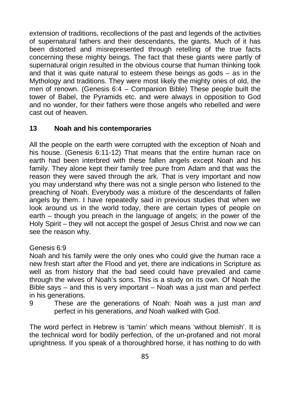extension of traditions, recollections of the past and legends of the activities of supernatural fathers and their descendants, the giants. Much of it has been distorted and misrepresented through retelling of the true facts concerning these mighty beings. The fact that these giants were partly of supernatural origin resulted in the obvious course that human thinking took and that it was quite natural to esteem these beings as gods  $-$  as in the Mythology and traditions. They were most likely the mighty ones of old, the men of renown. (Genesis 6:4 – Companion Bible) These people built the tower of Babel, the Pyramids etc. and were always in opposition to God and no wonder, for their fathers were those angels who rebelled and were cast out of heaven.

## **13 Noah and his contemporaries**

All the people on the earth were corrupted with the exception of Noah and his house. (Genesis 6:11-12) That means that the entire human race on earth had been interbred with these fallen angels except Noah and his family. They alone kept their family tree pure from Adam and that was the reason they were saved through the ark. That is very important and now you may understand why there was not a single person who listened to the preaching of Noah. Everybody was a mixture of the descendants of fallen angels by them. I have repeatedly said in previous studies that when we look around us in the world today, there are certain types of people on earth – though you preach in the language of angels; in the power of the Holy Spirit – they will not accept the gospel of Jesus Christ and now we can see the reason why.

## Genesis 6:9

Noah and his family were the only ones who could give the human race a new fresh start after the Flood and yet, there are indications in Scripture as well as from history that the bad seed could have prevailed and came through the wives of Noah's sons. This is a study on its own. Of Noah the Bible says – and this is very important – Noah was a just man and perfect in his generations.

9 These *are* the generations of Noah: Noah was a just man *and* perfect in his generations, *and* Noah walked with God.

The word perfect in Hebrew is 'tamin' which means 'without blemish'. It is the technical word for bodily perfection, of the un-profaned and not moral uprightness. If you speak of a thoroughbred horse, it has nothing to do with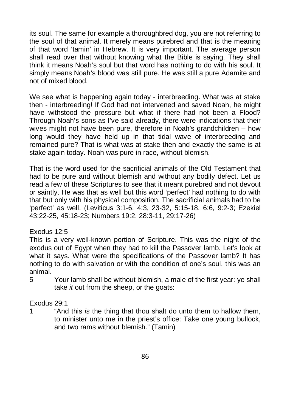its soul. The same for example a thoroughbred dog, you are not referring to the soul of that animal. It merely means purebred and that is the meaning of that word 'tamin' in Hebrew. It is very important. The average person shall read over that without knowing what the Bible is saying. They shall think it means Noah's soul but that word has nothing to do with his soul. It simply means Noah's blood was still pure. He was still a pure Adamite and not of mixed blood.

We see what is happening again today - interbreeding. What was at stake then - interbreeding! If God had not intervened and saved Noah, he might have withstood the pressure but what if there had not been a Flood? Through Noah's sons as I've said already, there were indications that their wives might not have been pure, therefore in Noah's grandchildren – how long would they have held up in that tidal wave of interbreeding and remained pure? That is what was at stake then and exactly the same is at stake again today. Noah was pure in race, without blemish.

That is the word used for the sacrificial animals of the Old Testament that had to be pure and without blemish and without any bodily defect. Let us read a few of these Scriptures to see that it meant purebred and not devout or saintly. He was that as well but this word 'perfect' had nothing to do with that but only with his physical composition. The sacrificial animals had to be 'perfect' as well. (Leviticus 3:1-6, 4:3, 23-32, 5:15-18, 6:6, 9:2-3; Ezekiel 43:22-25, 45:18-23; Numbers 19:2, 28:3-11, 29:17-26)

## Exodus 12:5

This is a very well-known portion of Scripture. This was the night of the exodus out of Egypt when they had to kill the Passover lamb. Let's look at what it says. What were the specifications of the Passover lamb? It has nothing to do with salvation or with the condition of one's soul, this was an animal.

5 Your lamb shall be without blemish, a male of the first year: ye shall take *it* out from the sheep, or the goats:

## Exodus 29:1

1 "And this *is* the thing that thou shalt do unto them to hallow them, to minister unto me in the priest's office: Take one young bullock, and two rams without blemish." (Tamin)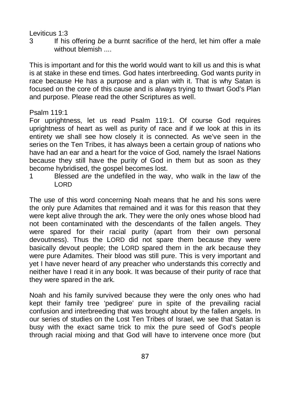#### Leviticus 1:3

3 If his offering *be* a burnt sacrifice of the herd, let him offer a male without blemish ....

This is important and for this the world would want to kill us and this is what is at stake in these end times. God hates interbreeding. God wants purity in race because He has a purpose and a plan with it. That is why Satan is focused on the core of this cause and is always trying to thwart God's Plan and purpose. Please read the other Scriptures as well.

## Psalm 119:1

For uprightness, let us read Psalm 119:1. Of course God requires uprightness of heart as well as purity of race and if we look at this in its entirety we shall see how closely it is connected. As we've seen in the series on the Ten Tribes, it has always been a certain group of nations who have had an ear and a heart for the voice of God, namely the Israel Nations because they still have the purity of God in them but as soon as they become hybridised, the gospel becomes lost.

1 Blessed *are* the undefiled in the way, who walk in the law of the LORD

The use of this word concerning Noah means that he and his sons were the only pure Adamites that remained and it was for this reason that they were kept alive through the ark. They were the only ones whose blood had not been contaminated with the descendants of the fallen angels. They were spared for their racial purity (apart from their own personal devoutness). Thus the LORD did not spare them because they were basically devout people; the LORD spared them in the ark because they were pure Adamites. Their blood was still pure. This is very important and yet I have never heard of any preacher who understands this correctly and neither have I read it in any book. It was because of their purity of race that they were spared in the ark.

Noah and his family survived because they were the only ones who had kept their family tree 'pedigree' pure in spite of the prevailing racial confusion and interbreeding that was brought about by the fallen angels. In our series of studies on the Lost Ten Tribes of Israel, we see that Satan is busy with the exact same trick to mix the pure seed of God's people through racial mixing and that God will have to intervene once more (but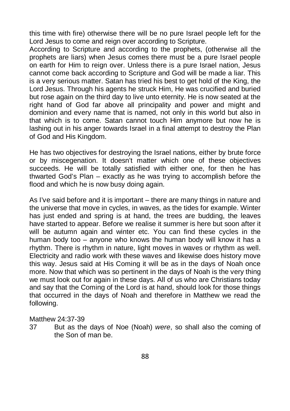this time with fire) otherwise there will be no pure Israel people left for the Lord Jesus to come and reign over according to Scripture.

According to Scripture and according to the prophets, (otherwise all the prophets are liars) when Jesus comes there must be a pure Israel people on earth for Him to reign over. Unless there is a pure Israel nation, Jesus cannot come back according to Scripture and God will be made a liar. This is a very serious matter. Satan has tried his best to get hold of the King, the Lord Jesus. Through his agents he struck Him, He was crucified and buried but rose again on the third day to live unto eternity. He is now seated at the right hand of God far above all principality and power and might and dominion and every name that is named, not only in this world but also in that which is to come. Satan cannot touch Him anymore but now he is lashing out in his anger towards Israel in a final attempt to destroy the Plan of God and His Kingdom.

He has two objectives for destroying the Israel nations, either by brute force or by miscegenation. It doesn't matter which one of these objectives succeeds. He will be totally satisfied with either one, for then he has thwarted God's Plan – exactly as he was trying to accomplish before the flood and which he is now busy doing again.

As I've said before and it is important – there are many things in nature and the universe that move in cycles, in waves, as the tides for example. Winter has just ended and spring is at hand, the trees are budding, the leaves have started to appear. Before we realise it summer is here but soon after it will be autumn again and winter etc. You can find these cycles in the human body too – anyone who knows the human body will know it has a rhythm. There is rhythm in nature, light moves in waves or rhythm as well. Electricity and radio work with these waves and likewise does history move this way. Jesus said at His Coming it will be as in the days of Noah once more. Now that which was so pertinent in the days of Noah is the very thing we must look out for again in these days. All of us who are Christians today and say that the Coming of the Lord is at hand, should look for those things that occurred in the days of Noah and therefore in Matthew we read the following.

#### Matthew 24:37-39

37 But as the days of Noe (Noah) *were*, so shall also the coming of the Son of man be.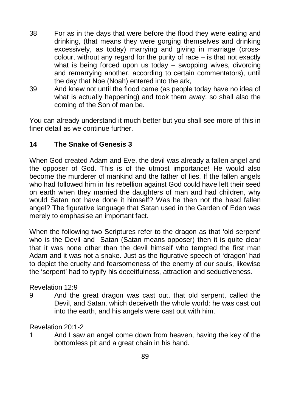- 38 For as in the days that were before the flood they were eating and drinking, (that means they were gorging themselves and drinking excessively, as today) marrying and giving in marriage (crosscolour, without any regard for the purity of race – is that not exactly what is being forced upon us today – swopping wives, divorcing and remarrying another, according to certain commentators), until the day that Noe (Noah) entered into the ark,
- 39 And knew not until the flood came (as people today have no idea of what is actually happening) and took them away; so shall also the coming of the Son of man be.

You can already understand it much better but you shall see more of this in finer detail as we continue further

## **14 The Snake of Genesis 3**

When God created Adam and Eve, the devil was already a fallen angel and the opposer of God. This is of the utmost importance! He would also become the murderer of mankind and the father of lies. If the fallen angels who had followed him in his rebellion against God could have left their seed on earth when they married the daughters of man and had children, why would Satan not have done it himself? Was he then not the head fallen angel? The figurative language that Satan used in the Garden of Eden was merely to emphasise an important fact.

When the following two Scriptures refer to the dragon as that 'old serpent' who is the Devil and Satan (Satan means opposer) then it is quite clear that it was none other than the devil himself who tempted the first man Adam and it was not a snake**.** Just as the figurative speech of 'dragon' had to depict the cruelty and fearsomeness of the enemy of our souls, likewise the 'serpent' had to typify his deceitfulness, attraction and seductiveness.

Revelation 12:9

9 And the great dragon was cast out, that old serpent, called the Devil, and Satan, which deceiveth the whole world: he was cast out into the earth, and his angels were cast out with him.

Revelation 20:1-2

1 And I saw an angel come down from heaven, having the key of the bottomless pit and a great chain in his hand.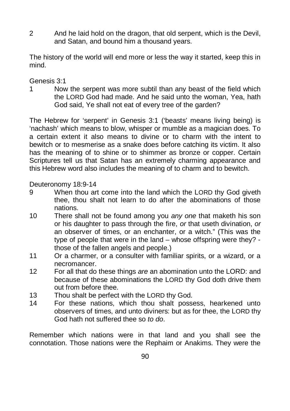2 And he laid hold on the dragon, that old serpent, which is the Devil, and Satan, and bound him a thousand years.

The history of the world will end more or less the way it started, keep this in mind.

## Genesis 3:1

1 Now the serpent was more subtil than any beast of the field which the LORD God had made. And he said unto the woman, Yea, hath God said, Ye shall not eat of every tree of the garden?

The Hebrew for 'serpent' in Genesis 3:1 ('beasts' means living being) is 'nachash' which means to blow, whisper or mumble as a magician does. To a certain extent it also means to divine or to charm with the intent to bewitch or to mesmerise as a snake does before catching its victim. It also has the meaning of to shine or to shimmer as bronze or copper. Certain Scriptures tell us that Satan has an extremely charming appearance and this Hebrew word also includes the meaning of to charm and to bewitch.

Deuteronomy 18:9-14

- 9 When thou art come into the land which the LORD thy God giveth thee, thou shalt not learn to do after the abominations of those nations.
- 10 There shall not be found among you *any one* that maketh his son or his daughter to pass through the fire, *or* that useth divination, *or* an observer of times, or an enchanter, or a witch." (This was the type of people that were in the land – whose offspring were they? those of the fallen angels and people.)
- 11 Or a charmer, or a consulter with familiar spirits, or a wizard, or a necromancer.
- 12 For all that do these things *are* an abomination unto the LORD: and because of these abominations the LORD thy God doth drive them out from before thee.
- 13 Thou shalt be perfect with the LORD thy God.
- 14 For these nations, which thou shalt possess, hearkened unto observers of times, and unto diviners: but as for thee, the LORD thy God hath not suffered thee so *to do*.

Remember which nations were in that land and you shall see the connotation. Those nations were the Rephaim or Anakims. They were the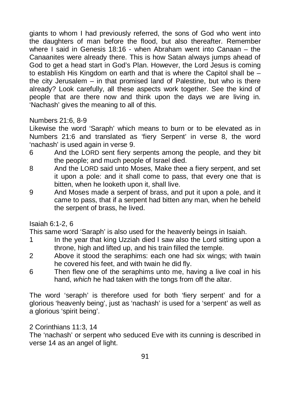giants to whom I had previously referred, the sons of God who went into the daughters of man before the flood, but also thereafter. Remember where I said in Genesis 18:16 - when Abraham went into Canaan – the Canaanites were already there. This is how Satan always jumps ahead of God to get a head start in God's Plan. However, the Lord Jesus is coming to establish His Kingdom on earth and that is where the Capitol shall be – the city Jerusalem – in that promised land of Palestine, but who is there already? Look carefully, all these aspects work together. See the kind of people that are there now and think upon the days we are living in. 'Nachash' gives the meaning to all of this.

#### Numbers 21:6, 8-9

Likewise the word 'Saraph' which means to burn or to be elevated as in Numbers 21:6 and translated as 'fiery Serpent' in verse 8, the word 'nachash' is used again in verse 9.

- 6 And the LORD sent fiery serpents among the people, and they bit the people; and much people of Israel died.
- 8 And the LORD said unto Moses, Make thee a fiery serpent, and set it upon a pole: and it shall come to pass, that every one that is bitten, when he looketh upon it, shall live.
- 9 And Moses made a serpent of brass, and put it upon a pole, and it came to pass, that if a serpent had bitten any man, when he beheld the serpent of brass, he lived.

Isaiah 6:1-2, 6

This same word 'Saraph' is also used for the heavenly beings in Isaiah.

- 1 In the year that king Uzziah died I saw also the Lord sitting upon a throne, high and lifted up, and his train filled the temple.
- 2 Above it stood the seraphims: each one had six wings; with twain he covered his feet, and with twain he did fly.
- 6 Then flew one of the seraphims unto me, having a live coal in his hand, *which* he had taken with the tongs from off the altar.

The word 'seraph' is therefore used for both 'fiery serpent' and for a glorious 'heavenly being', just as 'nachash' is used for a 'serpent' as well as a glorious 'spirit being'.

2 Corinthians 11:3, 14

The 'nachash' or serpent who seduced Eve with its cunning is described in verse 14 as an angel of light.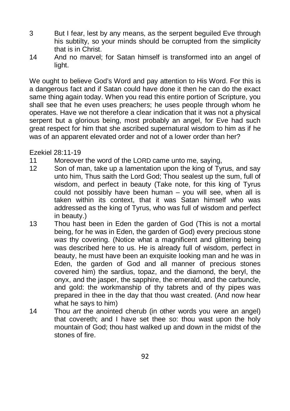- 3 But I fear, lest by any means, as the serpent beguiled Eve through his subtilty, so your minds should be corrupted from the simplicity that is in Christ.
- 14 And no marvel; for Satan himself is transformed into an angel of light.

We ought to believe God's Word and pay attention to His Word. For this is a dangerous fact and if Satan could have done it then he can do the exact same thing again today. When you read this entire portion of Scripture, you shall see that he even uses preachers; he uses people through whom he operates. Have we not therefore a clear indication that it was not a physical serpent but a glorious being, most probably an angel, for Eve had such great respect for him that she ascribed supernatural wisdom to him as if he was of an apparent elevated order and not of a lower order than her?

Ezekiel 28:11-19

- 11 Moreover the word of the LORD came unto me, saying,
- 12 Son of man, take up a lamentation upon the king of Tyrus, and say unto him, Thus saith the Lord God; Thou sealest up the sum, full of wisdom, and perfect in beauty (Take note, for this king of Tyrus could not possibly have been human – you will see, when all is taken within its context, that it was Satan himself who was addressed as the king of Tyrus, who was full of wisdom and perfect in beauty.)
- 13 Thou hast been in Eden the garden of God (This is not a mortal being, for he was in Eden, the garden of God) every precious stone *was* thy covering. (Notice what a magnificent and glittering being was described here to us. He is already full of wisdom, perfect in beauty, he must have been an exquisite looking man and he was in Eden, the garden of God and all manner of precious stones covered him) the sardius, topaz, and the diamond, the beryl, the onyx, and the jasper, the sapphire, the emerald, and the carbuncle, and gold: the workmanship of thy tabrets and of thy pipes was prepared in thee in the day that thou wast created. (And now hear what he says to him)
- 14 Thou *art* the anointed cherub (in other words you were an angel) that covereth; and I have set thee *so*: thou wast upon the holy mountain of God; thou hast walked up and down in the midst of the stones of fire.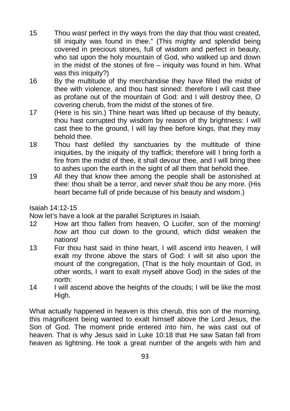- 15 Thou *wast* perfect in thy ways from the day that thou wast created, till iniquity was found in thee." (This mighty and splendid being covered in precious stones, full of wisdom and perfect in beauty, who sat upon the holy mountain of God, who walked up and down in the midst of the stones of fire  $-$  iniquity was found in him. What was this iniquity?)
- 16 By the multitude of thy merchandise they have filled the midst of thee with violence, and thou hast sinned: therefore I will cast thee as profane out of the mountain of God: and I will destroy thee, O covering cherub, from the midst of the stones of fire.
- 17 (Here is his sin.) Thine heart was lifted up because of thy beauty, thou hast corrupted thy wisdom by reason of thy brightness: I will cast thee to the ground, I will lay thee before kings, that they may behold thee.
- 18 Thou hast defiled thy sanctuaries by the multitude of thine iniquities, by the iniquity of thy traffick; therefore will I bring forth a fire from the midst of thee, it shall devour thee, and I will bring thee to ashes upon the earth in the sight of all them that behold thee.
- 19 All they that know thee among the people shall be astonished at thee: thou shalt be a terror, and never *shalt* thou *be* any more. (His heart became full of pride because of his beauty and wisdom.)

Isaiah 14:12-15

Now let's have a look at the parallel Scriptures in Isaiah.

- 12 How art thou fallen from heaven, O Lucifer, son of the morning! *how* art thou cut down to the ground, which didst weaken the nations!
- 13 For thou hast said in thine heart, I will ascend into heaven, I will exalt my throne above the stars of God: I will sit also upon the mount of the congregation, (That is the holy mountain of God, in other words, I want to exalt myself above God) in the sides of the north:
- 14 I will ascend above the heights of the clouds; I will be like the most High.

What actually happened in heaven is this cherub, this son of the morning, this magnificent being wanted to exalt himself above the Lord Jesus, the Son of God. The moment pride entered into him, he was cast out of heaven. That is why Jesus said in Luke 10:18 that He saw Satan fall from heaven as lightning. He took a great number of the angels with him and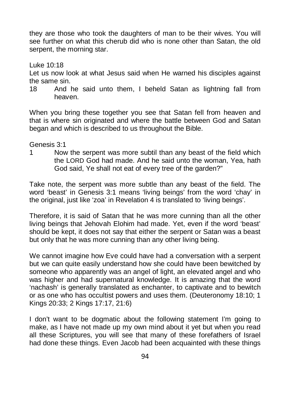they are those who took the daughters of man to be their wives. You will see further on what this cherub did who is none other than Satan, the old serpent, the morning star.

Luke 10:18

Let us now look at what Jesus said when He warned his disciples against the same sin.

18 And he said unto them, I beheld Satan as lightning fall from heaven.

When you bring these together you see that Satan fell from heaven and that is where sin originated and where the battle between God and Satan began and which is described to us throughout the Bible.

#### Genesis 3:1

1 Now the serpent was more subtil than any beast of the field which the LORD God had made. And he said unto the woman, Yea, hath God said. Ye shall not eat of every tree of the garden?"

Take note, the serpent was more subtle than any beast of the field. The word 'beast' in Genesis 3:1 means 'living beings' from the word 'chay' in the original, just like 'zoa' in Revelation 4 is translated to 'living beings'.

Therefore, it is said of Satan that he was more cunning than all the other living beings that Jehovah Elohim had made. Yet, even if the word 'beast' should be kept, it does not say that either the serpent or Satan was a beast but only that he was more cunning than any other living being.

We cannot imagine how Eve could have had a conversation with a serpent but we can quite easily understand how she could have been bewitched by someone who apparently was an angel of light, an elevated angel and who was higher and had supernatural knowledge. It is amazing that the word 'nachash' is generally translated as enchanter, to captivate and to bewitch or as one who has occultist powers and uses them. (Deuteronomy 18:10; 1 Kings 20:33; 2 Kings 17:17, 21:6)

I don't want to be dogmatic about the following statement I'm going to make, as I have not made up my own mind about it yet but when you read all these Scriptures, you will see that many of these forefathers of Israel had done these things. Even Jacob had been acquainted with these things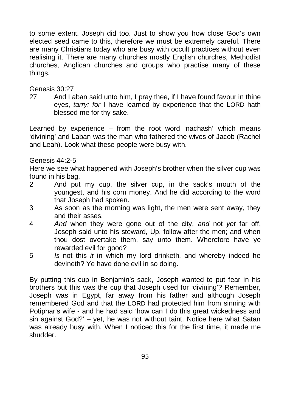to some extent. Joseph did too. Just to show you how close God's own elected seed came to this, therefore we must be extremely careful. There are many Christians today who are busy with occult practices without even realising it. There are many churches mostly English churches, Methodist churches, Anglican churches and groups who practise many of these things.

#### Genesis 30:27

27 And Laban said unto him, I pray thee, if I have found favour in thine eyes, *tarry: for* I have learned by experience that the LORD hath blessed me for thy sake.

Learned by experience – from the root word 'nachash' which means 'divining' and Laban was the man who fathered the wives of Jacob (Rachel and Leah). Look what these people were busy with.

#### Genesis 44:2-5

Here we see what happened with Joseph's brother when the silver cup was found in his bag.

- 2 And put my cup, the silver cup, in the sack's mouth of the youngest, and his corn money. And he did according to the word that Joseph had spoken.
- 3 As soon as the morning was light, the men were sent away, they and their asses.
- 4 *And* when they were gone out of the city, *and* not *yet* far off, Joseph said unto his steward, Up, follow after the men; and when thou dost overtake them, say unto them. Wherefore have ye rewarded evil for good?
- 5 *Is* not this *it* in which my lord drinketh, and whereby indeed he devineth? Ye have done evil in so doing.

By putting this cup in Benjamin's sack, Joseph wanted to put fear in his brothers but this was the cup that Joseph used for 'divining'? Remember, Joseph was in Egypt, far away from his father and although Joseph remembered God and that the LORD had protected him from sinning with Potiphar's wife - and he had said 'how can I do this great wickedness and sin against God?' – yet, he was not without taint. Notice here what Satan was already busy with. When I noticed this for the first time, it made me shudder.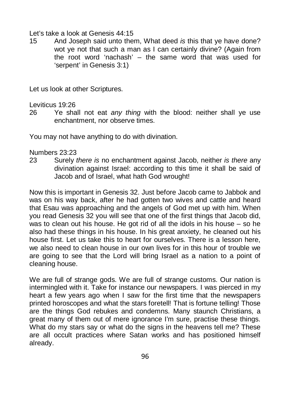#### Let's take a look at Genesis 44:15

15 And Joseph said unto them, What deed *is* this that ye have done? wot ye not that such a man as I can certainly divine? (Again from the root word 'nachash' – the same word that was used for 'serpent' in Genesis 3:1)

Let us look at other Scriptures.

Leviticus 19:26

26 Ye shall not eat *any thing* with the blood: neither shall ye use enchantment, nor observe times.

You may not have anything to do with divination.

#### Numbers 23:23

23 Surely *there is* no enchantment against Jacob, neither *is there* any divination against Israel: according to this time it shall be said of Jacob and of Israel, what hath God wrought!

Now this is important in Genesis 32. Just before Jacob came to Jabbok and was on his way back, after he had gotten two wives and cattle and heard that Esau was approaching and the angels of God met up with him. When you read Genesis 32 you will see that one of the first things that Jacob did, was to clean out his house. He got rid of all the idols in his house – so he also had these things in his house. In his great anxiety, he cleaned out his house first. Let us take this to heart for ourselves. There is a lesson here, we also need to clean house in our own lives for in this hour of trouble we are going to see that the Lord will bring Israel as a nation to a point of cleaning house.

We are full of strange gods. We are full of strange customs. Our nation is intermingled with it. Take for instance our newspapers. I was pierced in my heart a few years ago when I saw for the first time that the newspapers printed horoscopes and what the stars foretell! That is fortune telling! Those are the things God rebukes and condemns. Many staunch Christians, a great many of them out of mere ignorance I'm sure, practise these things. What do my stars say or what do the signs in the heavens tell me? These are all occult practices where Satan works and has positioned himself already.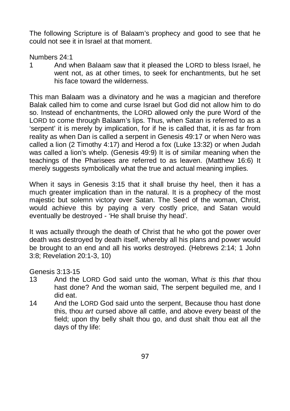The following Scripture is of Balaam's prophecy and good to see that he could not see it in Israel at that moment.

Numbers 24:1

1 And when Balaam saw that it pleased the LORD to bless Israel, he went not, as at other times, to seek for enchantments, but he set his face toward the wilderness.

This man Balaam was a divinatory and he was a magician and therefore Balak called him to come and curse Israel but God did not allow him to do so. Instead of enchantments, the LORD allowed only the pure Word of the LORD to come through Balaam's lips. Thus, when Satan is referred to as a 'serpent' it is merely by implication, for if he is called that, it is as far from reality as when Dan is called a serpent in Genesis 49:17 or when Nero was called a lion (2 Timothy 4:17) and Herod a fox (Luke 13:32) or when Judah was called a lion's whelp. (Genesis 49:9) It is of similar meaning when the teachings of the Pharisees are referred to as leaven. (Matthew 16:6) It merely suggests symbolically what the true and actual meaning implies.

When it says in Genesis 3:15 that it shall bruise thy heel, then it has a much greater implication than in the natural. It is a prophecy of the most majestic but solemn victory over Satan. The Seed of the woman, Christ, would achieve this by paying a very costly price, and Satan would eventually be destroyed - 'He shall bruise thy head'.

It was actually through the death of Christ that he who got the power over death was destroyed by death itself, whereby all his plans and power would be brought to an end and all his works destroyed. (Hebrews 2:14; 1 John 3:8; Revelation 20:1-3, 10)

Genesis 3:13-15

- 13 And the LORD God said unto the woman, What *is* this *that* thou hast done? And the woman said, The serpent beguiled me, and I did eat.
- 14 And the LORD God said unto the serpent, Because thou hast done this, thou *art* cursed above all cattle, and above every beast of the field; upon thy belly shalt thou go, and dust shalt thou eat all the days of thy life: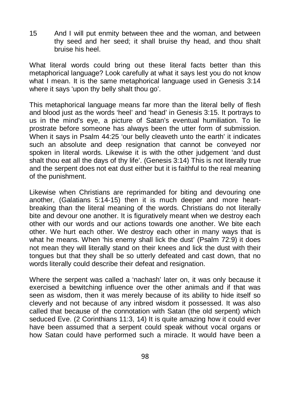15 And I will put enmity between thee and the woman, and between thy seed and her seed; it shall bruise thy head, and thou shalt bruise his heel.

What literal words could bring out these literal facts better than this metaphorical language? Look carefully at what it says lest you do not know what I mean. It is the same metaphorical language used in Genesis 3:14 where it says 'upon thy belly shalt thou go'.

This metaphorical language means far more than the literal belly of flesh and blood just as the words 'heel' and 'head' in Genesis 3:15. It portrays to us in the mind's eye, a picture of Satan's eventual humiliation. To lie prostrate before someone has always been the utter form of submission. When it says in Psalm 44:25 'our belly cleaveth unto the earth' it indicates such an absolute and deep resignation that cannot be conveyed nor spoken in literal words. Likewise it is with the other judgement 'and dust shalt thou eat all the days of thy life'. (Genesis 3:14) This is not literally true and the serpent does not eat dust either but it is faithful to the real meaning of the punishment.

Likewise when Christians are reprimanded for biting and devouring one another, (Galatians 5:14-15) then it is much deeper and more heartbreaking than the literal meaning of the words. Christians do not literally bite and devour one another. It is figuratively meant when we destroy each other with our words and our actions towards one another. We bite each other. We hurt each other. We destroy each other in many ways that is what he means. When 'his enemy shall lick the dust' (Psalm 72:9) it does not mean they will literally stand on their knees and lick the dust with their tongues but that they shall be so utterly defeated and cast down, that no words literally could describe their defeat and resignation.

Where the serpent was called a 'nachash' later on, it was only because it exercised a bewitching influence over the other animals and if that was seen as wisdom, then it was merely because of its ability to hide itself so cleverly and not because of any inbred wisdom it possessed. It was also called that because of the connotation with Satan (the old serpent) which seduced Eve. (2 Corinthians 11:3, 14) It is quite amazing how it could ever have been assumed that a serpent could speak without vocal organs or how Satan could have performed such a miracle. It would have been a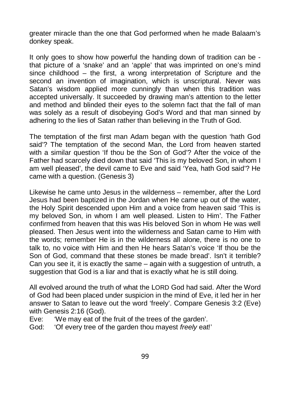greater miracle than the one that God performed when he made Balaam's donkey speak.

It only goes to show how powerful the handing down of tradition can be that picture of a 'snake' and an 'apple' that was imprinted on one's mind since childhood – the first, a wrong interpretation of Scripture and the second an invention of imagination, which is unscriptural. Never was Satan's wisdom applied more cunningly than when this tradition was accepted universally. It succeeded by drawing man's attention to the letter and method and blinded their eyes to the solemn fact that the fall of man was solely as a result of disobeying God's Word and that man sinned by adhering to the lies of Satan rather than believing in the Truth of God.

The temptation of the first man Adam began with the question 'hath God said'? The temptation of the second Man, the Lord from heaven started with a similar question 'If thou be the Son of God'? After the voice of the Father had scarcely died down that said 'This is my beloved Son, in whom I am well pleased', the devil came to Eve and said 'Yea, hath God said'? He came with a question. (Genesis 3)

Likewise he came unto Jesus in the wilderness – remember, after the Lord Jesus had been baptized in the Jordan when He came up out of the water, the Holy Spirit descended upon Him and a voice from heaven said 'This is my beloved Son, in whom I am well pleased. Listen to Him'. The Father confirmed from heaven that this was His beloved Son in whom He was well pleased. Then Jesus went into the wilderness and Satan came to Him with the words; remember He is in the wilderness all alone, there is no one to talk to, no voice with Him and then He hears Satan's voice 'If thou be the Son of God, command that these stones be made bread'. Isn't it terrible? Can you see it, it is exactly the same – again with a suggestion of untruth, a suggestion that God is a liar and that is exactly what he is still doing.

All evolved around the truth of what the LORD God had said. After the Word of God had been placed under suspicion in the mind of Eve, it led her in her answer to Satan to leave out the word 'freely'. Compare Genesis 3:2 (Eve) with Genesis 2:16 (God).

Eve: 'We may eat of the fruit of the trees of the garden'.

God: 'Of every tree of the garden thou mayest *freely* eat!'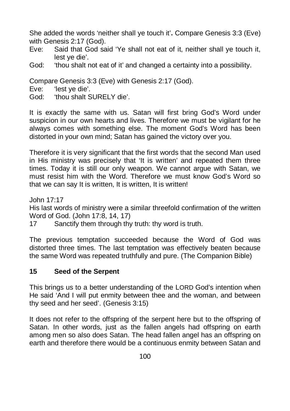She added the words 'neither shall ye touch it'**.** Compare Genesis 3:3 (Eve) with Genesis 2:17 (God).

- Eve: Said that God said 'Ye shall not eat of it, neither shall ye touch it, lest ye die'.
- God: 'thou shalt not eat of it' and changed a certainty into a possibility.

Compare Genesis 3:3 (Eve) with Genesis 2:17 (God).

- Eve: 'lest ye die'.
- God: 'thou shalt SURELY die'.

It is exactly the same with us. Satan will first bring God's Word under suspicion in our own hearts and lives. Therefore we must be vigilant for he always comes with something else. The moment God's Word has been distorted in your own mind; Satan has gained the victory over you.

Therefore it is very significant that the first words that the second Man used in His ministry was precisely that 'It is written' and repeated them three times. Today it is still our only weapon. We cannot argue with Satan, we must resist him with the Word. Therefore we must know God's Word so that we can say It is written, It is written, It is written!

John 17:17

His last words of ministry were a similar threefold confirmation of the written Word of God. (John 17:8, 14, 17)

17 Sanctify them through thy truth: thy word is truth.

The previous temptation succeeded because the Word of God was distorted three times. The last temptation was effectively beaten because the same Word was repeated truthfully and pure. (The Companion Bible)

## **15 Seed of the Serpent**

This brings us to a better understanding of the LORD God's intention when He said 'And I will put enmity between thee and the woman, and between thy seed and her seed'. (Genesis 3:15)

It does not refer to the offspring of the serpent here but to the offspring of Satan. In other words, just as the fallen angels had offspring on earth among men so also does Satan. The head fallen angel has an offspring on earth and therefore there would be a continuous enmity between Satan and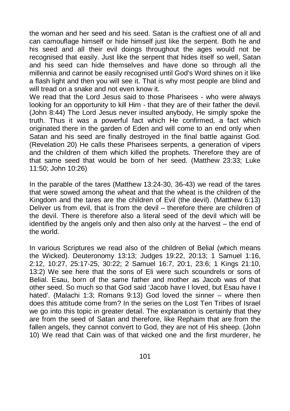the woman and her seed and his seed. Satan is the craftiest one of all and can camouflage himself or hide himself just like the serpent. Both he and his seed and all their evil doings throughout the ages would not be recognised that easily. Just like the serpent that hides itself so well, Satan and his seed can hide themselves and have done so through all the millennia and cannot be easily recognised until God's Word shines on it like a flash light and then you will see it. That is why most people are blind and will tread on a snake and not even know it.

We read that the Lord Jesus said to those Pharisees - who were always looking for an opportunity to kill Him - that they are of their father the devil. (John 8:44) The Lord Jesus never insulted anybody, He simply spoke the truth. Thus it was a powerful fact which He confirmed, a fact which originated there in the garden of Eden and will come to an end only when Satan and his seed are finally destroyed in the final battle against God. (Revelation 20) He calls these Pharisees serpents, a generation of vipers and the children of them which killed the prophets. Therefore they are of that same seed that would be born of her seed. (Matthew 23:33; Luke 11:50; John 10:26)

In the parable of the tares (Matthew 13:24-30, 36-43) we read of the tares that were sowed among the wheat and that the wheat is the children of the Kingdom and the tares are the children of Evil (the devil). (Matthew 6:13) Deliver us from evil, that is from the devil – therefore there are children of the devil. There is therefore also a literal seed of the devil which will be identified by the angels only and then also only at the harvest – the end of the world.

In various Scriptures we read also of the children of Belial (which means the Wicked). Deuteronomy 13:13; Judges 19:22, 20:13; 1 Samuel 1:16, 2:12, 10:27, 25:17-25, 30:22; 2 Samuel 16:7, 20:1, 23:6; 1 Kings 21:10, 13:2) We see here that the sons of Eli were such scoundrels or sons of Belial. Esau, born of the same father and mother as Jacob was of that other seed. So much so that God said 'Jacob have I loved, but Esau have I hated'. (Malachi 1:3; Romans 9:13) God loved the sinner – where then does this attitude come from? In the series on the Lost Ten Tribes of Israel we go into this topic in greater detail. The explanation is certainly that they are from the seed of Satan and therefore, like Rephaim that are from the fallen angels, they cannot convert to God, they are not of His sheep. (John 10) We read that Cain was of that wicked one and the first murderer, he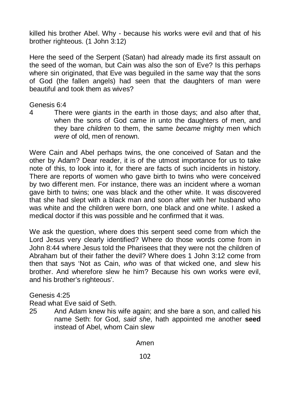killed his brother Abel. Why - because his works were evil and that of his brother righteous. (1 John 3:12)

Here the seed of the Serpent (Satan) had already made its first assault on the seed of the woman, but Cain was also the son of Eve? Is this perhaps where sin originated, that Eve was beguiled in the same way that the sons of God (the fallen angels) had seen that the daughters of man were beautiful and took them as wives?

#### Genesis 6:4

4 There were giants in the earth in those days; and also after that, when the sons of God came in unto the daughters of men, and they bare *children* to them, the same *became* mighty men which *were* of old, men of renown.

Were Cain and Abel perhaps twins, the one conceived of Satan and the other by Adam? Dear reader, it is of the utmost importance for us to take note of this, to look into it, for there are facts of such incidents in history. There are reports of women who gave birth to twins who were conceived by two different men. For instance, there was an incident where a woman gave birth to twins; one was black and the other white. It was discovered that she had slept with a black man and soon after with her husband who was white and the children were born, one black and one white. I asked a medical doctor if this was possible and he confirmed that it was.

We ask the question, where does this serpent seed come from which the Lord Jesus very clearly identified? Where do those words come from in John 8:44 where Jesus told the Pharisees that they were not the children of Abraham but of their father the devil? Where does 1 John 3:12 come from then that says 'Not as Cain, *who* was of that wicked one, and slew his brother. And wherefore slew he him? Because his own works were evil, and his brother's righteous'.

Genesis 4:25

Read what Eve said of Seth.

25 And Adam knew his wife again; and she bare a son, and called his name Seth: for God, *said she*, hath appointed me another **seed** instead of Abel, whom Cain slew

Amen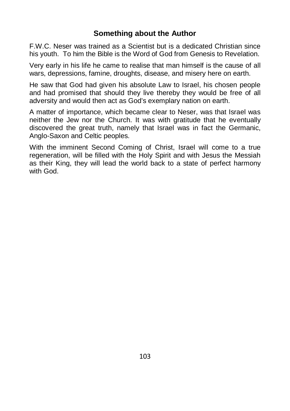## **Something about the Author**

F.W.C. Neser was trained as a Scientist but is a dedicated Christian since his youth. To him the Bible is the Word of God from Genesis to Revelation.

Very early in his life he came to realise that man himself is the cause of all wars, depressions, famine, droughts, disease, and misery here on earth.

He saw that God had given his absolute Law to Israel, his chosen people and had promised that should they live thereby they would be free of all adversity and would then act as God's exemplary nation on earth.

A matter of importance, which became clear to Neser, was that Israel was neither the Jew nor the Church. It was with gratitude that he eventually discovered the great truth, namely that Israel was in fact the Germanic, Anglo-Saxon and Celtic peoples.

With the imminent Second Coming of Christ, Israel will come to a true regeneration, will be filled with the Holy Spirit and with Jesus the Messiah as their King, they will lead the world back to a state of perfect harmony with God.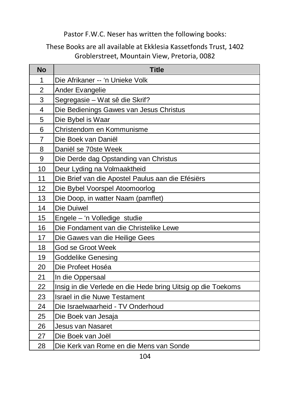## Pastor F.W.C. Neser has written the following books:

## These Books are all available at Ekklesia Kassetfonds Trust, 1402 Groblerstreet, Mountain View, Pretoria, 0082

| <b>No</b>      | <b>Title</b>                                                 |
|----------------|--------------------------------------------------------------|
| 1              | Die Afrikaner -- 'n Unieke Volk                              |
| 2              | Ander Evangelie                                              |
| 3              | Segregasie - Wat sê die Skrif?                               |
| 4              | Die Bedienings Gawes van Jesus Christus                      |
| 5              | Die Bybel is Waar                                            |
| 6              | Christendom en Kommunisme                                    |
| $\overline{7}$ | Die Boek van Daniël                                          |
| 8              | Daniël se 70ste Week                                         |
| 9              | Die Derde dag Opstanding van Christus                        |
| 10             | Deur Lyding na Volmaaktheid                                  |
| 11             | Die Brief van die Apostel Paulus aan die Efésiërs            |
| 12             | Die Bybel Voorspel Atoomoorlog                               |
| 13             | Die Doop, in watter Naam (pamflet)                           |
| 14             | Die Duiwel                                                   |
| 15             | Engele - 'n Volledige studie                                 |
| 16             | Die Fondament van die Christelike Lewe                       |
| 17             | Die Gawes van die Heilige Gees                               |
| 18             | God se Groot Week                                            |
| 19             | <b>Goddelike Genesing</b>                                    |
| 20             | Die Profeet Hoséa                                            |
| 21             | In die Oppersaal                                             |
| 22             | Insig in die Verlede en die Hede bring Uitsig op die Toekoms |
| 23             | <b>Israel in die Nuwe Testament</b>                          |
| 24             | Die Israelwaarheid - TV Onderhoud                            |
| 25             | Die Boek van Jesaja                                          |
| 26             | Jesus van Nasaret                                            |
| 27             | Die Boek van Joël                                            |
| 28             | Die Kerk van Rome en die Mens van Sonde                      |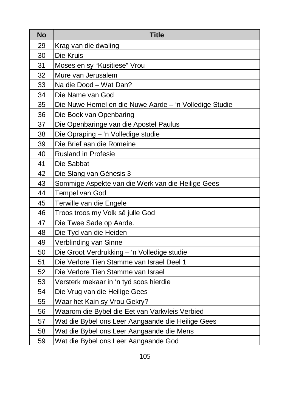| No | <b>Title</b>                                           |
|----|--------------------------------------------------------|
| 29 | Krag van die dwaling                                   |
| 30 | Die Kruis                                              |
| 31 | Moses en sy "Kusitiese" Vrou                           |
| 32 | Mure van Jerusalem                                     |
| 33 | Na die Dood - Wat Dan?                                 |
| 34 | Die Name van God                                       |
| 35 | Die Nuwe Hemel en die Nuwe Aarde - 'n Volledige Studie |
| 36 | Die Boek van Openbaring                                |
| 37 | Die Openbaringe van die Apostel Paulus                 |
| 38 | Die Opraping - 'n Volledige studie                     |
| 39 | Die Brief aan die Romeine                              |
| 40 | <b>Rusland in Profesie</b>                             |
| 41 | Die Sabbat                                             |
| 42 | Die Slang van Génesis 3                                |
| 43 | Sommige Aspekte van die Werk van die Heilige Gees      |
| 44 | Tempel van God                                         |
| 45 | Terwille van die Engele                                |
| 46 | Troos troos my Volk sê julle God                       |
| 47 | Die Twee Sade op Aarde.                                |
| 48 | Die Tyd van die Heiden                                 |
| 49 | Verblinding van Sinne                                  |
| 50 | Die Groot Verdrukking - 'n Volledige studie            |
| 51 | Die Verlore Tien Stamme van Israel Deel 1              |
| 52 | Die Verlore Tien Stamme van Israel                     |
| 53 | Versterk mekaar in 'n tyd soos hierdie                 |
| 54 | Die Vrug van die Heilige Gees                          |
| 55 | Waar het Kain sy Vrou Gekry?                           |
| 56 | Waarom die Bybel die Eet van Varkvleis Verbied         |
| 57 | Wat die Bybel ons Leer Aangaande die Heilige Gees      |
| 58 | Wat die Bybel ons Leer Aangaande die Mens              |
| 59 | Wat die Bybel ons Leer Aangaande God                   |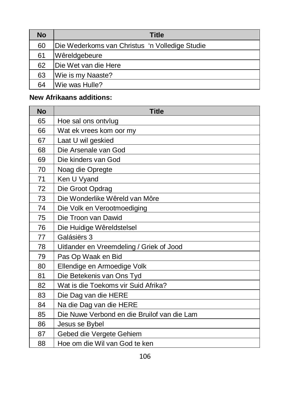| No | <b>Title</b>                                   |
|----|------------------------------------------------|
| 60 | Die Wederkoms van Christus 'n Volledige Studie |
| 61 | Wêreldgebeure                                  |
| 62 | Die Wet van die Here                           |
| 63 | Wie is my Naaste?                              |
| 64 | Wie was Hulle?                                 |

# **New Afrikaans additions:**

| <b>No</b> | <b>Title</b>                                |
|-----------|---------------------------------------------|
| 65        | Hoe sal ons ontvlug                         |
| 66        | Wat ek vrees kom oor my                     |
| 67        | Laat U wil geskied                          |
| 68        | Die Arsenale van God                        |
| 69        | Die kinders van God                         |
| 70        | Noag die Opregte                            |
| 71        | Ken U Vyand                                 |
| 72        | Die Groot Opdrag                            |
| 73        | Die Wonderlike Wêreld van Môre              |
| 74        | Die Volk en Verootmoediging                 |
| 75        | Die Troon van Dawid                         |
| 76        | Die Huidige Wêreldstelsel                   |
| 77        | Galásiërs 3                                 |
| 78        | Uitlander en Vreemdeling / Griek of Jood    |
| 79        | Pas Op Waak en Bid                          |
| 80        | Ellendige en Armoedige Volk                 |
| 81        | Die Betekenis van Ons Tyd                   |
| 82        | Wat is die Toekoms vir Suid Afrika?         |
| 83        | Die Dag van die HERE                        |
| 84        | Na die Dag van die HERE                     |
| 85        | Die Nuwe Verbond en die Bruilof van die Lam |
| 86        | Jesus se Bybel                              |
| 87        | Gebed die Vergete Gehiem                    |
| 88        | Hoe om die Wil van God te ken               |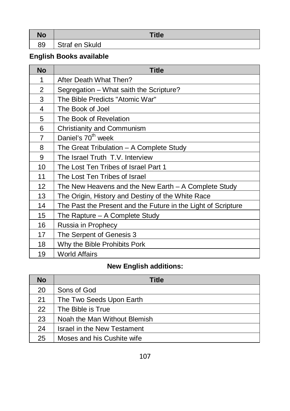| No | Title          |
|----|----------------|
| 89 | Straf en Skuld |

# **English Books available**

| <b>No</b> | <b>Title</b>                                                  |
|-----------|---------------------------------------------------------------|
| 1         | After Death What Then?                                        |
| 2         | Segregation – What saith the Scripture?                       |
| 3         | The Bible Predicts "Atomic War"                               |
| 4         | The Book of Joel                                              |
| 5         | The Book of Revelation                                        |
| 6         | Christianity and Communism                                    |
| 7         | Daniel's 70 <sup>th</sup> week                                |
| 8         | The Great Tribulation - A Complete Study                      |
| 9         | The Israel Truth T.V. Interview                               |
| 10        | The Lost Ten Tribes of Israel Part 1                          |
| 11        | The Lost Ten Tribes of Israel                                 |
| 12        | The New Heavens and the New Earth $-$ A Complete Study        |
| 13        | The Origin, History and Destiny of the White Race             |
| 14        | The Past the Present and the Future in the Light of Scripture |
| 15        | The Rapture – A Complete Study                                |
| 16        | Russia in Prophecy                                            |
| 17        | The Serpent of Genesis 3                                      |
| 18        | Why the Bible Prohibits Pork                                  |
| 19        | <b>World Affairs</b>                                          |

# **New English additions:**

| No | <b>Title</b>                 |
|----|------------------------------|
| 20 | Sons of God                  |
| 21 | The Two Seeds Upon Earth     |
| 22 | The Bible is True            |
| 23 | Noah the Man Without Blemish |
| 24 | Israel in the New Testament  |
| 25 | Moses and his Cushite wife   |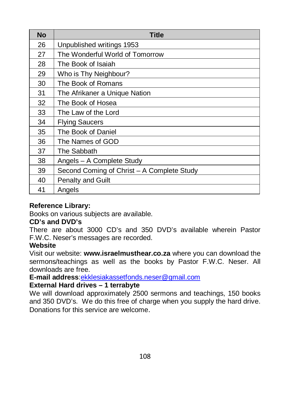| No | Title                                      |
|----|--------------------------------------------|
| 26 | Unpublished writings 1953                  |
| 27 | The Wonderful World of Tomorrow            |
| 28 | The Book of Isaiah                         |
| 29 | Who is Thy Neighbour?                      |
| 30 | The Book of Romans                         |
| 31 | The Afrikaner a Unique Nation              |
| 32 | The Book of Hosea                          |
| 33 | The Law of the Lord                        |
| 34 | <b>Flying Saucers</b>                      |
| 35 | The Book of Daniel                         |
| 36 | The Names of GOD                           |
| 37 | The Sabbath                                |
| 38 | Angels - A Complete Study                  |
| 39 | Second Coming of Christ - A Complete Study |
| 40 | <b>Penalty and Guilt</b>                   |
| 41 | Angels                                     |

## **Reference Library:**

Books on various subjects are available.

## **CD's and DVD's**

There are about 3000 CD's and 350 DVD's available wherein Pastor F.W.C. Neser's messages are recorded.

## **Website**

Visit our website: **www.israelmusthear.co.za** where you can download the sermons/teachings as well as the books by Pastor F.W.C. Neser. All downloads are free.

**E-mail address**:[ekklesiakassetfonds.neser@gmail.com](mailto:ekklesiakassetfonds.neser@gmail.com)

## **External Hard drives – 1 terrabyte**

We will download approximately 2500 sermons and teachings, 150 books and 350 DVD's. We do this free of charge when you supply the hard drive. Donations for this service are welcome.